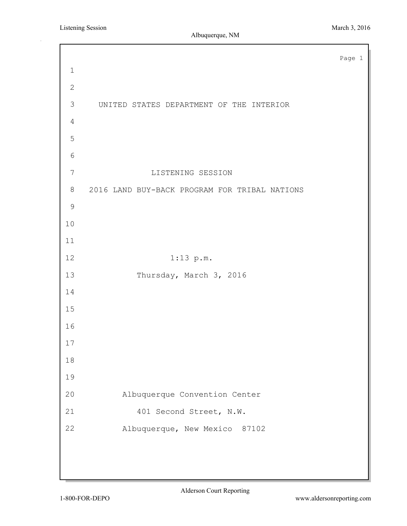Page 1 UNITED STATES DEPARTMENT OF THE INTERIOR LISTENING SESSION 2016 LAND BUY-BACK PROGRAM FOR TRIBAL NATIONS 1:13 p.m. 13 Thursday, March 3, 2016 Albuquerque Convention Center 21 401 Second Street, N.W. Albuquerque, New Mexico 87102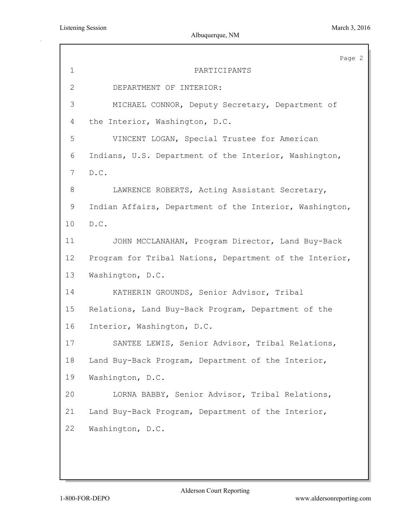|              | Page 2                                                  |
|--------------|---------------------------------------------------------|
| $\mathbf 1$  | PARTICIPANTS                                            |
| $\mathbf{2}$ | DEPARTMENT OF INTERIOR:                                 |
| 3            | MICHAEL CONNOR, Deputy Secretary, Department of         |
| 4            | the Interior, Washington, D.C.                          |
| 5            | VINCENT LOGAN, Special Trustee for American             |
| 6            | Indians, U.S. Department of the Interior, Washington,   |
| 7            | D.C.                                                    |
| $\,8\,$      | LAWRENCE ROBERTS, Acting Assistant Secretary,           |
| 9            | Indian Affairs, Department of the Interior, Washington, |
| 10           | D.C.                                                    |
| 11           | JOHN MCCLANAHAN, Program Director, Land Buy-Back        |
| 12           | Program for Tribal Nations, Department of the Interior, |
| 13           | Washington, D.C.                                        |
| 14           | KATHERIN GROUNDS, Senior Advisor, Tribal                |
| 15           | Relations, Land Buy-Back Program, Department of the     |
| 16           | Interior, Washington, D.C.                              |
| 17           | SANTEE LEWIS, Senior Advisor, Tribal Relations,         |
| 18           | Land Buy-Back Program, Department of the Interior,      |
| 19           | Washington, D.C.                                        |
| 20           | LORNA BABBY, Senior Advisor, Tribal Relations,          |
| 21           | Land Buy-Back Program, Department of the Interior,      |
| 22           | Washington, D.C.                                        |
|              |                                                         |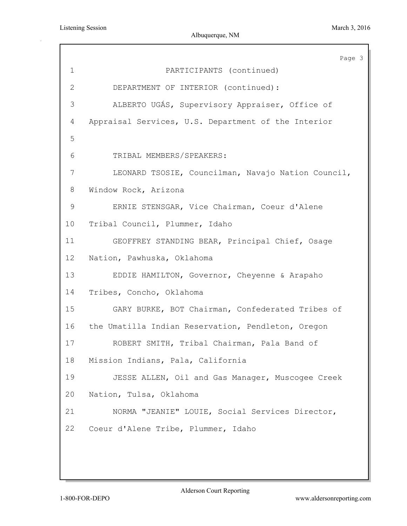|                 | Page 3                                              |
|-----------------|-----------------------------------------------------|
| $\mathbf 1$     | PARTICIPANTS (continued)                            |
| 2               | DEPARTMENT OF INTERIOR (continued):                 |
| 3               | ALBERTO UGÁS, Supervisory Appraiser, Office of      |
| 4               | Appraisal Services, U.S. Department of the Interior |
| 5               |                                                     |
| 6               | TRIBAL MEMBERS/SPEAKERS:                            |
| 7               | LEONARD TSOSIE, Councilman, Navajo Nation Council,  |
| 8               | Window Rock, Arizona                                |
| $\mathsf 9$     | ERNIE STENSGAR, Vice Chairman, Coeur d'Alene        |
| 10 <sub>o</sub> | Tribal Council, Plummer, Idaho                      |
| 11              | GEOFFREY STANDING BEAR, Principal Chief, Osage      |
| 12              | Nation, Pawhuska, Oklahoma                          |
| 13              | EDDIE HAMILTON, Governor, Cheyenne & Arapaho        |
| 14              | Tribes, Concho, Oklahoma                            |
| 15              | GARY BURKE, BOT Chairman, Confederated Tribes of    |
| 16              | the Umatilla Indian Reservation, Pendleton, Oregon  |
| 17              | ROBERT SMITH, Tribal Chairman, Pala Band of         |
| 18              | Mission Indians, Pala, California                   |
| 19              | JESSE ALLEN, Oil and Gas Manager, Muscogee Creek    |
| 20              | Nation, Tulsa, Oklahoma                             |
| 21              | NORMA "JEANIE" LOUIE, Social Services Director,     |
| 22              | Coeur d'Alene Tribe, Plummer, Idaho                 |
|                 |                                                     |
|                 |                                                     |
|                 |                                                     |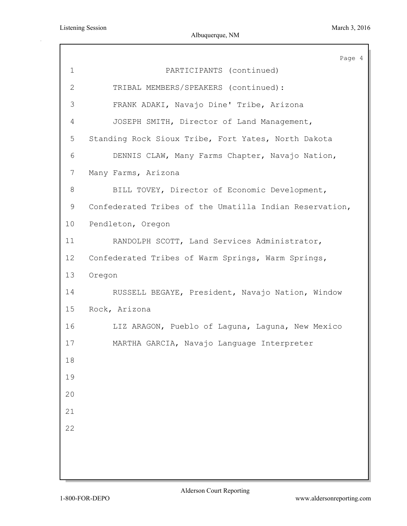|              | Page 4                                                  |
|--------------|---------------------------------------------------------|
| 1            | PARTICIPANTS (continued)                                |
| $\mathbf{2}$ | TRIBAL MEMBERS/SPEAKERS (continued):                    |
| 3            | FRANK ADAKI, Navajo Dine' Tribe, Arizona                |
| 4            | JOSEPH SMITH, Director of Land Management,              |
| 5            | Standing Rock Sioux Tribe, Fort Yates, North Dakota     |
| 6            | DENNIS CLAW, Many Farms Chapter, Navajo Nation,         |
| 7            | Many Farms, Arizona                                     |
| 8            | BILL TOVEY, Director of Economic Development,           |
| 9            | Confederated Tribes of the Umatilla Indian Reservation, |
| 10           | Pendleton, Oregon                                       |
| 11           | RANDOLPH SCOTT, Land Services Administrator,            |
| 12           | Confederated Tribes of Warm Springs, Warm Springs,      |
| 13           | Oregon                                                  |
| 14           | RUSSELL BEGAYE, President, Navajo Nation, Window        |
| 15           | Rock, Arizona                                           |
| 16           | LIZ ARAGON, Pueblo of Laguna, Laguna, New Mexico        |
| 17           | MARTHA GARCIA, Navajo Language Interpreter              |
| 18           |                                                         |
| 19           |                                                         |
| 20           |                                                         |
| 21           |                                                         |
| 22           |                                                         |
|              |                                                         |
|              |                                                         |
|              |                                                         |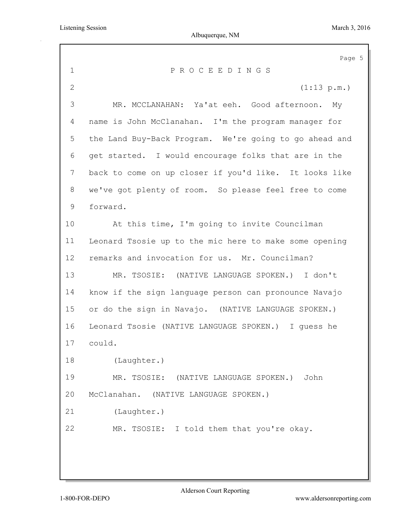|                | Page 5                                                 |
|----------------|--------------------------------------------------------|
| 1              | PROCEEDINGS                                            |
| $\mathbf{2}$   | (1:13 p.m.)                                            |
| 3              | MR. MCCLANAHAN: Ya'at eeh. Good afternoon. My          |
| 4              | name is John McClanahan. I'm the program manager for   |
| 5              | the Land Buy-Back Program. We're going to go ahead and |
| 6              | get started. I would encourage folks that are in the   |
| $7\phantom{.}$ | back to come on up closer if you'd like. It looks like |
| 8              | we've got plenty of room. So please feel free to come  |
| 9              | forward.                                               |
| 10             | At this time, I'm going to invite Councilman           |
| 11             | Leonard Tsosie up to the mic here to make some opening |
| 12             | remarks and invocation for us. Mr. Councilman?         |
| 13             | MR. TSOSIE: (NATIVE LANGUAGE SPOKEN.) I don't          |
| 14             | know if the sign language person can pronounce Navajo  |
| 15             | or do the sign in Navajo. (NATIVE LANGUAGE SPOKEN.)    |
| 16             | Leonard Tsosie (NATIVE LANGUAGE SPOKEN.) I quess he    |
| 17             | could.                                                 |
| 18             | (Laughter.)                                            |
| 19             | MR. TSOSIE: (NATIVE LANGUAGE SPOKEN.)<br>John          |
| 20             | McClanahan. (NATIVE LANGUAGE SPOKEN.)                  |
| 21             | (Laughter.)                                            |
| 22             | MR. TSOSIE: I told them that you're okay.              |
|                |                                                        |
|                |                                                        |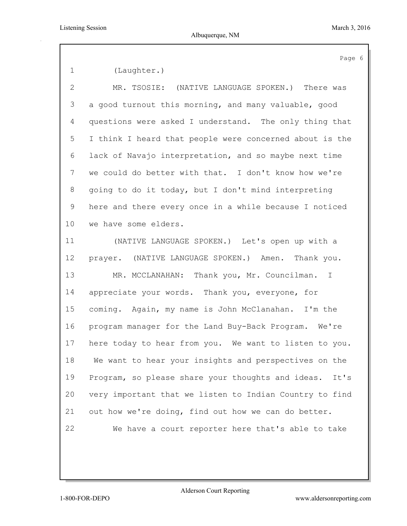(Laughter.)

 MR. TSOSIE: (NATIVE LANGUAGE SPOKEN.) There was a good turnout this morning, and many valuable, good questions were asked I understand. The only thing that I think I heard that people were concerned about is the lack of Navajo interpretation, and so maybe next time we could do better with that. I don't know how we're going to do it today, but I don't mind interpreting here and there every once in a while because I noticed we have some elders. (NATIVE LANGUAGE SPOKEN.) Let's open up with a prayer. (NATIVE LANGUAGE SPOKEN.) Amen. Thank you. MR. MCCLANAHAN: Thank you, Mr. Councilman. I appreciate your words. Thank you, everyone, for coming. Again, my name is John McClanahan. I'm the program manager for the Land Buy-Back Program. We're here today to hear from you. We want to listen to you. We want to hear your insights and perspectives on the Program, so please share your thoughts and ideas. It's very important that we listen to Indian Country to find out how we're doing, find out how we can do better. We have a court reporter here that's able to take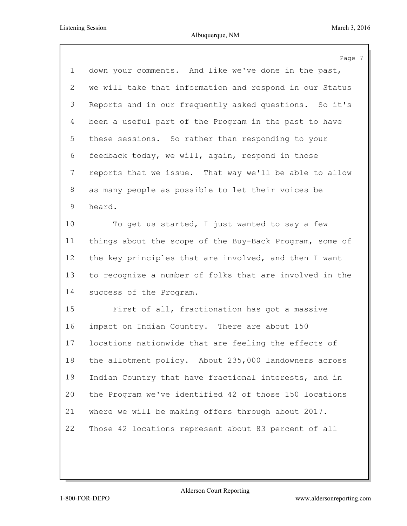|                           | Page 7                                                  |
|---------------------------|---------------------------------------------------------|
| $\mathbf 1$               | down your comments. And like we've done in the past,    |
| $\mathbf{2}^{\mathsf{I}}$ | we will take that information and respond in our Status |
| 3                         | Reports and in our frequently asked questions. So it's  |
| 4                         | been a useful part of the Program in the past to have   |
| 5                         | these sessions. So rather than responding to your       |
| 6                         | feedback today, we will, again, respond in those        |
| $\overline{7}$            | reports that we issue. That way we'll be able to allow  |
| 8                         | as many people as possible to let their voices be       |
| 9                         | heard.                                                  |
| 10                        | To get us started, I just wanted to say a few           |
| 11                        | things about the scope of the Buy-Back Program, some of |
| 12                        | the key principles that are involved, and then I want   |
| 13                        | to recognize a number of folks that are involved in the |
| 14                        | success of the Program.                                 |
| 15                        | First of all, fractionation has got a massive           |
| 16                        | impact on Indian Country. There are about 150           |
| 17                        | locations nationwide that are feeling the effects of    |
| 18                        | the allotment policy. About 235,000 landowners across   |
| 19                        | Indian Country that have fractional interests, and in   |
| 20                        | the Program we've identified 42 of those 150 locations  |
| 21                        | where we will be making offers through about 2017.      |
| 22                        | Those 42 locations represent about 83 percent of all    |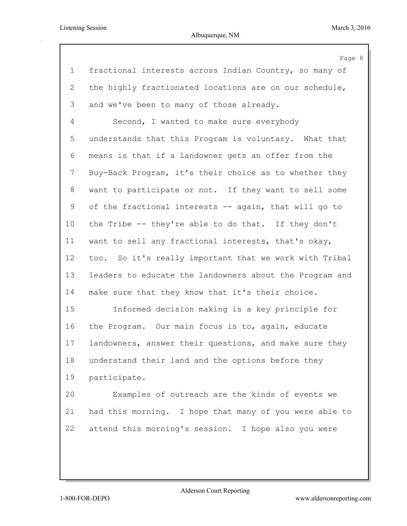|                | Page 8                                                  |
|----------------|---------------------------------------------------------|
| $\mathbf 1$    | fractional interests across Indian Country, so many of  |
| $\overline{2}$ | the highly fractionated locations are on our schedule,  |
| 3              | and we've been to many of those already.                |
| 4              | Second, I wanted to make sure everybody                 |
| 5              | understands that this Program is voluntary. What that   |
| 6              | means is that if a landowner gets an offer from the     |
| 7              | Buy-Back Program, it's their choice as to whether they  |
| 8              | want to participate or not. If they want to sell some   |
| 9              | of the fractional interests -- again, that will go to   |
| 10             | the Tribe -- they're able to do that. If they don't     |
| 11             | want to sell any fractional interests, that's okay,     |
| 12             | too. So it's really important that we work with Tribal  |
| 13             | leaders to educate the landowners about the Program and |
| 14             | make sure that they know that it's their choice.        |
| 15             | Informed decision making is a key principle for         |
| 16             | the Program. Our main focus is to, again, educate       |
| 17             | landowners, answer their questions, and make sure they  |
| 18             | understand their land and the options before they       |
| 19             | participate.                                            |
| 20             | Examples of outreach are the kinds of events we         |
| 21             | had this morning. I hope that many of you were able to  |
| 22             | attend this morning's session. I hope also you were     |
|                |                                                         |
|                |                                                         |

Alderson Court Reporting

1-800-FOR-DEPO www.aldersonreporting.com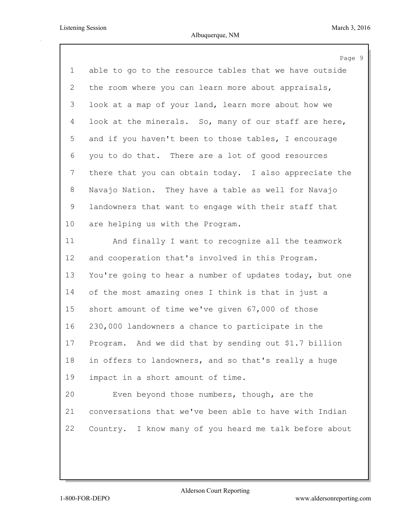|                | Page 9                                                   |
|----------------|----------------------------------------------------------|
| $\mathbf 1$    | able to go to the resource tables that we have outside   |
| 2              | the room where you can learn more about appraisals,      |
| 3              | look at a map of your land, learn more about how we      |
| $\overline{4}$ | look at the minerals. So, many of our staff are here,    |
| 5              | and if you haven't been to those tables, I encourage     |
| 6              | you to do that. There are a lot of good resources        |
| $7\phantom{.}$ | there that you can obtain today. I also appreciate the   |
| 8              | Navajo Nation. They have a table as well for Navajo      |
| 9              | landowners that want to engage with their staff that     |
| 10             | are helping us with the Program.                         |
| 11             | And finally I want to recognize all the teamwork         |
| 12             | and cooperation that's involved in this Program.         |
| 13             | You're going to hear a number of updates today, but one  |
| 14             | of the most amazing ones I think is that in just a       |
| 15             | short amount of time we've given 67,000 of those         |
| 16             | 230,000 landowners a chance to participate in the        |
| 17             | And we did that by sending out \$1.7 billion<br>Program. |
| 18             | in offers to landowners, and so that's really a huge     |
| 19             | impact in a short amount of time.                        |
| 20             | Even beyond those numbers, though, are the               |
| 21             | conversations that we've been able to have with Indian   |
| 22             | Country. I know many of you heard me talk before about   |
|                |                                                          |
|                |                                                          |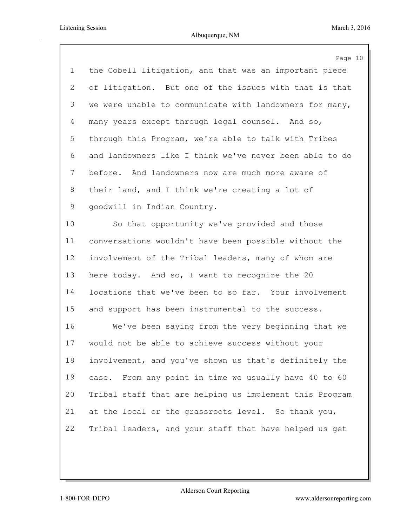|             | Page 10                                                 |
|-------------|---------------------------------------------------------|
| $\mathbf 1$ | the Cobell litigation, and that was an important piece  |
| 2           | of litigation. But one of the issues with that is that  |
| 3           | we were unable to communicate with landowners for many, |
| 4           | many years except through legal counsel. And so,        |
| 5           | through this Program, we're able to talk with Tribes    |
| 6           | and landowners like I think we've never been able to do |
| 7           | before. And landowners now are much more aware of       |
| 8           | their land, and I think we're creating a lot of         |
| 9           | goodwill in Indian Country.                             |
| 10          | So that opportunity we've provided and those            |
| 11          | conversations wouldn't have been possible without the   |
| 12          | involvement of the Tribal leaders, many of whom are     |
| 13          | here today. And so, I want to recognize the 20          |
| 14          | locations that we've been to so far. Your involvement   |
| 15          | and support has been instrumental to the success.       |
| 16          | We've been saying from the very beginning that we       |
| 17          | would not be able to achieve success without your       |
| 18          | involvement, and you've shown us that's definitely the  |
| 19          | case. From any point in time we usually have 40 to 60   |
| 20          | Tribal staff that are helping us implement this Program |
| 21          | at the local or the grassroots level. So thank you,     |
| 22          | Tribal leaders, and your staff that have helped us get  |
|             |                                                         |
|             |                                                         |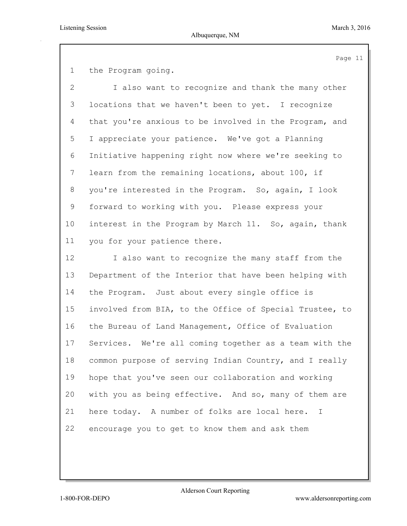the Program going.

 I also want to recognize and thank the many other locations that we haven't been to yet. I recognize that you're anxious to be involved in the Program, and I appreciate your patience. We've got a Planning Initiative happening right now where we're seeking to learn from the remaining locations, about 100, if you're interested in the Program. So, again, I look forward to working with you. Please express your interest in the Program by March 11. So, again, thank you for your patience there. I also want to recognize the many staff from the Department of the Interior that have been helping with the Program. Just about every single office is

 involved from BIA, to the Office of Special Trustee, to the Bureau of Land Management, Office of Evaluation Services. We're all coming together as a team with the common purpose of serving Indian Country, and I really hope that you've seen our collaboration and working with you as being effective. And so, many of them are here today. A number of folks are local here. I encourage you to get to know them and ask them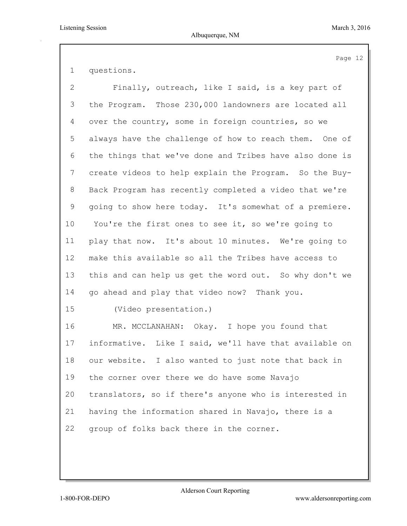questions.

| $\overline{2}$ | Finally, outreach, like I said, is a key part of        |
|----------------|---------------------------------------------------------|
| 3              | the Program. Those 230,000 landowners are located all   |
| 4              | over the country, some in foreign countries, so we      |
| 5              | always have the challenge of how to reach them. One of  |
| 6              | the things that we've done and Tribes have also done is |
| 7              | create videos to help explain the Program. So the Buy-  |
| 8              | Back Program has recently completed a video that we're  |
| 9              | going to show here today. It's somewhat of a premiere.  |
| 10             | You're the first ones to see it, so we're going to      |
| 11             | play that now. It's about 10 minutes. We're going to    |
| $12 \,$        | make this available so all the Tribes have access to    |
| 13             | this and can help us get the word out. So why don't we  |
| 14             | go ahead and play that video now? Thank you.            |
| 15             | (Video presentation.)                                   |
| 16             | MR. MCCLANAHAN: Okay. I hope you found that             |
| 17             | informative. Like I said, we'll have that available on  |
| 18             | our website. I also wanted to just note that back in    |
| 19             | the corner over there we do have some Navajo            |
| 20             | translators, so if there's anyone who is interested in  |
| 21             | having the information shared in Navajo, there is a     |
| 22             | group of folks back there in the corner.                |
|                |                                                         |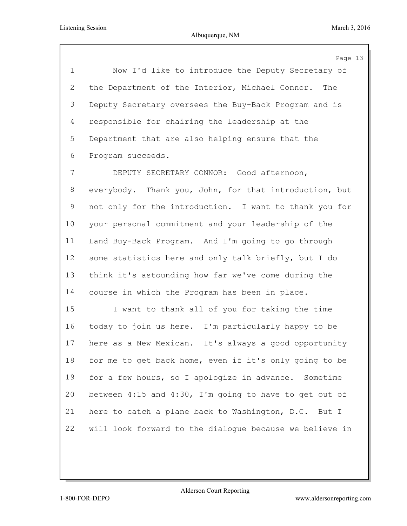Page 13 Now I'd like to introduce the Deputy Secretary of the Department of the Interior, Michael Connor. The Deputy Secretary oversees the Buy-Back Program and is responsible for chairing the leadership at the Department that are also helping ensure that the Program succeeds. DEPUTY SECRETARY CONNOR: Good afternoon, everybody. Thank you, John, for that introduction, but not only for the introduction. I want to thank you for your personal commitment and your leadership of the Land Buy-Back Program. And I'm going to go through 12 some statistics here and only talk briefly, but I do think it's astounding how far we've come during the course in which the Program has been in place. I want to thank all of you for taking the time today to join us here. I'm particularly happy to be here as a New Mexican. It's always a good opportunity for me to get back home, even if it's only going to be for a few hours, so I apologize in advance. Sometime between 4:15 and 4:30, I'm going to have to get out of here to catch a plane back to Washington, D.C. But I will look forward to the dialogue because we believe in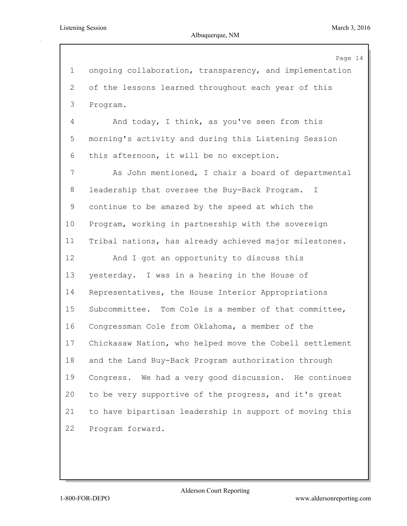|                 | Page 14                                                 |
|-----------------|---------------------------------------------------------|
| $\mathbf 1$     | ongoing collaboration, transparency, and implementation |
| 2               | of the lessons learned throughout each year of this     |
| 3               | Program.                                                |
| 4               | And today, I think, as you've seen from this            |
| 5               | morning's activity and during this Listening Session    |
| 6               | this afternoon, it will be no exception.                |
| 7               | As John mentioned, I chair a board of departmental      |
| 8               | leadership that oversee the Buy-Back Program. I         |
| 9               | continue to be amazed by the speed at which the         |
| 10 <sub>o</sub> | Program, working in partnership with the sovereign      |
| 11              | Tribal nations, has already achieved major milestones.  |
| 12              | And I got an opportunity to discuss this                |
| 13              | yesterday. I was in a hearing in the House of           |
| 14              | Representatives, the House Interior Appropriations      |
| 15              | Subcommittee. Tom Cole is a member of that committee,   |
| 16              | Congressman Cole from Oklahoma, a member of the         |
| 17              | Chickasaw Nation, who helped move the Cobell settlement |
| 18              | and the Land Buy-Back Program authorization through     |
| 19              | Congress. We had a very good discussion. He continues   |
| 20              | to be very supportive of the progress, and it's great   |
| 21              | to have bipartisan leadership in support of moving this |
| 22              | Program forward.                                        |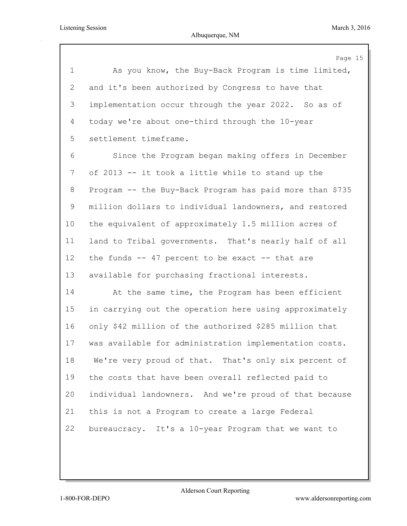Page 15 As you know, the Buy-Back Program is time limited, and it's been authorized by Congress to have that implementation occur through the year 2022. So as of today we're about one-third through the 10-year settlement timeframe. Since the Program began making offers in December of 2013 -- it took a little while to stand up the Program -- the Buy-Back Program has paid more than \$735 million dollars to individual landowners, and restored the equivalent of approximately 1.5 million acres of land to Tribal governments. That's nearly half of all the funds -- 47 percent to be exact -- that are available for purchasing fractional interests. At the same time, the Program has been efficient in carrying out the operation here using approximately only \$42 million of the authorized \$285 million that was available for administration implementation costs. We're very proud of that. That's only six percent of the costs that have been overall reflected paid to individual landowners. And we're proud of that because this is not a Program to create a large Federal bureaucracy. It's a 10-year Program that we want to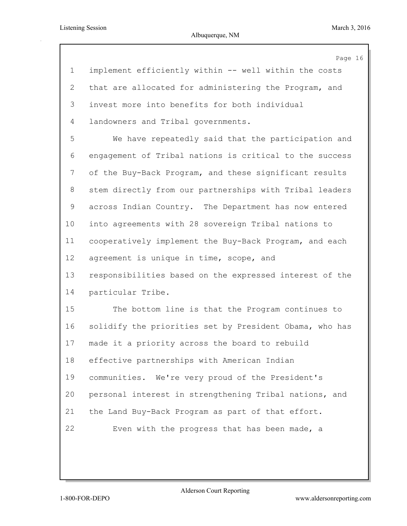|                       | Page 16                                                 |
|-----------------------|---------------------------------------------------------|
| $\mathbf 1$           | implement efficiently within -- well within the costs   |
| $\mathbf{2}^{\prime}$ | that are allocated for administering the Program, and   |
| 3                     | invest more into benefits for both individual           |
| 4                     | landowners and Tribal governments.                      |
| 5                     | We have repeatedly said that the participation and      |
| 6                     | engagement of Tribal nations is critical to the success |
| 7                     | of the Buy-Back Program, and these significant results  |
| 8                     | stem directly from our partnerships with Tribal leaders |
| 9                     | across Indian Country. The Department has now entered   |
| 10                    | into agreements with 28 sovereign Tribal nations to     |
| 11                    | cooperatively implement the Buy-Back Program, and each  |
| 12                    | agreement is unique in time, scope, and                 |
| 13                    | responsibilities based on the expressed interest of the |
| 14                    | particular Tribe.                                       |
| 15                    | The bottom line is that the Program continues to        |
| 16                    | solidify the priorities set by President Obama, who has |
| 17                    | made it a priority across the board to rebuild          |
| 18                    | effective partnerships with American Indian             |
| 19                    | communities. We're very proud of the President's        |
| 20                    | personal interest in strengthening Tribal nations, and  |
| 21                    | the Land Buy-Back Program as part of that effort.       |
| 22                    | Even with the progress that has been made, a            |
|                       |                                                         |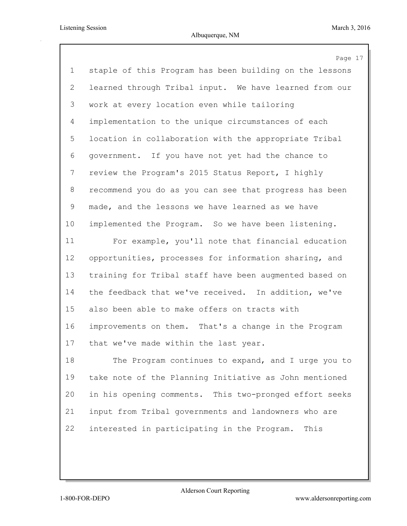|                           | Page 17                                                 |
|---------------------------|---------------------------------------------------------|
| $\mathbf{1}$              | staple of this Program has been building on the lessons |
| $\mathbf{2}^{\mathsf{I}}$ | learned through Tribal input. We have learned from our  |
| 3                         | work at every location even while tailoring             |
| 4                         | implementation to the unique circumstances of each      |
| 5                         | location in collaboration with the appropriate Tribal   |
| 6                         | government. If you have not yet had the chance to       |
| 7                         | review the Program's 2015 Status Report, I highly       |
| 8                         | recommend you do as you can see that progress has been  |
| 9                         | made, and the lessons we have learned as we have        |
| 10 <sub>o</sub>           | implemented the Program. So we have been listening.     |
| 11                        | For example, you'll note that financial education       |
| 12                        | opportunities, processes for information sharing, and   |
| 13                        | training for Tribal staff have been augmented based on  |
| 14                        | the feedback that we've received. In addition, we've    |
| 15                        | also been able to make offers on tracts with            |
| 16                        | improvements on them. That's a change in the Program    |
| 17                        | that we've made within the last year.                   |
| 18                        | The Program continues to expand, and I urge you to      |
| 19                        | take note of the Planning Initiative as John mentioned  |
| 20                        | in his opening comments. This two-pronged effort seeks  |
| 21                        | input from Tribal governments and landowners who are    |
| 22                        | interested in participating in the Program.<br>This     |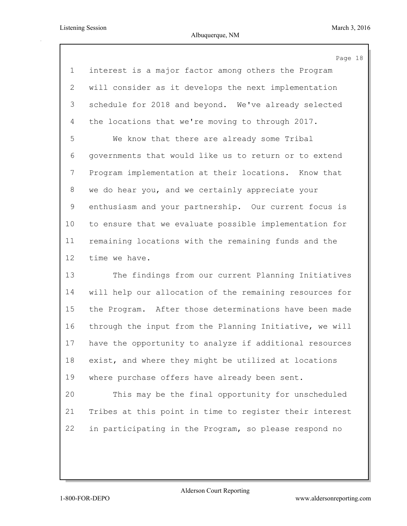Page 18 interest is a major factor among others the Program will consider as it develops the next implementation schedule for 2018 and beyond. We've already selected 4 the locations that we're moving to through 2017. We know that there are already some Tribal governments that would like us to return or to extend Program implementation at their locations. Know that we do hear you, and we certainly appreciate your enthusiasm and your partnership. Our current focus is to ensure that we evaluate possible implementation for remaining locations with the remaining funds and the time we have. The findings from our current Planning Initiatives

 will help our allocation of the remaining resources for the Program. After those determinations have been made through the input from the Planning Initiative, we will have the opportunity to analyze if additional resources exist, and where they might be utilized at locations where purchase offers have already been sent.

 This may be the final opportunity for unscheduled Tribes at this point in time to register their interest in participating in the Program, so please respond no

Alderson Court Reporting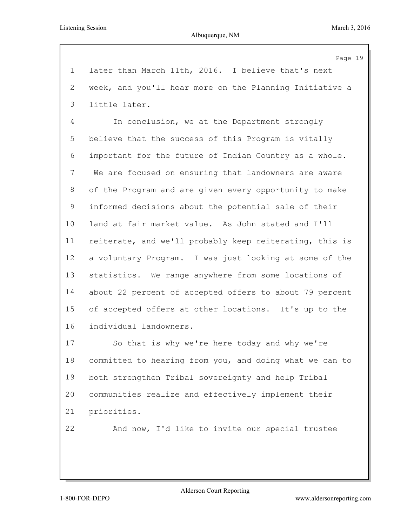Page 19 later than March 11th, 2016. I believe that's next week, and you'll hear more on the Planning Initiative a little later. In conclusion, we at the Department strongly believe that the success of this Program is vitally important for the future of Indian Country as a whole. We are focused on ensuring that landowners are aware of the Program and are given every opportunity to make informed decisions about the potential sale of their land at fair market value. As John stated and I'll reiterate, and we'll probably keep reiterating, this is a voluntary Program. I was just looking at some of the statistics. We range anywhere from some locations of about 22 percent of accepted offers to about 79 percent of accepted offers at other locations. It's up to the individual landowners. So that is why we're here today and why we're committed to hearing from you, and doing what we can to both strengthen Tribal sovereignty and help Tribal communities realize and effectively implement their priorities. And now, I'd like to invite our special trustee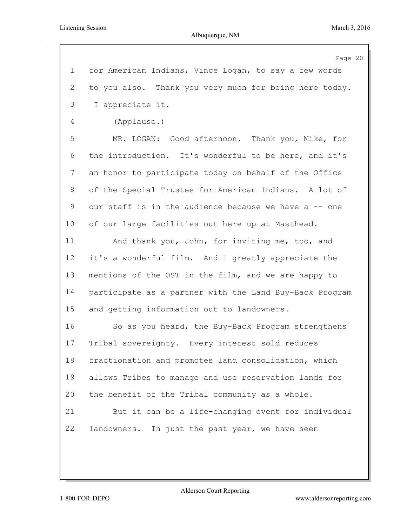|                | Page 20                                                 |
|----------------|---------------------------------------------------------|
| $\mathbf 1$    | for American Indians, Vince Logan, to say a few words   |
| 2              | to you also. Thank you very much for being here today.  |
| 3              | I appreciate it.                                        |
| 4              | (Applause.)                                             |
| 5              | MR. LOGAN: Good afternoon. Thank you, Mike, for         |
| 6              | the introduction. It's wonderful to be here, and it's   |
| $7\phantom{.}$ | an honor to participate today on behalf of the Office   |
| 8              | of the Special Trustee for American Indians. A lot of   |
| 9              | our staff is in the audience because we have a -- one   |
| $10 \,$        | of our large facilities out here up at Masthead.        |
| 11             | And thank you, John, for inviting me, too, and          |
| 12             | it's a wonderful film. And I greatly appreciate the     |
| 13             | mentions of the OST in the film, and we are happy to    |
| 14             | participate as a partner with the Land Buy-Back Program |
| 15             | and getting information out to landowners.              |
| 16             | So as you heard, the Buy-Back Program strengthens       |
| 17             | Tribal sovereignty. Every interest sold reduces         |
| 18             | fractionation and promotes land consolidation, which    |
| 19             | allows Tribes to manage and use reservation lands for   |
| 20             | the benefit of the Tribal community as a whole.         |
| 21             | But it can be a life-changing event for individual      |
| 22             | landowners. In just the past year, we have seen         |
|                |                                                         |
|                |                                                         |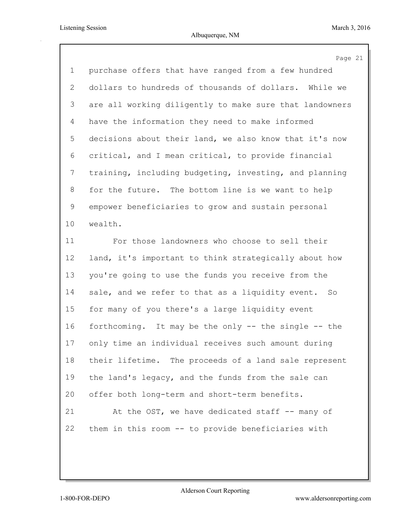|                | Page 21                                                 |
|----------------|---------------------------------------------------------|
| $\mathbf 1$    | purchase offers that have ranged from a few hundred     |
| $\overline{2}$ | dollars to hundreds of thousands of dollars. While we   |
| 3              | are all working diligently to make sure that landowners |
| 4              | have the information they need to make informed         |
| 5              | decisions about their land, we also know that it's now  |
| 6              | critical, and I mean critical, to provide financial     |
| $\overline{7}$ | training, including budgeting, investing, and planning  |
| 8              | for the future. The bottom line is we want to help      |
| 9              | empower beneficiaries to grow and sustain personal      |
| 10             | wealth.                                                 |
| 11             | For those landowners who choose to sell their           |
| 12             | land, it's important to think strategically about how   |
| 13             | you're going to use the funds you receive from the      |
| 14             | sale, and we refer to that as a liquidity event. So     |
| 15             | for many of you there's a large liquidity event         |
| 16             | forthcoming. It may be the only -- the single -- the    |
| 17             | only time an individual receives such amount during     |
| 18             | their lifetime. The proceeds of a land sale represent   |
| 19             | the land's legacy, and the funds from the sale can      |
| 20             | offer both long-term and short-term benefits.           |
| 21             | At the OST, we have dedicated staff -- many of          |
| 22             | them in this room -- to provide beneficiaries with      |
|                |                                                         |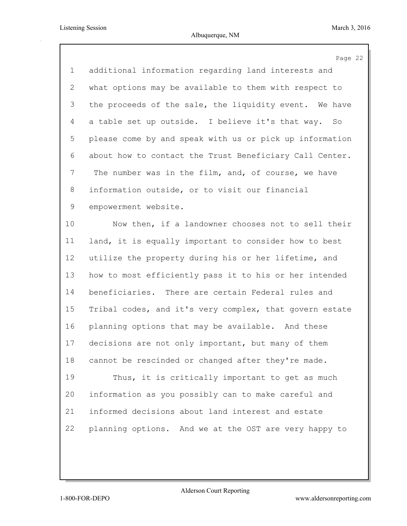|             | Page 22                                                 |
|-------------|---------------------------------------------------------|
| $\mathbf 1$ | additional information regarding land interests and     |
| 2           | what options may be available to them with respect to   |
| 3           | the proceeds of the sale, the liquidity event. We have  |
| 4           | a table set up outside. I believe it's that way. So     |
| 5           | please come by and speak with us or pick up information |
| 6           | about how to contact the Trust Beneficiary Call Center. |
| 7           | The number was in the film, and, of course, we have     |
| 8           | information outside, or to visit our financial          |
| 9           | empowerment website.                                    |
| 10          | Now then, if a landowner chooses not to sell their      |
| 11          | land, it is equally important to consider how to best   |
| 12          | utilize the property during his or her lifetime, and    |
| 13          | how to most efficiently pass it to his or her intended  |
| 14          | beneficiaries. There are certain Federal rules and      |
| 15          | Tribal codes, and it's very complex, that govern estate |
| 16          | planning options that may be available. And these       |
| 17          | decisions are not only important, but many of them      |
| 18          | cannot be rescinded or changed after they're made.      |
| 19          | Thus, it is critically important to get as much         |
| 20          | information as you possibly can to make careful and     |
| 21          | informed decisions about land interest and estate       |
| 22          | planning options. And we at the OST are very happy to   |
|             |                                                         |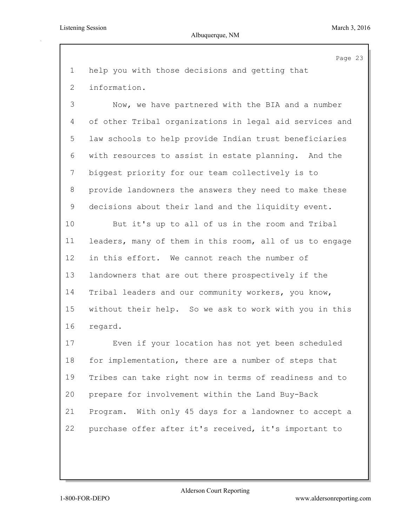## Albuquerque, NM

Page 23 help you with those decisions and getting that information. Now, we have partnered with the BIA and a number of other Tribal organizations in legal aid services and law schools to help provide Indian trust beneficiaries with resources to assist in estate planning. And the biggest priority for our team collectively is to provide landowners the answers they need to make these decisions about their land and the liquidity event. But it's up to all of us in the room and Tribal leaders, many of them in this room, all of us to engage in this effort. We cannot reach the number of landowners that are out there prospectively if the Tribal leaders and our community workers, you know, without their help. So we ask to work with you in this regard. Even if your location has not yet been scheduled for implementation, there are a number of steps that Tribes can take right now in terms of readiness and to prepare for involvement within the Land Buy-Back Program. With only 45 days for a landowner to accept a purchase offer after it's received, it's important to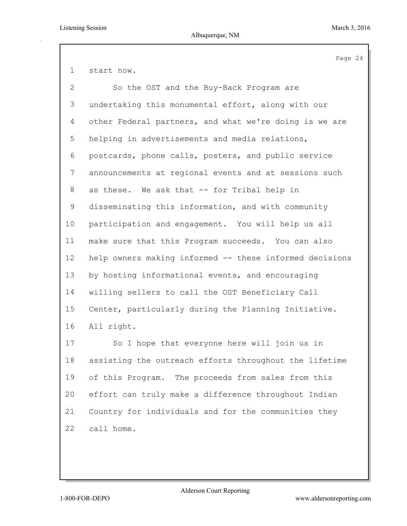start now.

| $\overline{2}$ | So the OST and the Buy-Back Program are                 |
|----------------|---------------------------------------------------------|
| 3              | undertaking this monumental effort, along with our      |
| $\overline{4}$ | other Federal partners, and what we're doing is we are  |
| 5              | helping in advertisements and media relations,          |
| 6              | postcards, phone calls, posters, and public service     |
| $7\phantom{.}$ | announcements at regional events and at sessions such   |
| 8              | as these. We ask that -- for Tribal help in             |
| 9              | disseminating this information, and with community      |
| 10             | participation and engagement. You will help us all      |
| 11             | make sure that this Program succeeds. You can also      |
| 12             | help owners making informed -- these informed decisions |
| 13             | by hosting informational events, and encouraging        |
| 14             | willing sellers to call the OST Beneficiary Call        |
| 15             | Center, particularly during the Planning Initiative.    |
| 16             | All right.                                              |
| 17             | So I hope that everyone here will join us in            |
| 18             | assisting the outreach efforts throughout the lifetime  |
| 19             | of this Program. The proceeds from sales from this      |
| 20             | effort can truly make a difference throughout Indian    |

call home.

Country for individuals and for the communities they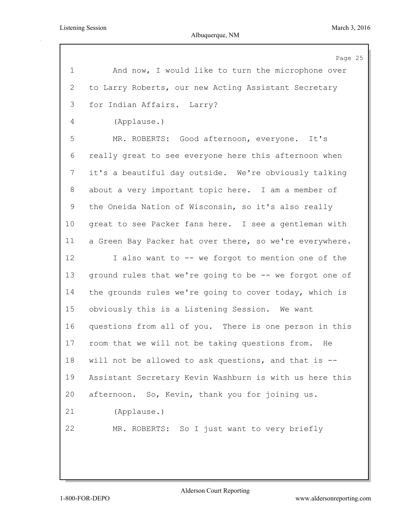Albuquerque, NM

|             | Page 25                                                 |
|-------------|---------------------------------------------------------|
| $\mathbf 1$ | And now, I would like to turn the microphone over       |
| 2           | to Larry Roberts, our new Acting Assistant Secretary    |
| 3           | for Indian Affairs. Larry?                              |
| 4           | (Applause.)                                             |
| 5           | MR. ROBERTS: Good afternoon, everyone. It's             |
| 6           | really great to see everyone here this afternoon when   |
| 7           | it's a beautiful day outside. We're obviously talking   |
| 8           | about a very important topic here. I am a member of     |
| 9           | the Oneida Nation of Wisconsin, so it's also really     |
| 10          | great to see Packer fans here. I see a gentleman with   |
| 11          | a Green Bay Packer hat over there, so we're everywhere. |
| 12          | I also want to -- we forgot to mention one of the       |
| 13          | ground rules that we're going to be -- we forgot one of |
| 14          | the grounds rules we're going to cover today, which is  |
| 15          | obviously this is a Listening Session. We want          |
| 16          | questions from all of you. There is one person in this  |
| 17          | room that we will not be taking questions from.<br>He   |
| 18          | will not be allowed to ask questions, and that is --    |
| 19          | Assistant Secretary Kevin Washburn is with us here this |
| 20          | afternoon. So, Kevin, thank you for joining us.         |
| 21          | (Applause.)                                             |
| 22          | MR. ROBERTS: So I just want to very briefly             |
|             |                                                         |
|             |                                                         |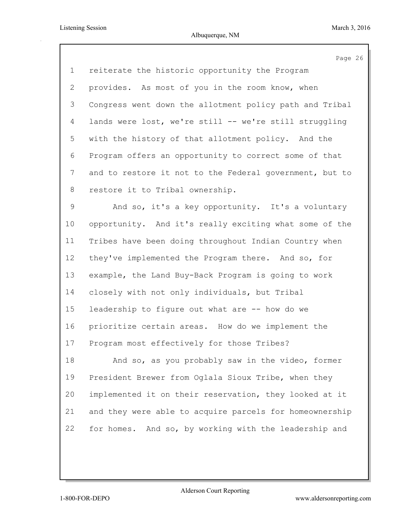|                 | Page 26                                                 |
|-----------------|---------------------------------------------------------|
| $\mathbf 1$     | reiterate the historic opportunity the Program          |
| $\overline{2}$  | provides. As most of you in the room know, when         |
| 3               | Congress went down the allotment policy path and Tribal |
| 4               | lands were lost, we're still -- we're still struggling  |
| 5               | with the history of that allotment policy. And the      |
| 6               | Program offers an opportunity to correct some of that   |
| 7               | and to restore it not to the Federal government, but to |
| 8               | restore it to Tribal ownership.                         |
| 9               | And so, it's a key opportunity. It's a voluntary        |
| 10 <sub>o</sub> | opportunity. And it's really exciting what some of the  |
| 11              | Tribes have been doing throughout Indian Country when   |
| 12              | they've implemented the Program there. And so, for      |
| 13              | example, the Land Buy-Back Program is going to work     |
| 14              | closely with not only individuals, but Tribal           |
| 15              | leadership to figure out what are -- how do we          |
| 16              | prioritize certain areas. How do we implement the       |
| 17              | Program most effectively for those Tribes?              |
| 18              | And so, as you probably saw in the video, former        |
| 19              | President Brewer from Oglala Sioux Tribe, when they     |
| 20              | implemented it on their reservation, they looked at it  |
| 21              | and they were able to acquire parcels for homeownership |
| 22              | for homes. And so, by working with the leadership and   |
|                 |                                                         |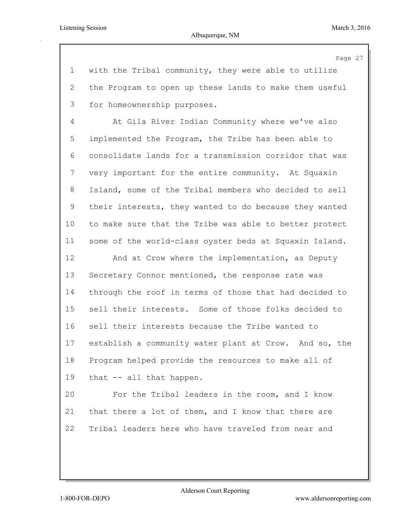Page 27 with the Tribal community, they were able to utilize the Program to open up these lands to make them useful for homeownership purposes. At Gila River Indian Community where we've also implemented the Program, the Tribe has been able to consolidate lands for a transmission corridor that was very important for the entire community. At Squaxin Island, some of the Tribal members who decided to sell their interests, they wanted to do because they wanted to make sure that the Tribe was able to better protect some of the world-class oyster beds at Squaxin Island. And at Crow where the implementation, as Deputy Secretary Connor mentioned, the response rate was through the roof in terms of those that had decided to sell their interests. Some of those folks decided to sell their interests because the Tribe wanted to establish a community water plant at Crow. And so, the Program helped provide the resources to make all of that -- all that happen. For the Tribal leaders in the room, and I know that there a lot of them, and I know that there are Tribal leaders here who have traveled from near and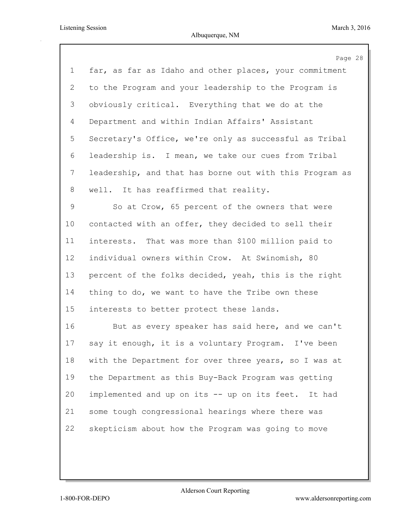|                | Page 28                                                 |
|----------------|---------------------------------------------------------|
| $\mathbf 1$    | far, as far as Idaho and other places, your commitment  |
| 2              | to the Program and your leadership to the Program is    |
| 3              | obviously critical. Everything that we do at the        |
| 4              | Department and within Indian Affairs' Assistant         |
| 5              | Secretary's Office, we're only as successful as Tribal  |
| 6              | leadership is. I mean, we take our cues from Tribal     |
| $7\phantom{.}$ | leadership, and that has borne out with this Program as |
| 8              | well. It has reaffirmed that reality.                   |
| 9              | So at Crow, 65 percent of the owners that were          |
| 10             | contacted with an offer, they decided to sell their     |
| 11             | interests. That was more than \$100 million paid to     |
| 12             | individual owners within Crow. At Swinomish, 80         |
| 13             | percent of the folks decided, yeah, this is the right   |
| 14             | thing to do, we want to have the Tribe own these        |
| 15             | interests to better protect these lands.                |
| 16             | But as every speaker has said here, and we can't        |
| 17             | say it enough, it is a voluntary Program. I've been     |
| 18             | with the Department for over three years, so I was at   |
| 19             | the Department as this Buy-Back Program was getting     |
| 20             | implemented and up on its -- up on its feet. It had     |
| 21             | some tough congressional hearings where there was       |
| 22             | skepticism about how the Program was going to move      |
|                |                                                         |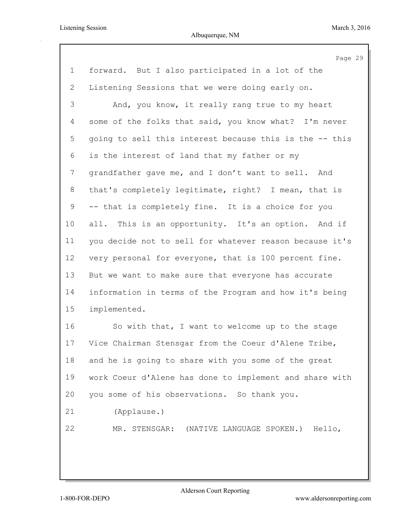|                | Page 29                                                 |
|----------------|---------------------------------------------------------|
| $\mathbf 1$    | forward. But I also participated in a lot of the        |
| $\overline{2}$ | Listening Sessions that we were doing early on.         |
| 3              | And, you know, it really rang true to my heart          |
| $\overline{4}$ | some of the folks that said, you know what? I'm never   |
| 5              | going to sell this interest because this is the -- this |
| 6              | is the interest of land that my father or my            |
| 7              | grandfather gave me, and I don't want to sell. And      |
| 8              | that's completely legitimate, right? I mean, that is    |
| 9              | -- that is completely fine. It is a choice for you      |
| 10             | all. This is an opportunity. It's an option. And if     |
| 11             | you decide not to sell for whatever reason because it's |
| 12             | very personal for everyone, that is 100 percent fine.   |
| 13             | But we want to make sure that everyone has accurate     |
| 14             | information in terms of the Program and how it's being  |
| 15             | implemented.                                            |
| 16             | So with that, I want to welcome up to the stage         |
| 17             | Vice Chairman Stensgar from the Coeur d'Alene Tribe,    |
| 18             | and he is going to share with you some of the great     |
| 19             | work Coeur d'Alene has done to implement and share with |
| 20             | you some of his observations. So thank you.             |
| 21             | (Applause.)                                             |
| 22             | MR. STENSGAR: (NATIVE LANGUAGE SPOKEN.) Hello,          |
|                |                                                         |
|                |                                                         |
|                |                                                         |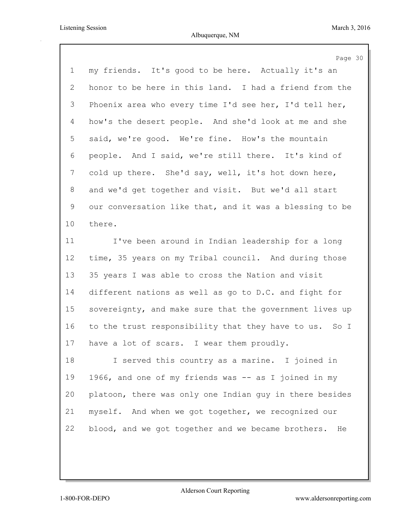|                | Page 30                                                  |
|----------------|----------------------------------------------------------|
| $\mathbf 1$    | my friends. It's good to be here. Actually it's an       |
| 2              | honor to be here in this land. I had a friend from the   |
| 3              | Phoenix area who every time I'd see her, I'd tell her,   |
| $\overline{4}$ | how's the desert people. And she'd look at me and she    |
| 5              | said, we're good. We're fine. How's the mountain         |
| 6              | people. And I said, we're still there. It's kind of      |
| 7              | cold up there. She'd say, well, it's hot down here,      |
| 8              | and we'd get together and visit. But we'd all start      |
| 9              | our conversation like that, and it was a blessing to be  |
| 10             | there.                                                   |
| 11             | I've been around in Indian leadership for a long         |
| 12             | time, 35 years on my Tribal council. And during those    |
| 13             | 35 years I was able to cross the Nation and visit        |
| 14             | different nations as well as go to D.C. and fight for    |
| 15             | sovereignty, and make sure that the government lives up  |
| 16             | to the trust responsibility that they have to us. So I   |
| 17             | have a lot of scars. I wear them proudly.                |
| 18             | I served this country as a marine. I joined in           |
| 19             | 1966, and one of my friends was -- as I joined in my     |
| 20             | platoon, there was only one Indian guy in there besides  |
| 21             | myself. And when we got together, we recognized our      |
| 22             | blood, and we got together and we became brothers.<br>He |
|                |                                                          |
|                |                                                          |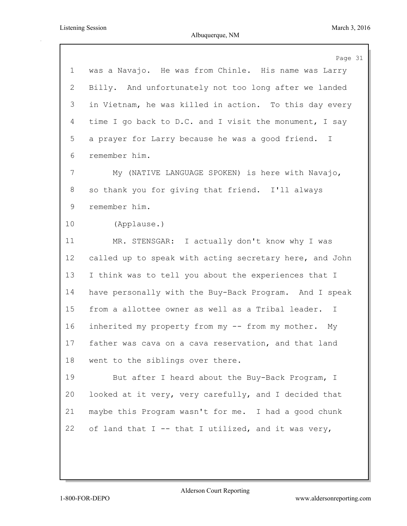|                | Page 31                                                 |
|----------------|---------------------------------------------------------|
| $\mathbf 1$    | was a Navajo. He was from Chinle. His name was Larry    |
| $\overline{2}$ | Billy. And unfortunately not too long after we landed   |
| 3              | in Vietnam, he was killed in action. To this day every  |
| 4              | time I go back to D.C. and I visit the monument, I say  |
| 5              | a prayer for Larry because he was a good friend. I      |
| 6              | remember him.                                           |
| 7              | My (NATIVE LANGUAGE SPOKEN) is here with Navajo,        |
| 8              | so thank you for giving that friend. I'll always        |
| 9              | remember him.                                           |
| 10             | (Applause.)                                             |
| 11             | MR. STENSGAR: I actually don't know why I was           |
| 12             | called up to speak with acting secretary here, and John |
| 13             | I think was to tell you about the experiences that I    |
| 14             | have personally with the Buy-Back Program. And I speak  |
| 15             | from a allottee owner as well as a Tribal leader.<br>T  |
| 16             | inherited my property from my -- from my mother. My     |
| 17             | father was cava on a cava reservation, and that land    |
| 18             | went to the siblings over there.                        |
| 19             | But after I heard about the Buy-Back Program, I         |
| 20             | looked at it very, very carefully, and I decided that   |
| 21             | maybe this Program wasn't for me. I had a good chunk    |
| 22             | of land that I -- that I utilized, and it was very,     |
|                |                                                         |
|                |                                                         |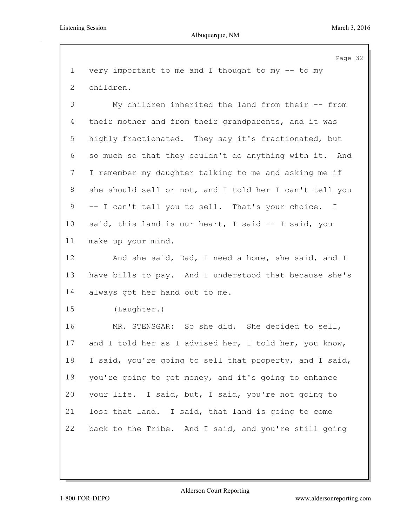## Albuquerque, NM

|                | Page 32                                                 |
|----------------|---------------------------------------------------------|
| $\mathbf 1$    | very important to me and I thought to my -- to my       |
| 2              | children.                                               |
| $\mathfrak{Z}$ | My children inherited the land from their -- from       |
| 4              | their mother and from their grandparents, and it was    |
| 5              | highly fractionated. They say it's fractionated, but    |
| 6              | so much so that they couldn't do anything with it. And  |
| 7              | I remember my daughter talking to me and asking me if   |
| 8              | she should sell or not, and I told her I can't tell you |
| 9              | -- I can't tell you to sell. That's your choice. I      |
| 10             | said, this land is our heart, I said -- I said, you     |
| 11             | make up your mind.                                      |
| 12             | And she said, Dad, I need a home, she said, and I       |
| 13             | have bills to pay. And I understood that because she's  |
| 14             | always got her hand out to me.                          |
| 15             | (Laughter.)                                             |
| 16             | MR. STENSGAR: So she did. She decided to sell,          |
| 17             | and I told her as I advised her, I told her, you know,  |
| 18             | I said, you're going to sell that property, and I said, |
| 19             | you're going to get money, and it's going to enhance    |
| 20             | your life. I said, but, I said, you're not going to     |
| 21             | lose that land. I said, that land is going to come      |
| 22             | back to the Tribe. And I said, and you're still going   |
|                |                                                         |
|                |                                                         |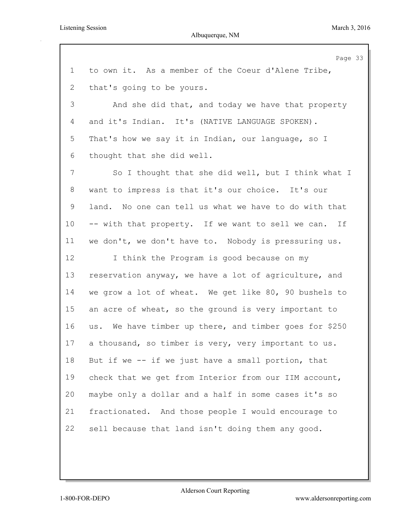## Albuquerque, NM

|             | Page 33                                                |
|-------------|--------------------------------------------------------|
| $\mathbf 1$ | to own it. As a member of the Coeur d'Alene Tribe,     |
| 2           | that's going to be yours.                              |
| 3           | And she did that, and today we have that property      |
| 4           | and it's Indian. It's (NATIVE LANGUAGE SPOKEN).        |
| 5           | That's how we say it in Indian, our language, so I     |
| 6           | thought that she did well.                             |
| 7           | So I thought that she did well, but I think what I     |
| $8\,$       | want to impress is that it's our choice. It's our      |
| 9           | land. No one can tell us what we have to do with that  |
| 10          | -- with that property. If we want to sell we can. If   |
| 11          | we don't, we don't have to. Nobody is pressuring us.   |
| 12          | I think the Program is good because on my              |
| 13          | reservation anyway, we have a lot of agriculture, and  |
| 14          | we grow a lot of wheat. We get like 80, 90 bushels to  |
| 15          | an acre of wheat, so the ground is very important to   |
| 16          | us. We have timber up there, and timber goes for \$250 |
| 17          | a thousand, so timber is very, very important to us.   |
| 18          | But if we $-$ if we just have a small portion, that    |
| 19          | check that we get from Interior from our IIM account,  |
| 20          | maybe only a dollar and a half in some cases it's so   |
| 21          | fractionated. And those people I would encourage to    |
| 22          | sell because that land isn't doing them any good.      |
|             |                                                        |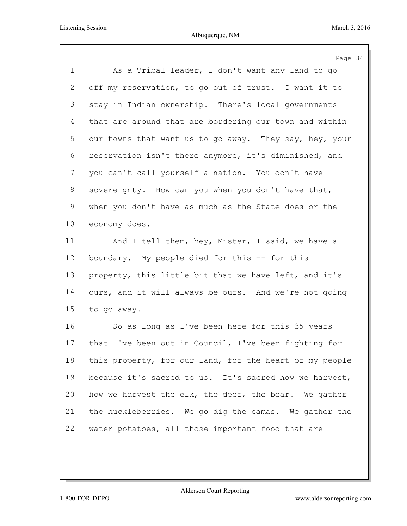|             | Page 34                                                 |
|-------------|---------------------------------------------------------|
| $\mathbf 1$ | As a Tribal leader, I don't want any land to go         |
| 2           | off my reservation, to go out of trust. I want it to    |
| 3           | stay in Indian ownership. There's local governments     |
| 4           | that are around that are bordering our town and within  |
| 5           | our towns that want us to go away. They say, hey, your  |
| 6           | reservation isn't there anymore, it's diminished, and   |
| 7           | you can't call yourself a nation. You don't have        |
| 8           | sovereignty. How can you when you don't have that,      |
| 9           | when you don't have as much as the State does or the    |
| 10          | economy does.                                           |
| 11          | And I tell them, hey, Mister, I said, we have a         |
| 12          | boundary. My people died for this -- for this           |
| 13          | property, this little bit that we have left, and it's   |
| 14          | ours, and it will always be ours. And we're not going   |
| 15          | to go away.                                             |
| 16          | So as long as I've been here for this 35 years          |
| 17          | that I've been out in Council, I've been fighting for   |
| 18          | this property, for our land, for the heart of my people |
| 19          | because it's sacred to us. It's sacred how we harvest,  |
| 20          | how we harvest the elk, the deer, the bear. We gather   |
| 21          | the huckleberries. We go dig the camas. We gather the   |
| 22          | water potatoes, all those important food that are       |
|             |                                                         |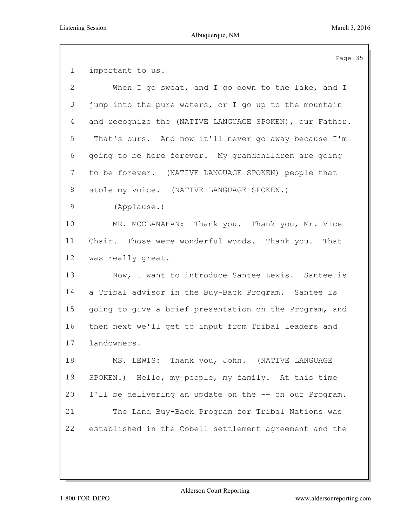important to us. When I go sweat, and I go down to the lake, and I jump into the pure waters, or I go up to the mountain and recognize the (NATIVE LANGUAGE SPOKEN), our Father. That's ours. And now it'll never go away because I'm going to be here forever. My grandchildren are going to be forever. (NATIVE LANGUAGE SPOKEN) people that stole my voice. (NATIVE LANGUAGE SPOKEN.) (Applause.) MR. MCCLANAHAN: Thank you. Thank you, Mr. Vice Chair. Those were wonderful words. Thank you. That was really great. Now, I want to introduce Santee Lewis. Santee is a Tribal advisor in the Buy-Back Program. Santee is going to give a brief presentation on the Program, and then next we'll get to input from Tribal leaders and landowners. MS. LEWIS: Thank you, John. (NATIVE LANGUAGE SPOKEN.) Hello, my people, my family. At this time I'll be delivering an update on the -- on our Program. The Land Buy-Back Program for Tribal Nations was established in the Cobell settlement agreement and the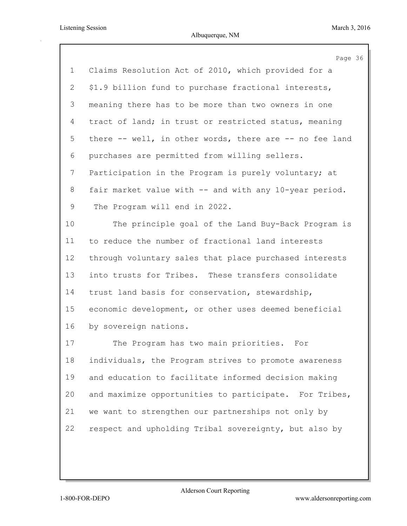|                | Page 36                                                 |
|----------------|---------------------------------------------------------|
| $\mathbf 1$    | Claims Resolution Act of 2010, which provided for a     |
| $\overline{2}$ | \$1.9 billion fund to purchase fractional interests,    |
| 3              | meaning there has to be more than two owners in one     |
| 4              | tract of land; in trust or restricted status, meaning   |
| 5              | there -- well, in other words, there are -- no fee land |
| 6              | purchases are permitted from willing sellers.           |
| 7              | Participation in the Program is purely voluntary; at    |
| 8              | fair market value with -- and with any 10-year period.  |
| 9              | The Program will end in 2022.                           |
| 10             | The principle goal of the Land Buy-Back Program is      |
| 11             | to reduce the number of fractional land interests       |
| 12             | through voluntary sales that place purchased interests  |
| 13             | into trusts for Tribes. These transfers consolidate     |
| 14             | trust land basis for conservation, stewardship,         |
| 15             | economic development, or other uses deemed beneficial   |
| 16             | by sovereign nations.                                   |
| 17             | The Program has two main priorities.<br>For             |
| 18             | individuals, the Program strives to promote awareness   |
| 19             | and education to facilitate informed decision making    |
| 20             | and maximize opportunities to participate. For Tribes,  |
| 21             | we want to strengthen our partnerships not only by      |
| 22             | respect and upholding Tribal sovereignty, but also by   |
|                |                                                         |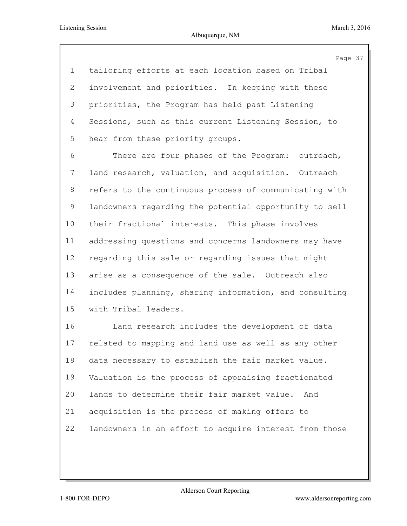Page 37

 tailoring efforts at each location based on Tribal involvement and priorities. In keeping with these priorities, the Program has held past Listening Sessions, such as this current Listening Session, to hear from these priority groups.

 There are four phases of the Program: outreach, land research, valuation, and acquisition. Outreach refers to the continuous process of communicating with landowners regarding the potential opportunity to sell their fractional interests. This phase involves addressing questions and concerns landowners may have regarding this sale or regarding issues that might arise as a consequence of the sale. Outreach also includes planning, sharing information, and consulting with Tribal leaders.

 Land research includes the development of data related to mapping and land use as well as any other data necessary to establish the fair market value. Valuation is the process of appraising fractionated lands to determine their fair market value. And acquisition is the process of making offers to landowners in an effort to acquire interest from those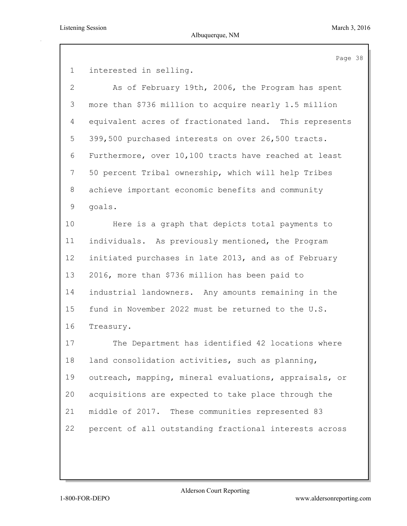Page 38

interested in selling.

| $\mathbf{2}$   | As of February 19th, 2006, the Program has spent       |
|----------------|--------------------------------------------------------|
| 3              | more than \$736 million to acquire nearly 1.5 million  |
| 4              | equivalent acres of fractionated land. This represents |
| 5              | 399,500 purchased interests on over 26,500 tracts.     |
| 6              | Furthermore, over 10,100 tracts have reached at least  |
| $7\phantom{.}$ | 50 percent Tribal ownership, which will help Tribes    |
| 8              | achieve important economic benefits and community      |
| $\mathsf 9$    | goals.                                                 |
| 10             | Here is a graph that depicts total payments to         |
| 11             | individuals. As previously mentioned, the Program      |
| 12             | initiated purchases in late 2013, and as of February   |
| 13             | 2016, more than \$736 million has been paid to         |
| 14             | industrial landowners. Any amounts remaining in the    |
| 15             | fund in November 2022 must be returned to the U.S.     |
| 16             | Treasury.                                              |
| 17             | The Department has identified 42 locations where       |
| 18             | land consolidation activities, such as planning,       |
| 19             | outreach, mapping, mineral evaluations, appraisals, or |
| 20             | acquisitions are expected to take place through the    |

percent of all outstanding fractional interests across

middle of 2017. These communities represented 83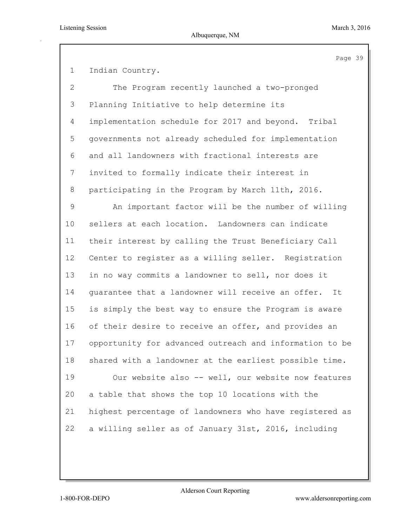Page 39

 Indian Country. The Program recently launched a two-pronged Planning Initiative to help determine its implementation schedule for 2017 and beyond. Tribal governments not already scheduled for implementation and all landowners with fractional interests are invited to formally indicate their interest in participating in the Program by March 11th, 2016. An important factor will be the number of willing sellers at each location. Landowners can indicate their interest by calling the Trust Beneficiary Call Center to register as a willing seller. Registration in no way commits a landowner to sell, nor does it guarantee that a landowner will receive an offer. It is simply the best way to ensure the Program is aware 16 of their desire to receive an offer, and provides an opportunity for advanced outreach and information to be shared with a landowner at the earliest possible time. Our website also -- well, our website now features a table that shows the top 10 locations with the

 highest percentage of landowners who have registered as a willing seller as of January 31st, 2016, including

Alderson Court Reporting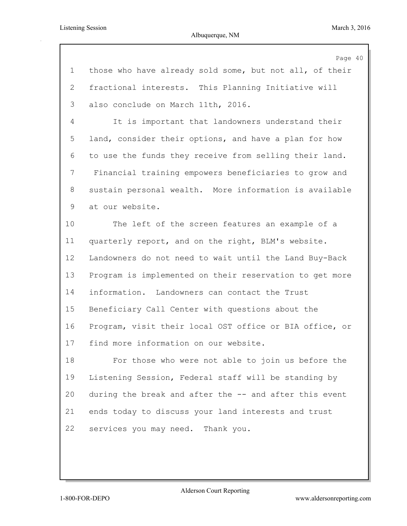|                | Page 40                                                 |
|----------------|---------------------------------------------------------|
| $\mathbf 1$    | those who have already sold some, but not all, of their |
| $\overline{2}$ | fractional interests. This Planning Initiative will     |
| 3              | also conclude on March 11th, 2016.                      |
| $\overline{4}$ | It is important that landowners understand their        |
| 5              | land, consider their options, and have a plan for how   |
| 6              | to use the funds they receive from selling their land.  |
| 7              | Financial training empowers beneficiaries to grow and   |
| $8\,$          | sustain personal wealth. More information is available  |
| 9              | at our website.                                         |
| 10             | The left of the screen features an example of a         |
| 11             | quarterly report, and on the right, BLM's website.      |
| 12             | Landowners do not need to wait until the Land Buy-Back  |
| 13             | Program is implemented on their reservation to get more |
| 14             | information. Landowners can contact the Trust           |
| 15             | Beneficiary Call Center with questions about the        |
| 16             | Program, visit their local OST office or BIA office, or |
| 17             | find more information on our website.                   |
| 18             | For those who were not able to join us before the       |
| 19             | Listening Session, Federal staff will be standing by    |
| 20             | during the break and after the -- and after this event  |
| 21             | ends today to discuss your land interests and trust     |
| 22             | services you may need. Thank you.                       |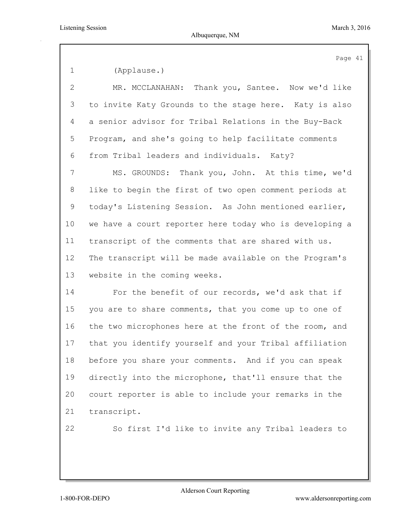Page 41 (Applause.) MR. MCCLANAHAN: Thank you, Santee. Now we'd like to invite Katy Grounds to the stage here. Katy is also a senior advisor for Tribal Relations in the Buy-Back Program, and she's going to help facilitate comments from Tribal leaders and individuals. Katy? MS. GROUNDS: Thank you, John. At this time, we'd like to begin the first of two open comment periods at today's Listening Session. As John mentioned earlier, we have a court reporter here today who is developing a transcript of the comments that are shared with us. The transcript will be made available on the Program's website in the coming weeks. For the benefit of our records, we'd ask that if you are to share comments, that you come up to one of the two microphones here at the front of the room, and that you identify yourself and your Tribal affiliation before you share your comments. And if you can speak directly into the microphone, that'll ensure that the court reporter is able to include your remarks in the transcript. So first I'd like to invite any Tribal leaders to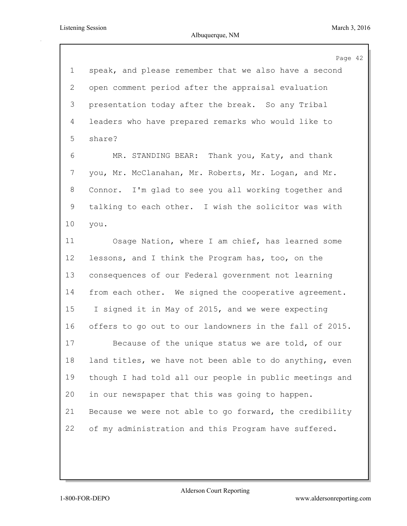|                 | Page 42                                                 |
|-----------------|---------------------------------------------------------|
| $\mathbf 1$     | speak, and please remember that we also have a second   |
| 2               | open comment period after the appraisal evaluation      |
| 3               | presentation today after the break. So any Tribal       |
| $\overline{4}$  | leaders who have prepared remarks who would like to     |
| 5               | share?                                                  |
| 6               | MR. STANDING BEAR:<br>Thank you, Katy, and thank        |
| 7               | you, Mr. McClanahan, Mr. Roberts, Mr. Logan, and Mr.    |
| 8               | Connor. I'm glad to see you all working together and    |
| 9               | talking to each other. I wish the solicitor was with    |
| 10              | you.                                                    |
| 11              | Osage Nation, where I am chief, has learned some        |
| 12 <sub>2</sub> | lessons, and I think the Program has, too, on the       |
| 13              | consequences of our Federal government not learning     |
| 14              | from each other. We signed the cooperative agreement.   |
| 15              | I signed it in May of 2015, and we were expecting       |
| 16              | offers to go out to our landowners in the fall of 2015. |
| 17              | Because of the unique status we are told, of our        |
| 18              | land titles, we have not been able to do anything, even |
| 19              | though I had told all our people in public meetings and |
| 20              | in our newspaper that this was going to happen.         |
| 21              | Because we were not able to go forward, the credibility |
| 22              | of my administration and this Program have suffered.    |
|                 |                                                         |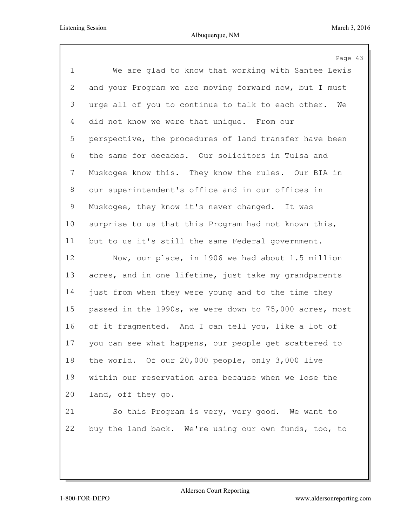|                | Page 43                                                  |
|----------------|----------------------------------------------------------|
| $\mathbf 1$    | We are glad to know that working with Santee Lewis       |
| $\overline{2}$ | and your Program we are moving forward now, but I must   |
| 3              | urge all of you to continue to talk to each other.<br>We |
| 4              | did not know we were that unique. From our               |
| 5              | perspective, the procedures of land transfer have been   |
| 6              | the same for decades. Our solicitors in Tulsa and        |
| $7\phantom{.}$ | Muskogee know this. They know the rules. Our BIA in      |
| 8              | our superintendent's office and in our offices in        |
| 9              | Muskogee, they know it's never changed. It was           |
| 10             | surprise to us that this Program had not known this,     |
| 11             | but to us it's still the same Federal government.        |
| 12             | Now, our place, in 1906 we had about 1.5 million         |
| 13             | acres, and in one lifetime, just take my grandparents    |
| 14             | just from when they were young and to the time they      |
| 15             | passed in the 1990s, we were down to 75,000 acres, most  |
| 16             | of it fragmented. And I can tell you, like a lot of      |
| 17             | you can see what happens, our people get scattered to    |
| 18             | the world. Of our 20,000 people, only 3,000 live         |
| 19             | within our reservation area because when we lose the     |
| 20             | land, off they go.                                       |
| 21             | So this Program is very, very good. We want to           |
| 22             | buy the land back. We're using our own funds, too, to    |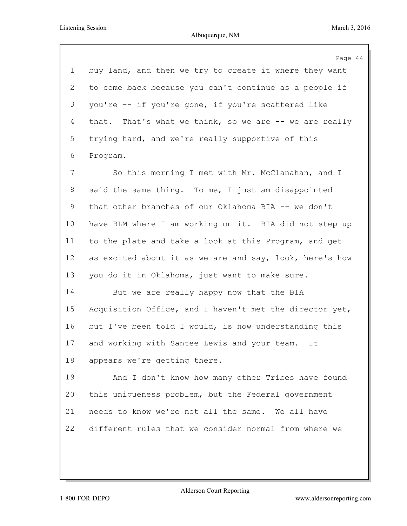|             | Page 44                                                 |
|-------------|---------------------------------------------------------|
| $\mathbf 1$ | buy land, and then we try to create it where they want  |
| 2           | to come back because you can't continue as a people if  |
| 3           | you're -- if you're gone, if you're scattered like      |
| 4           | that. That's what we think, so we are $-$ we are really |
| 5           | trying hard, and we're really supportive of this        |
| 6           | Program.                                                |
| 7           | So this morning I met with Mr. McClanahan, and I        |
| 8           | said the same thing. To me, I just am disappointed      |
| 9           | that other branches of our Oklahoma BIA -- we don't     |
| 10          | have BLM where I am working on it. BIA did not step up  |
| 11          | to the plate and take a look at this Program, and get   |
| 12          | as excited about it as we are and say, look, here's how |
| 13          | you do it in Oklahoma, just want to make sure.          |
| 14          | But we are really happy now that the BIA                |
| 15          | Acquisition Office, and I haven't met the director yet, |
| 16          | but I've been told I would, is now understanding this   |
| 17          | and working with Santee Lewis and your team.<br>It      |
| 18          | appears we're getting there.                            |
| 19          | And I don't know how many other Tribes have found       |
| 20          | this uniqueness problem, but the Federal government     |
| 21          | needs to know we're not all the same. We all have       |
| 22          | different rules that we consider normal from where we   |
|             |                                                         |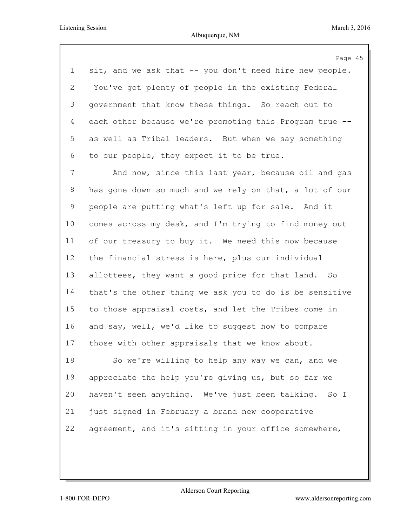Page 45 sit, and we ask that -- you don't need hire new people. You've got plenty of people in the existing Federal government that know these things. So reach out to each other because we're promoting this Program true -- as well as Tribal leaders. But when we say something to our people, they expect it to be true. And now, since this last year, because oil and gas has gone down so much and we rely on that, a lot of our people are putting what's left up for sale. And it comes across my desk, and I'm trying to find money out of our treasury to buy it. We need this now because the financial stress is here, plus our individual allottees, they want a good price for that land. So that's the other thing we ask you to do is be sensitive to those appraisal costs, and let the Tribes come in and say, well, we'd like to suggest how to compare those with other appraisals that we know about. So we're willing to help any way we can, and we appreciate the help you're giving us, but so far we haven't seen anything. We've just been talking. So I just signed in February a brand new cooperative

agreement, and it's sitting in your office somewhere,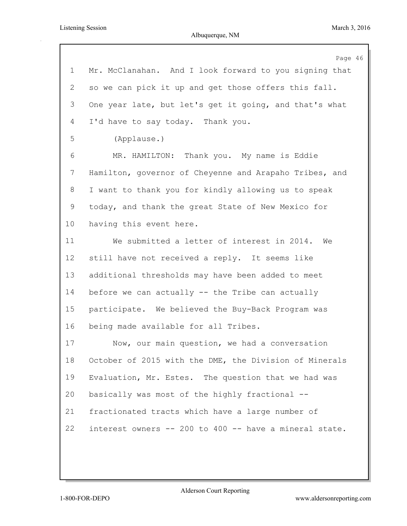|                | Page 46                                                |
|----------------|--------------------------------------------------------|
| $\mathbf 1$    | Mr. McClanahan. And I look forward to you signing that |
| $\overline{2}$ | so we can pick it up and get those offers this fall.   |
| 3              | One year late, but let's get it going, and that's what |
| 4              | I'd have to say today. Thank you.                      |
| 5              | (Applause.)                                            |
| 6              | MR. HAMILTON: Thank you. My name is Eddie              |
| 7              | Hamilton, governor of Cheyenne and Arapaho Tribes, and |
| 8              | I want to thank you for kindly allowing us to speak    |
| 9              | today, and thank the great State of New Mexico for     |
| 10             | having this event here.                                |
| 11             | We submitted a letter of interest in 2014.<br>We       |
| 12             | still have not received a reply. It seems like         |
| 13             | additional thresholds may have been added to meet      |
| 14             | before we can actually -- the Tribe can actually       |
| 15             | participate. We believed the Buy-Back Program was      |
| 16             | being made available for all Tribes.                   |
| 17             | Now, our main question, we had a conversation          |
| 18             | October of 2015 with the DME, the Division of Minerals |
| 19             | Evaluation, Mr. Estes. The question that we had was    |
| 20             | basically was most of the highly fractional --         |
| 21             | fractionated tracts which have a large number of       |
| 22             | interest owners -- 200 to 400 -- have a mineral state. |
|                |                                                        |
|                |                                                        |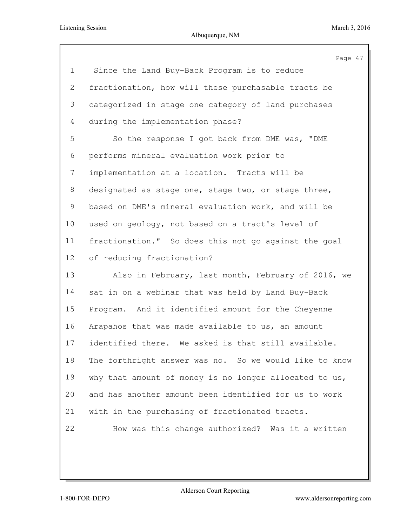|                | Page 47                                                |
|----------------|--------------------------------------------------------|
| 1              | Since the Land Buy-Back Program is to reduce           |
| $\overline{2}$ | fractionation, how will these purchasable tracts be    |
| 3              | categorized in stage one category of land purchases    |
| 4              | during the implementation phase?                       |
| 5              | So the response I got back from DME was, "DME          |
| 6              | performs mineral evaluation work prior to              |
| $7\phantom{.}$ | implementation at a location. Tracts will be           |
| 8              | designated as stage one, stage two, or stage three,    |
| 9              | based on DME's mineral evaluation work, and will be    |
| 10             | used on geology, not based on a tract's level of       |
| 11             | fractionation." So does this not go against the goal   |
| 12             | of reducing fractionation?                             |
| 13             | Also in February, last month, February of 2016, we     |
| 14             | sat in on a webinar that was held by Land Buy-Back     |
| 15             | Program. And it identified amount for the Cheyenne     |
| 16             | Arapahos that was made available to us, an amount      |
| 17             | identified there. We asked is that still available.    |
| 18             | The forthright answer was no. So we would like to know |
| 19             | why that amount of money is no longer allocated to us, |
| 20             | and has another amount been identified for us to work  |
| 21             | with in the purchasing of fractionated tracts.         |
| 22             | How was this change authorized? Was it a written       |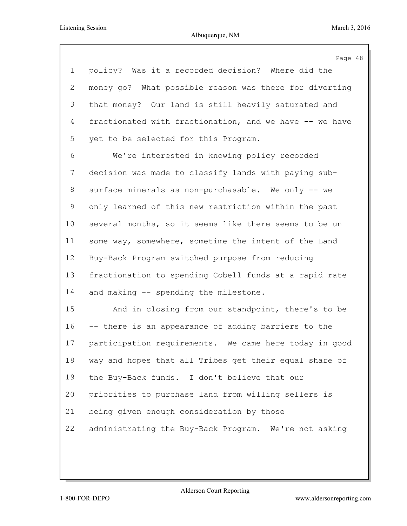|                | Page 48                                                 |
|----------------|---------------------------------------------------------|
| $\mathbf 1$    | policy? Was it a recorded decision? Where did the       |
| $\overline{2}$ | money go? What possible reason was there for diverting  |
| 3              | that money? Our land is still heavily saturated and     |
| $\overline{4}$ | fractionated with fractionation, and we have -- we have |
| 5              | yet to be selected for this Program.                    |
| 6              | We're interested in knowing policy recorded             |
| 7              | decision was made to classify lands with paying sub-    |
| 8              | surface minerals as non-purchasable. We only -- we      |
| 9              | only learned of this new restriction within the past    |
| 10             | several months, so it seems like there seems to be un   |
| 11             | some way, somewhere, sometime the intent of the Land    |
| 12             | Buy-Back Program switched purpose from reducing         |
| 13             | fractionation to spending Cobell funds at a rapid rate  |
| 14             | and making -- spending the milestone.                   |
| 15             | And in closing from our standpoint, there's to be       |
| 16             | -- there is an appearance of adding barriers to the     |
| 17             | participation requirements. We came here today in good  |
| 18             | way and hopes that all Tribes get their equal share of  |
| 19             | the Buy-Back funds. I don't believe that our            |
| 20             | priorities to purchase land from willing sellers is     |
| 21             | being given enough consideration by those               |
| 22             | administrating the Buy-Back Program. We're not asking   |
|                |                                                         |
|                |                                                         |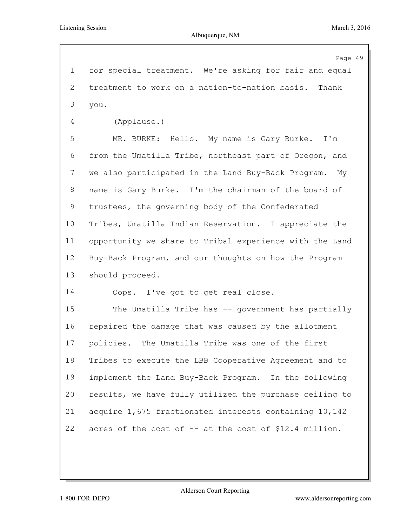Page 49 for special treatment. We're asking for fair and equal treatment to work on a nation-to-nation basis. Thank you. (Applause.) MR. BURKE: Hello. My name is Gary Burke. I'm from the Umatilla Tribe, northeast part of Oregon, and we also participated in the Land Buy-Back Program. My name is Gary Burke. I'm the chairman of the board of trustees, the governing body of the Confederated Tribes, Umatilla Indian Reservation. I appreciate the opportunity we share to Tribal experience with the Land Buy-Back Program, and our thoughts on how the Program should proceed. Oops. I've got to get real close. The Umatilla Tribe has -- government has partially repaired the damage that was caused by the allotment policies. The Umatilla Tribe was one of the first Tribes to execute the LBB Cooperative Agreement and to implement the Land Buy-Back Program. In the following results, we have fully utilized the purchase ceiling to acquire 1,675 fractionated interests containing 10,142 acres of the cost of -- at the cost of \$12.4 million.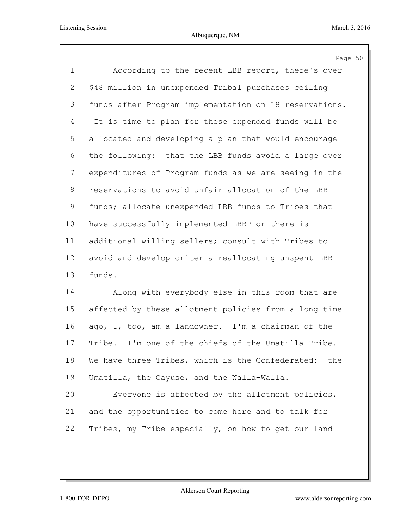|              | Page 50                                                |
|--------------|--------------------------------------------------------|
| $\mathbf 1$  | According to the recent LBB report, there's over       |
| $\mathbf{2}$ | \$48 million in unexpended Tribal purchases ceiling    |
| 3            | funds after Program implementation on 18 reservations. |
| 4            | It is time to plan for these expended funds will be    |
| 5            | allocated and developing a plan that would encourage   |
| 6            | the following: that the LBB funds avoid a large over   |
| 7            | expenditures of Program funds as we are seeing in the  |
| 8            | reservations to avoid unfair allocation of the LBB     |
| 9            | funds; allocate unexpended LBB funds to Tribes that    |
| 10           | have successfully implemented LBBP or there is         |
| 11           | additional willing sellers; consult with Tribes to     |
| 12           | avoid and develop criteria reallocating unspent LBB    |
| 13           | funds.                                                 |
| 14           | Along with everybody else in this room that are        |
| 15           | affected by these allotment policies from a long time  |
| 16           | ago, I, too, am a landowner. I'm a chairman of the     |
| 17           | Tribe. I'm one of the chiefs of the Umatilla Tribe.    |
| 18           | We have three Tribes, which is the Confederated: the   |
| 19           | Umatilla, the Cayuse, and the Walla-Walla.             |
| 20           | Everyone is affected by the allotment policies,        |
| 21           | and the opportunities to come here and to talk for     |
| 22           | Tribes, my Tribe especially, on how to get our land    |
|              |                                                        |
|              |                                                        |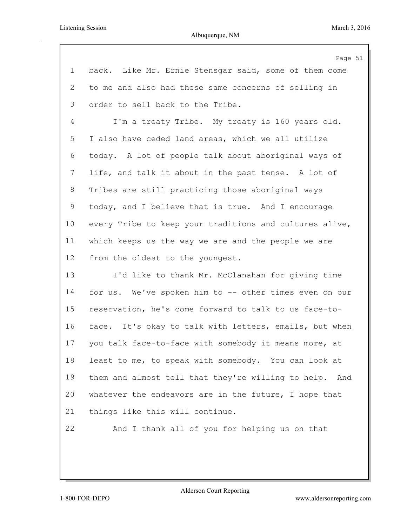|                | Page 51                                                 |
|----------------|---------------------------------------------------------|
| $\mathbf 1$    | back. Like Mr. Ernie Stensgar said, some of them come   |
| 2              | to me and also had these same concerns of selling in    |
| 3              | order to sell back to the Tribe.                        |
| $\overline{4}$ | I'm a treaty Tribe. My treaty is 160 years old.         |
| 5              | I also have ceded land areas, which we all utilize      |
| 6              | today. A lot of people talk about aboriginal ways of    |
| $7\phantom{.}$ | life, and talk it about in the past tense. A lot of     |
| 8              | Tribes are still practicing those aboriginal ways       |
| $\mathsf 9$    | today, and I believe that is true. And I encourage      |
| 10             | every Tribe to keep your traditions and cultures alive, |
| 11             | which keeps us the way we are and the people we are     |
| 12             | from the oldest to the youngest.                        |
| 13             | I'd like to thank Mr. McClanahan for giving time        |
| 14             | for us. We've spoken him to -- other times even on our  |
| 15             | reservation, he's come forward to talk to us face-to-   |
| 16             | face. It's okay to talk with letters, emails, but when  |
| 17             | you talk face-to-face with somebody it means more, at   |
| 18             | least to me, to speak with somebody. You can look at    |
| 19             | them and almost tell that they're willing to help. And  |
| 20             | whatever the endeavors are in the future, I hope that   |
| 21             | things like this will continue.                         |
| 22             | And I thank all of you for helping us on that           |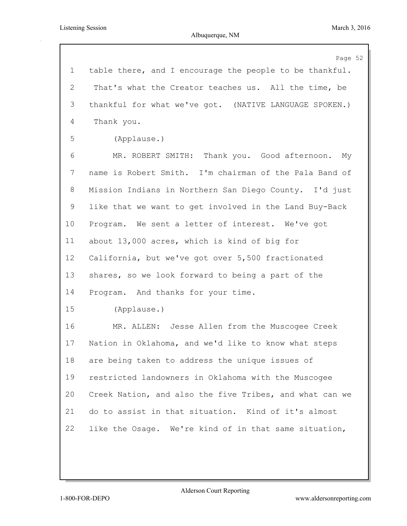|                 | Page 52                                                 |
|-----------------|---------------------------------------------------------|
| $\mathbf{1}$    | table there, and I encourage the people to be thankful. |
| 2               | That's what the Creator teaches us. All the time, be    |
| 3               | thankful for what we've got. (NATIVE LANGUAGE SPOKEN.)  |
| 4               | Thank you.                                              |
| 5               | (Applause.)                                             |
| 6               | MR. ROBERT SMITH: Thank you. Good afternoon. My         |
| $7\phantom{.}$  | name is Robert Smith. I'm chairman of the Pala Band of  |
| 8               | Mission Indians in Northern San Diego County. I'd just  |
| 9               | like that we want to get involved in the Land Buy-Back  |
| 10 <sub>o</sub> | Program. We sent a letter of interest. We've got        |
| 11              | about 13,000 acres, which is kind of big for            |
| 12              | California, but we've got over 5,500 fractionated       |
| 13              | shares, so we look forward to being a part of the       |
| 14              | Program. And thanks for your time.                      |
| 15              | (Applause.)                                             |
| 16              | MR. ALLEN: Jesse Allen from the Muscogee Creek          |
| 17              | Nation in Oklahoma, and we'd like to know what steps    |
| 18              | are being taken to address the unique issues of         |
| 19              | restricted landowners in Oklahoma with the Muscogee     |
| 20              | Creek Nation, and also the five Tribes, and what can we |
| 21              | do to assist in that situation. Kind of it's almost     |
| 22              | like the Osage. We're kind of in that same situation,   |
|                 |                                                         |
|                 |                                                         |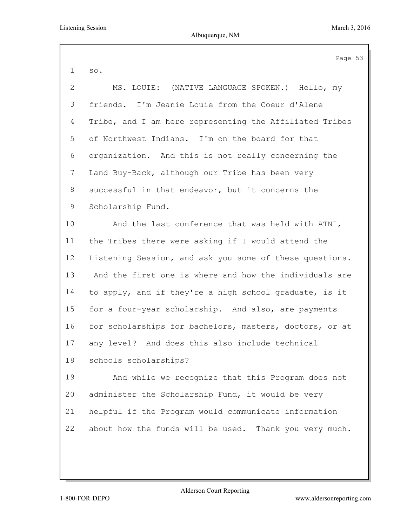Page 53 so. MS. LOUIE: (NATIVE LANGUAGE SPOKEN.) Hello, my friends. I'm Jeanie Louie from the Coeur d'Alene Tribe, and I am here representing the Affiliated Tribes of Northwest Indians. I'm on the board for that organization. And this is not really concerning the Land Buy-Back, although our Tribe has been very successful in that endeavor, but it concerns the Scholarship Fund. And the last conference that was held with ATNI, the Tribes there were asking if I would attend the Listening Session, and ask you some of these questions. And the first one is where and how the individuals are to apply, and if they're a high school graduate, is it for a four-year scholarship. And also, are payments for scholarships for bachelors, masters, doctors, or at any level? And does this also include technical schools scholarships?

 And while we recognize that this Program does not administer the Scholarship Fund, it would be very helpful if the Program would communicate information about how the funds will be used. Thank you very much.

Alderson Court Reporting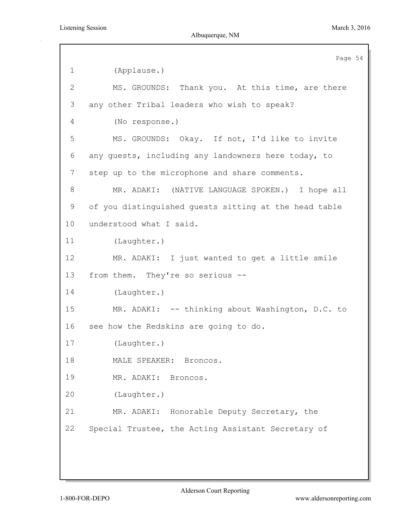|                 | Page 54                                               |
|-----------------|-------------------------------------------------------|
| $\mathbf 1$     | (Applause.)                                           |
| $\mathbf{2}$    | MS. GROUNDS: Thank you. At this time, are there       |
| 3               | any other Tribal leaders who wish to speak?           |
| 4               | (No response.)                                        |
| 5               | MS. GROUNDS: Okay. If not, I'd like to invite         |
| 6               | any guests, including any landowners here today, to   |
| 7               | step up to the microphone and share comments.         |
| 8               | MR. ADAKI: (NATIVE LANGUAGE SPOKEN.) I hope all       |
| 9               | of you distinguished quests sitting at the head table |
| 10 <sub>o</sub> | understood what I said.                               |
| 11              | (Laughter.)                                           |
| 12              | MR. ADAKI: I just wanted to get a little smile        |
| 13              | from them. They're so serious --                      |
| 14              | (Laughter.)                                           |
| 15              | MR. ADAKI: -- thinking about Washington, D.C. to      |
| 16              | see how the Redskins are going to do.                 |
| 17              | (Laughter.)                                           |
| 18              | MALE SPEAKER: Broncos.                                |
| 19              | MR. ADAKI: Broncos.                                   |
| 20              | (Laughter.)                                           |
| 21              | MR. ADAKI: Honorable Deputy Secretary, the            |
| 22              | Special Trustee, the Acting Assistant Secretary of    |
|                 |                                                       |
|                 |                                                       |
|                 |                                                       |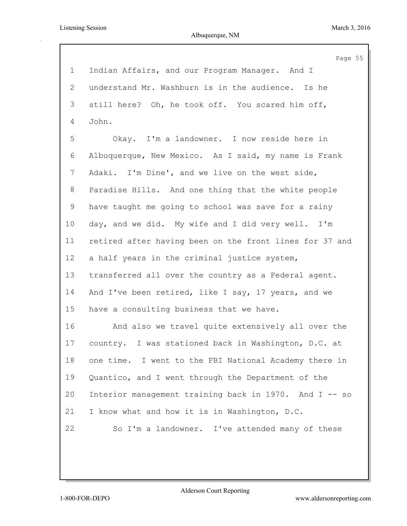|                | Page 55                                                 |
|----------------|---------------------------------------------------------|
| $\mathbf 1$    | Indian Affairs, and our Program Manager. And I          |
| $\overline{2}$ | understand Mr. Washburn is in the audience. Is he       |
| 3              | still here? Oh, he took off. You scared him off,        |
| $\overline{4}$ | John.                                                   |
| 5              | Okay. I'm a landowner. I now reside here in             |
| 6              | Albuquerque, New Mexico. As I said, my name is Frank    |
| 7              | Adaki. I'm Dine', and we live on the west side,         |
| 8              | Paradise Hills. And one thing that the white people     |
| 9              | have taught me going to school was save for a rainy     |
| 10             | day, and we did. My wife and I did very well. I'm       |
| 11             | retired after having been on the front lines for 37 and |
| 12             | a half years in the criminal justice system,            |
| 13             | transferred all over the country as a Federal agent.    |
| 14             | And I've been retired, like I say, 17 years, and we     |
| 15             | have a consulting business that we have.                |
| 16             | And also we travel quite extensively all over the       |
| 17             | country. I was stationed back in Washington, D.C. at    |
| 18             | one time. I went to the FBI National Academy there in   |
| 19             | Quantico, and I went through the Department of the      |
| 20             | Interior management training back in 1970. And I -- so  |
| 21             | I know what and how it is in Washington, D.C.           |
| 22             | So I'm a landowner. I've attended many of these         |
|                |                                                         |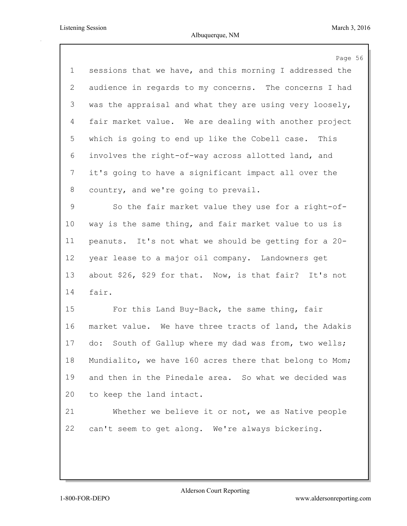|                | Page 56                                                  |
|----------------|----------------------------------------------------------|
| $\mathbf 1$    | sessions that we have, and this morning I addressed the  |
| 2              | audience in regards to my concerns. The concerns I had   |
| 3              | was the appraisal and what they are using very loosely,  |
| $\overline{4}$ | fair market value. We are dealing with another project   |
| 5              | which is going to end up like the Cobell case. This      |
| 6              | involves the right-of-way across allotted land, and      |
| 7              | it's going to have a significant impact all over the     |
| 8              | country, and we're going to prevail.                     |
| 9              | So the fair market value they use for a right-of-        |
| 10             | way is the same thing, and fair market value to us is    |
| 11             | peanuts. It's not what we should be getting for a 20-    |
| 12             | year lease to a major oil company. Landowners get        |
| 13             | about \$26, \$29 for that. Now, is that fair? It's not   |
| 14             | fair.                                                    |
| 15             | For this Land Buy-Back, the same thing, fair             |
| 16             | market value. We have three tracts of land, the Adakis   |
| 17             | South of Gallup where my dad was from, two wells;<br>do: |
| 18             | Mundialito, we have 160 acres there that belong to Mom;  |
| 19             | and then in the Pinedale area. So what we decided was    |
| 20             | to keep the land intact.                                 |
| 21             | Whether we believe it or not, we as Native people        |
| 22             | can't seem to get along. We're always bickering.         |
|                |                                                          |
|                |                                                          |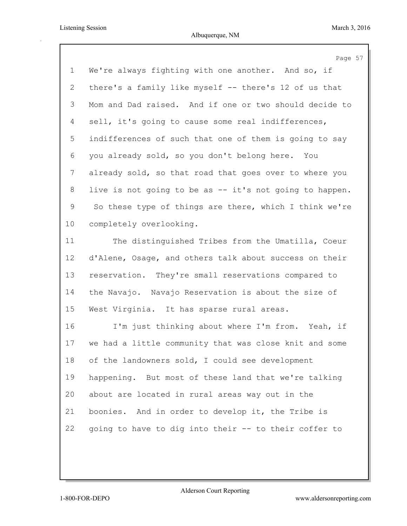|             | Page 57                                                 |
|-------------|---------------------------------------------------------|
| $\mathbf 1$ | We're always fighting with one another. And so, if      |
| 2           | there's a family like myself -- there's 12 of us that   |
| 3           | Mom and Dad raised. And if one or two should decide to  |
| 4           | sell, it's going to cause some real indifferences,      |
| 5           | indifferences of such that one of them is going to say  |
| 6           | you already sold, so you don't belong here. You         |
| 7           | already sold, so that road that goes over to where you  |
| 8           | live is not going to be as -- it's not going to happen. |
| 9           | So these type of things are there, which I think we're  |
| 10          | completely overlooking.                                 |
| 11          | The distinguished Tribes from the Umatilla, Coeur       |
| 12          | d'Alene, Osage, and others talk about success on their  |
| 13          | reservation. They're small reservations compared to     |
| 14          | the Navajo. Navajo Reservation is about the size of     |
| 15          | West Virginia. It has sparse rural areas.               |
| 16          | I'm just thinking about where I'm from. Yeah, if        |
| 17          | we had a little community that was close knit and some  |
| 18          | of the landowners sold, I could see development         |
| 19          | happening. But most of these land that we're talking    |
| 20          | about are located in rural areas way out in the         |
| 21          | boonies. And in order to develop it, the Tribe is       |
| 22          | going to have to dig into their -- to their coffer to   |
|             |                                                         |
|             |                                                         |

Alderson Court Reporting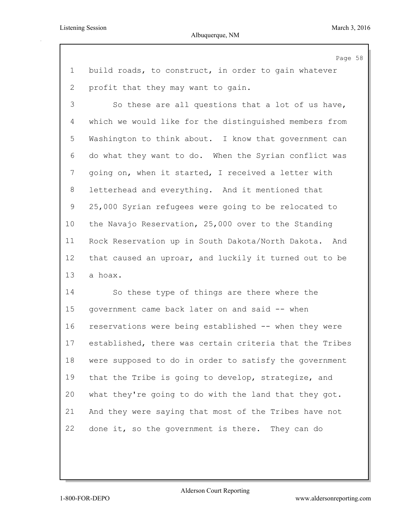Page 58 build roads, to construct, in order to gain whatever profit that they may want to gain. So these are all questions that a lot of us have, which we would like for the distinguished members from Washington to think about. I know that government can do what they want to do. When the Syrian conflict was going on, when it started, I received a letter with letterhead and everything. And it mentioned that 25,000 Syrian refugees were going to be relocated to the Navajo Reservation, 25,000 over to the Standing Rock Reservation up in South Dakota/North Dakota. And that caused an uproar, and luckily it turned out to be a hoax. So these type of things are there where the government came back later on and said -- when reservations were being established -- when they were

 established, there was certain criteria that the Tribes were supposed to do in order to satisfy the government that the Tribe is going to develop, strategize, and what they're going to do with the land that they got. And they were saying that most of the Tribes have not done it, so the government is there. They can do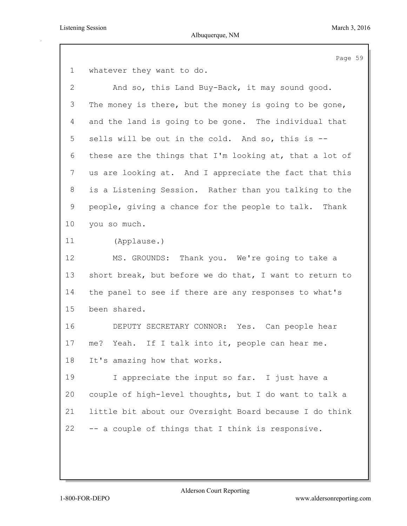Page 59

whatever they want to do.

 And so, this Land Buy-Back, it may sound good. The money is there, but the money is going to be gone, and the land is going to be gone. The individual that sells will be out in the cold. And so, this is -- these are the things that I'm looking at, that a lot of us are looking at. And I appreciate the fact that this is a Listening Session. Rather than you talking to the people, giving a chance for the people to talk. Thank you so much. (Applause.) MS. GROUNDS: Thank you. We're going to take a short break, but before we do that, I want to return to the panel to see if there are any responses to what's been shared. DEPUTY SECRETARY CONNOR: Yes. Can people hear me? Yeah. If I talk into it, people can hear me. It's amazing how that works. I appreciate the input so far. I just have a couple of high-level thoughts, but I do want to talk a little bit about our Oversight Board because I do think -- a couple of things that I think is responsive.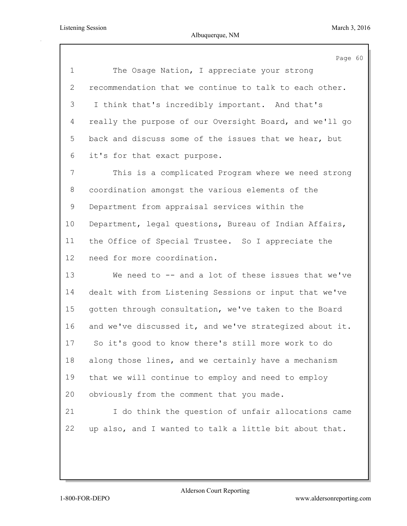|                | Page 60                                                 |
|----------------|---------------------------------------------------------|
| $\mathbf 1$    | The Osage Nation, I appreciate your strong              |
| $\overline{2}$ | recommendation that we continue to talk to each other.  |
| 3              | I think that's incredibly important. And that's         |
| 4              | really the purpose of our Oversight Board, and we'll go |
| 5              | back and discuss some of the issues that we hear, but   |
| 6              | it's for that exact purpose.                            |
| 7              | This is a complicated Program where we need strong      |
| 8              | coordination amongst the various elements of the        |
| 9              | Department from appraisal services within the           |
| $10 \,$        | Department, legal questions, Bureau of Indian Affairs,  |
| 11             | the Office of Special Trustee. So I appreciate the      |
| 12             | need for more coordination.                             |
| 13             | We need to -- and a lot of these issues that we've      |
| 14             | dealt with from Listening Sessions or input that we've  |
| 15             | gotten through consultation, we've taken to the Board   |
| 16             | and we've discussed it, and we've strategized about it. |
| 17             | So it's good to know there's still more work to do      |
| 18             | along those lines, and we certainly have a mechanism    |
| 19             | that we will continue to employ and need to employ      |
| 20             | obviously from the comment that you made.               |
| 21             | I do think the question of unfair allocations came      |
| 22             | up also, and I wanted to talk a little bit about that.  |
|                |                                                         |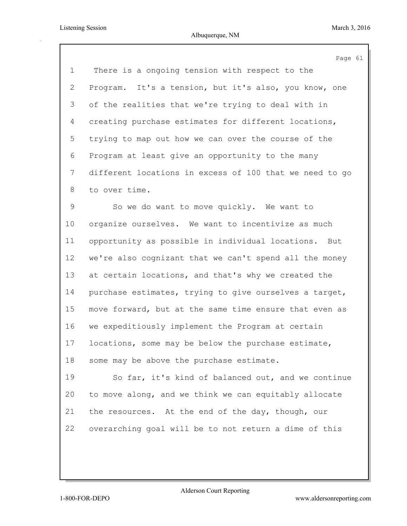|             | Page 61                                                 |
|-------------|---------------------------------------------------------|
| $\mathbf 1$ | There is a ongoing tension with respect to the          |
| 2           | Program. It's a tension, but it's also, you know, one   |
| 3           | of the realities that we're trying to deal with in      |
| 4           | creating purchase estimates for different locations,    |
| 5           | trying to map out how we can over the course of the     |
| 6           | Program at least give an opportunity to the many        |
| 7           | different locations in excess of 100 that we need to go |
| 8           | to over time.                                           |
| 9           | So we do want to move quickly. We want to               |
| 10          | organize ourselves. We want to incentivize as much      |
| 11          | opportunity as possible in individual locations. But    |
| 12          | we're also cognizant that we can't spend all the money  |
| 13          | at certain locations, and that's why we created the     |
| 14          | purchase estimates, trying to give ourselves a target,  |
| 15          | move forward, but at the same time ensure that even as  |
| 16          | we expeditiously implement the Program at certain       |
| 17          | locations, some may be below the purchase estimate,     |
| 18          | some may be above the purchase estimate.                |
| 19          | So far, it's kind of balanced out, and we continue      |
| 20          | to move along, and we think we can equitably allocate   |
| 21          | the resources. At the end of the day, though, our       |
| 22          | overarching goal will be to not return a dime of this   |
|             |                                                         |
|             |                                                         |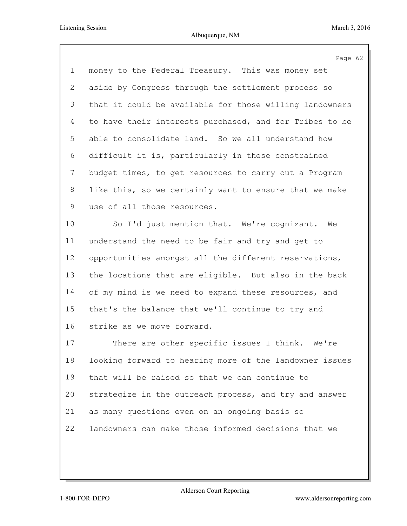|             | Page 62                                                 |
|-------------|---------------------------------------------------------|
| $\mathbf 1$ | money to the Federal Treasury. This was money set       |
| 2           | aside by Congress through the settlement process so     |
| 3           | that it could be available for those willing landowners |
| 4           | to have their interests purchased, and for Tribes to be |
| 5           | able to consolidate land. So we all understand how      |
| 6           | difficult it is, particularly in these constrained      |
| 7           | budget times, to get resources to carry out a Program   |
| 8           | like this, so we certainly want to ensure that we make  |
| 9           | use of all those resources.                             |
| 10          | So I'd just mention that. We're cognizant. We           |
| 11          | understand the need to be fair and try and get to       |
| 12          | opportunities amongst all the different reservations,   |
| 13          | the locations that are eligible. But also in the back   |
| 14          | of my mind is we need to expand these resources, and    |
| 15          | that's the balance that we'll continue to try and       |
| 16          | strike as we move forward.                              |
| 17          | There are other specific issues I think.<br>We're       |
| 18          | looking forward to hearing more of the landowner issues |
| 19          | that will be raised so that we can continue to          |
| 20          | strategize in the outreach process, and try and answer  |
| 21          | as many questions even on an ongoing basis so           |
| 22          | landowners can make those informed decisions that we    |
|             |                                                         |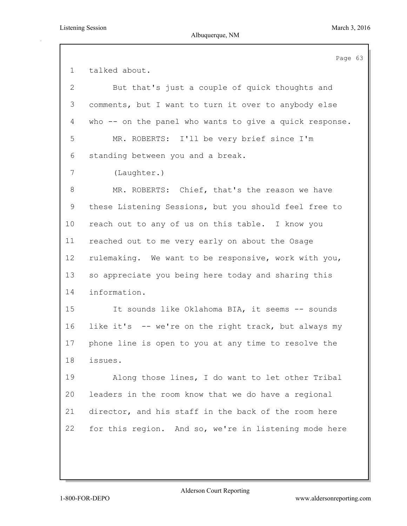|                | Page 63                                                 |
|----------------|---------------------------------------------------------|
| $\mathbf 1$    | talked about.                                           |
| $\overline{2}$ | But that's just a couple of quick thoughts and          |
| 3              | comments, but I want to turn it over to anybody else    |
| 4              | who -- on the panel who wants to give a quick response. |
| 5              | MR. ROBERTS: I'll be very brief since I'm               |
| 6              | standing between you and a break.                       |
| 7              | (Laughter.)                                             |
| 8              | MR. ROBERTS: Chief, that's the reason we have           |
| 9              | these Listening Sessions, but you should feel free to   |
| 10             | reach out to any of us on this table. I know you        |
| 11             | reached out to me very early on about the Osage         |
| 12             | rulemaking. We want to be responsive, work with you,    |
| 13             | so appreciate you being here today and sharing this     |
| 14             | information.                                            |
| 15             | It sounds like Oklahoma BIA, it seems -- sounds         |
| 16             | like it's -- we're on the right track, but always my    |
| 17             | phone line is open to you at any time to resolve the    |
| 18             | issues.                                                 |
| 19             | Along those lines, I do want to let other Tribal        |
| 20             | leaders in the room know that we do have a regional     |
| 21             | director, and his staff in the back of the room here    |
| 22             | for this region. And so, we're in listening mode here   |
|                |                                                         |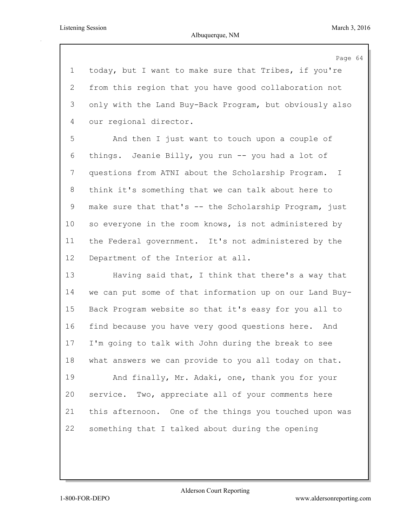|             | Page 64                                                 |
|-------------|---------------------------------------------------------|
| $\mathbf 1$ | today, but I want to make sure that Tribes, if you're   |
| 2           | from this region that you have good collaboration not   |
| 3           | only with the Land Buy-Back Program, but obviously also |
| 4           | our regional director.                                  |
| 5           | And then I just want to touch upon a couple of          |
| 6           | things. Jeanie Billy, you run -- you had a lot of       |
| 7           | questions from ATNI about the Scholarship Program. I    |
| 8           | think it's something that we can talk about here to     |
| 9           | make sure that that's -- the Scholarship Program, just  |
| 10          | so everyone in the room knows, is not administered by   |
| 11          | the Federal government. It's not administered by the    |
| 12          | Department of the Interior at all.                      |
| 13          | Having said that, I think that there's a way that       |
| 14          | we can put some of that information up on our Land Buy- |
| 15          | Back Program website so that it's easy for you all to   |
| 16          | find because you have very good questions here. And     |
| 17          | I'm going to talk with John during the break to see     |
| 18          | what answers we can provide to you all today on that.   |
| 19          | And finally, Mr. Adaki, one, thank you for your         |
| 20          | service. Two, appreciate all of your comments here      |
| 21          | this afternoon. One of the things you touched upon was  |
| 22          | something that I talked about during the opening        |
|             |                                                         |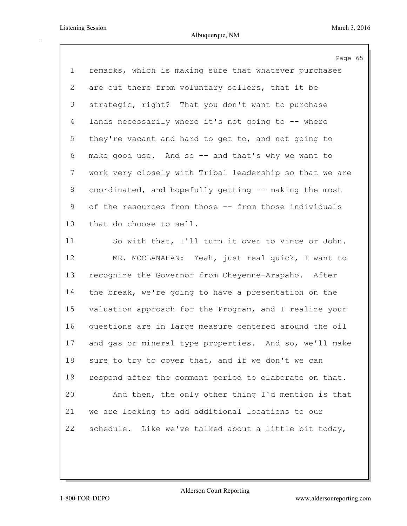|                | Page 65                                                 |
|----------------|---------------------------------------------------------|
| $\mathbf 1$    | remarks, which is making sure that whatever purchases   |
| 2              | are out there from voluntary sellers, that it be        |
| 3              | strategic, right? That you don't want to purchase       |
| 4              | lands necessarily where it's not going to -- where      |
| 5              | they're vacant and hard to get to, and not going to     |
| 6              | make good use. And so -- and that's why we want to      |
| $7\phantom{.}$ | work very closely with Tribal leadership so that we are |
| 8              | coordinated, and hopefully getting -- making the most   |
| 9              | of the resources from those -- from those individuals   |
| 10             | that do choose to sell.                                 |
| 11             | So with that, I'll turn it over to Vince or John.       |
| 12             | MR. MCCLANAHAN: Yeah, just real quick, I want to        |
| 13             | recognize the Governor from Cheyenne-Arapaho. After     |
| 14             | the break, we're going to have a presentation on the    |
| 15             | valuation approach for the Program, and I realize your  |
| 16             | questions are in large measure centered around the oil  |
| 17             | and gas or mineral type properties. And so, we'll make  |
| 18             | sure to try to cover that, and if we don't we can       |
| 19             | respond after the comment period to elaborate on that.  |
| 20             | And then, the only other thing I'd mention is that      |
| 21             | we are looking to add additional locations to our       |
| 22             | schedule. Like we've talked about a little bit today,   |
|                |                                                         |
|                |                                                         |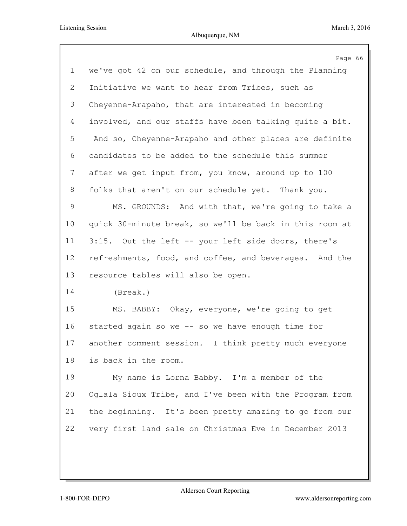|                | Page 66                                                 |
|----------------|---------------------------------------------------------|
| $\mathbf 1$    | we've got 42 on our schedule, and through the Planning  |
| $\overline{2}$ | Initiative we want to hear from Tribes, such as         |
| 3              | Cheyenne-Arapaho, that are interested in becoming       |
| 4              | involved, and our staffs have been talking quite a bit. |
| 5              | And so, Cheyenne-Arapaho and other places are definite  |
| 6              | candidates to be added to the schedule this summer      |
| 7              | after we get input from, you know, around up to 100     |
| 8              | folks that aren't on our schedule yet. Thank you.       |
| 9              | MS. GROUNDS: And with that, we're going to take a       |
| 10             | quick 30-minute break, so we'll be back in this room at |
| 11             | 3:15. Out the left -- your left side doors, there's     |
| 12             | refreshments, food, and coffee, and beverages. And the  |
| 13             | resource tables will also be open.                      |
| 14             | (Break.)                                                |
| 15             | MS. BABBY: Okay, everyone, we're going to get           |
| 16             | started again so we -- so we have enough time for       |
| 17             | another comment session. I think pretty much everyone   |
| 18             | is back in the room.                                    |
| 19             | My name is Lorna Babby. I'm a member of the             |
| 20             | Oglala Sioux Tribe, and I've been with the Program from |
| 21             | the beginning. It's been pretty amazing to go from our  |
| 22             | very first land sale on Christmas Eve in December 2013  |
|                |                                                         |
|                |                                                         |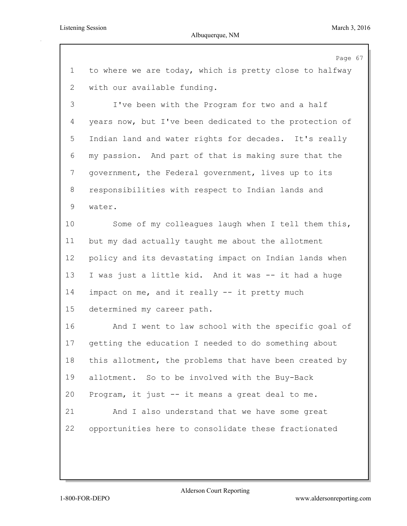|             | Page 67                                                 |
|-------------|---------------------------------------------------------|
| $\mathbf 1$ | to where we are today, which is pretty close to halfway |
| 2           | with our available funding.                             |
| 3           | I've been with the Program for two and a half           |
| 4           | years now, but I've been dedicated to the protection of |
| 5           | Indian land and water rights for decades. It's really   |
| 6           | my passion. And part of that is making sure that the    |
| 7           | government, the Federal government, lives up to its     |
| 8           | responsibilities with respect to Indian lands and       |
| 9           | water.                                                  |
| 10          | Some of my colleagues laugh when I tell them this,      |
| 11          | but my dad actually taught me about the allotment       |
| 12          | policy and its devastating impact on Indian lands when  |
| 13          | I was just a little kid. And it was -- it had a huge    |
| 14          | impact on me, and it really -- it pretty much           |
| 15          | determined my career path.                              |
| 16          | And I went to law school with the specific goal of      |
| 17          | getting the education I needed to do something about    |
| 18          | this allotment, the problems that have been created by  |
| 19          | allotment. So to be involved with the Buy-Back          |
| 20          | Program, it just -- it means a great deal to me.        |
| 21          | And I also understand that we have some great           |
| 22          | opportunities here to consolidate these fractionated    |
|             |                                                         |
|             |                                                         |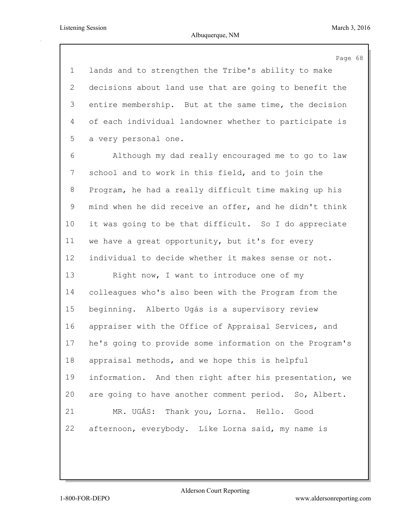Page 68

 lands and to strengthen the Tribe's ability to make decisions about land use that are going to benefit the entire membership. But at the same time, the decision of each individual landowner whether to participate is a very personal one.

 Although my dad really encouraged me to go to law school and to work in this field, and to join the Program, he had a really difficult time making up his mind when he did receive an offer, and he didn't think it was going to be that difficult. So I do appreciate we have a great opportunity, but it's for every individual to decide whether it makes sense or not.

13 Right now, I want to introduce one of my colleagues who's also been with the Program from the beginning. Alberto Ugás is a supervisory review appraiser with the Office of Appraisal Services, and he's going to provide some information on the Program's appraisal methods, and we hope this is helpful information. And then right after his presentation, we are going to have another comment period. So, Albert. MR. UGÁS: Thank you, Lorna. Hello. Good afternoon, everybody. Like Lorna said, my name is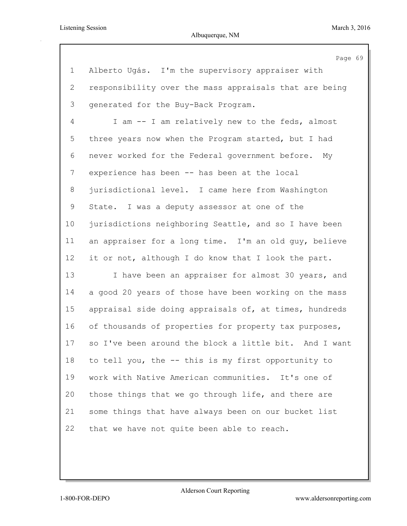|                | Page 69                                                |
|----------------|--------------------------------------------------------|
| $\mathbf 1$    | Alberto Ugás. I'm the supervisory appraiser with       |
| $\overline{2}$ | responsibility over the mass appraisals that are being |
| 3              | generated for the Buy-Back Program.                    |
| 4              | I am -- I am relatively new to the feds, almost        |
| 5              | three years now when the Program started, but I had    |
| 6              | never worked for the Federal government before.<br>My  |
| 7              | experience has been -- has been at the local           |
| 8              | jurisdictional level. I came here from Washington      |
| 9              | State. I was a deputy assessor at one of the           |
| 10             | jurisdictions neighboring Seattle, and so I have been  |
| 11             | an appraiser for a long time. I'm an old guy, believe  |
| 12             | it or not, although I do know that I look the part.    |
| 13             | I have been an appraiser for almost 30 years, and      |
| 14             | a good 20 years of those have been working on the mass |
| 15             | appraisal side doing appraisals of, at times, hundreds |
| 16             | of thousands of properties for property tax purposes,  |
| 17             | so I've been around the block a little bit. And I want |
| 18             | to tell you, the -- this is my first opportunity to    |
| 19             | work with Native American communities. It's one of     |
| 20             | those things that we go through life, and there are    |
| 21             | some things that have always been on our bucket list   |
| 22             | that we have not quite been able to reach.             |
|                |                                                        |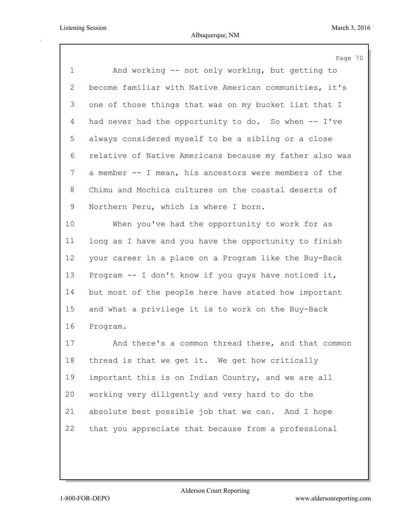|                | Page 70                                                 |
|----------------|---------------------------------------------------------|
| $\mathbf 1$    | And working -- not only working, but getting to         |
| $\overline{2}$ | become familiar with Native American communities, it's  |
| 3              | one of those things that was on my bucket list that I   |
| 4              | had never had the opportunity to do. So when -- I've    |
| 5              | always considered myself to be a sibling or a close     |
| 6              | relative of Native Americans because my father also was |
| 7              | a member -- I mean, his ancestors were members of the   |
| 8              | Chimu and Mochica cultures on the coastal deserts of    |
| 9              | Northern Peru, which is where I born.                   |
| 10             | When you've had the opportunity to work for as          |
| 11             | long as I have and you have the opportunity to finish   |
| 12             | your career in a place on a Program like the Buy-Back   |
| 13             | Program -- I don't know if you guys have noticed it,    |
| 14             | but most of the people here have stated how important   |
| 15             | and what a privilege it is to work on the Buy-Back      |
| 16             | Program.                                                |
| 17             | And there's a common thread there, and that common      |
| 18             | thread is that we get it. We get how critically         |
| 19             | important this is on Indian Country, and we are all     |
| 20             | working very diligently and very hard to do the         |
| 21             | absolute best possible job that we can. And I hope      |
| 22             | that you appreciate that because from a professional    |
|                |                                                         |
|                |                                                         |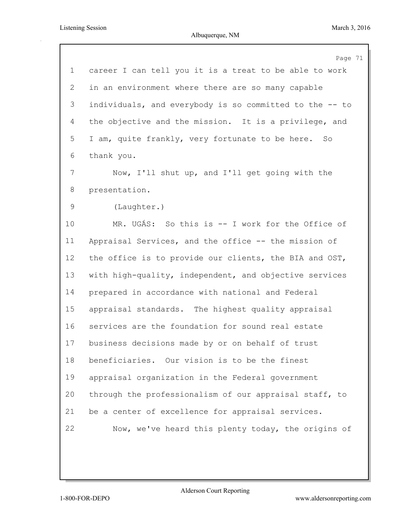|             | Page 71                                                 |
|-------------|---------------------------------------------------------|
| $\mathbf 1$ | career I can tell you it is a treat to be able to work  |
| 2           | in an environment where there are so many capable       |
| 3           | individuals, and everybody is so committed to the -- to |
| 4           | the objective and the mission. It is a privilege, and   |
| 5           | I am, quite frankly, very fortunate to be here. So      |
| 6           | thank you.                                              |
| 7           | Now, I'll shut up, and I'll get going with the          |
| 8           | presentation.                                           |
| 9           | (Laughter.)                                             |
| 10          | MR. UGÁS: So this is -- I work for the Office of        |
| 11          | Appraisal Services, and the office -- the mission of    |
| 12          | the office is to provide our clients, the BIA and OST,  |
| 13          | with high-quality, independent, and objective services  |
| 14          | prepared in accordance with national and Federal        |
| 15          | appraisal standards. The highest quality appraisal      |
| 16          | services are the foundation for sound real estate       |
| 17          | business decisions made by or on behalf of trust        |
| 18          | beneficiaries. Our vision is to be the finest           |
| 19          | appraisal organization in the Federal government        |
| 20          | through the professionalism of our appraisal staff, to  |
| 21          | be a center of excellence for appraisal services.       |
| 22          | Now, we've heard this plenty today, the origins of      |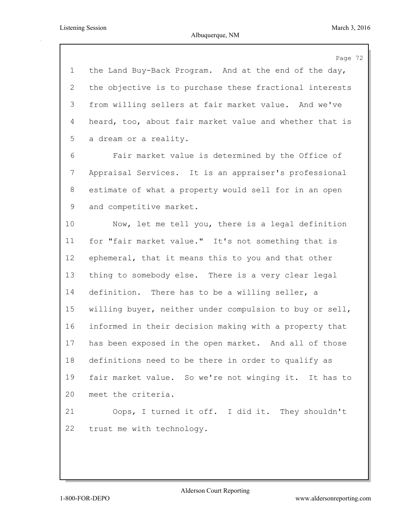Page 72 the Land Buy-Back Program. And at the end of the day, the objective is to purchase these fractional interests from willing sellers at fair market value. And we've heard, too, about fair market value and whether that is a dream or a reality. Fair market value is determined by the Office of Appraisal Services. It is an appraiser's professional estimate of what a property would sell for in an open and competitive market. Now, let me tell you, there is a legal definition for "fair market value." It's not something that is ephemeral, that it means this to you and that other thing to somebody else. There is a very clear legal definition. There has to be a willing seller, a willing buyer, neither under compulsion to buy or sell, informed in their decision making with a property that has been exposed in the open market. And all of those definitions need to be there in order to qualify as fair market value. So we're not winging it. It has to meet the criteria. Oops, I turned it off. I did it. They shouldn't trust me with technology.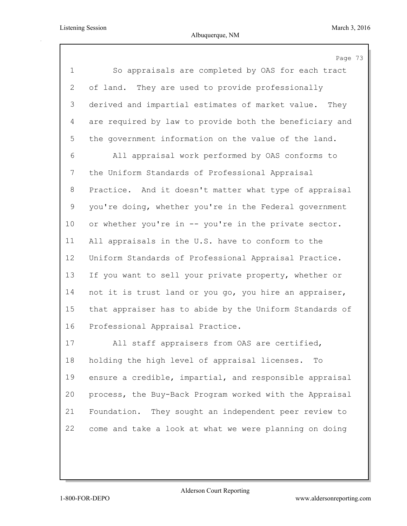$\mathfrak{Z}$ 

|                | Page 7                                                  |
|----------------|---------------------------------------------------------|
| $\mathbf 1$    | So appraisals are completed by OAS for each tract       |
| $\mathbf{2}$   | of land. They are used to provide professionally        |
| 3              | derived and impartial estimates of market value. They   |
| $\overline{4}$ | are required by law to provide both the beneficiary and |
| 5              | the government information on the value of the land.    |
| 6              | All appraisal work performed by OAS conforms to         |
| 7              | the Uniform Standards of Professional Appraisal         |
| 8              | Practice. And it doesn't matter what type of appraisal  |
| 9              | you're doing, whether you're in the Federal government  |
| 10             | or whether you're in -- you're in the private sector.   |
| 11             | All appraisals in the U.S. have to conform to the       |
| 12             | Uniform Standards of Professional Appraisal Practice.   |
| 13             | If you want to sell your private property, whether or   |
| 14             | not it is trust land or you go, you hire an appraiser,  |
| 15             | that appraiser has to abide by the Uniform Standards of |
| 16             | Professional Appraisal Practice.                        |
| 17             | All staff appraisers from OAS are certified,            |
| 18             | holding the high level of appraisal licenses<br>Ͳ⌒      |

 holding the high level of appraisal licenses. To ensure a credible, impartial, and responsible appraisal process, the Buy-Back Program worked with the Appraisal Foundation. They sought an independent peer review to come and take a look at what we were planning on doing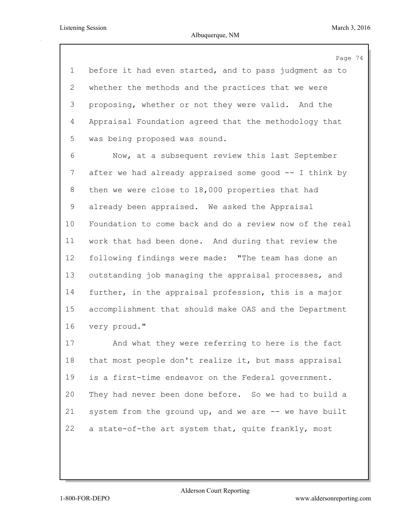Page 74 before it had even started, and to pass judgment as to whether the methods and the practices that we were proposing, whether or not they were valid. And the Appraisal Foundation agreed that the methodology that was being proposed was sound.

 Now, at a subsequent review this last September after we had already appraised some good -- I think by then we were close to 18,000 properties that had already been appraised. We asked the Appraisal Foundation to come back and do a review now of the real work that had been done. And during that review the following findings were made: "The team has done an outstanding job managing the appraisal processes, and further, in the appraisal profession, this is a major accomplishment that should make OAS and the Department very proud."

 And what they were referring to here is the fact that most people don't realize it, but mass appraisal is a first-time endeavor on the Federal government. They had never been done before. So we had to build a system from the ground up, and we are -- we have built 22 a state-of-the art system that, quite frankly, most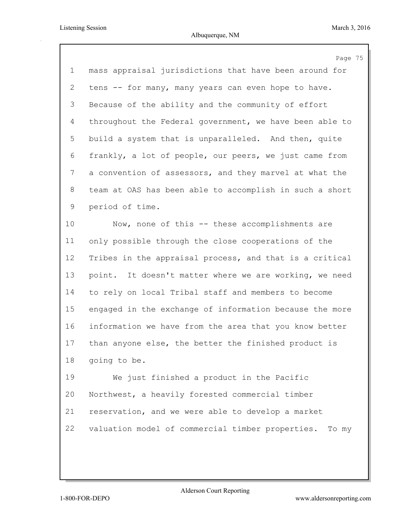|                 | Page 75                                                 |
|-----------------|---------------------------------------------------------|
| $\mathbf 1$     | mass appraisal jurisdictions that have been around for  |
| 2               | tens -- for many, many years can even hope to have.     |
| 3               | Because of the ability and the community of effort      |
| $\overline{4}$  | throughout the Federal government, we have been able to |
| 5               | build a system that is unparalleled. And then, quite    |
| 6               | frankly, a lot of people, our peers, we just came from  |
| 7               | a convention of assessors, and they marvel at what the  |
| 8               | team at OAS has been able to accomplish in such a short |
| 9               | period of time.                                         |
| 10 <sub>o</sub> | Now, none of this -- these accomplishments are          |
| 11              | only possible through the close cooperations of the     |
| 12              | Tribes in the appraisal process, and that is a critical |
| 13              | point. It doesn't matter where we are working, we need  |
| 14              | to rely on local Tribal staff and members to become     |
| 15              | engaged in the exchange of information because the more |
| 16              | information we have from the area that you know better  |
| 17              | than anyone else, the better the finished product is    |
| 18              | going to be.                                            |
| 19              | We just finished a product in the Pacific               |
| 20              | Northwest, a heavily forested commercial timber         |
| 21              | reservation, and we were able to develop a market       |
| 22              | valuation model of commercial timber properties. To my  |
|                 |                                                         |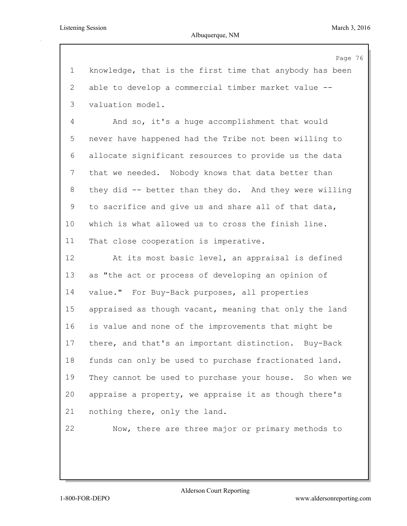Albuquerque, NM

|                | Page 76                                                 |
|----------------|---------------------------------------------------------|
| $\mathbf 1$    | knowledge, that is the first time that anybody has been |
| $\mathbf{2}$   | able to develop a commercial timber market value --     |
| 3              | valuation model.                                        |
| $\overline{4}$ | And so, it's a huge accomplishment that would           |
| 5              | never have happened had the Tribe not been willing to   |
| 6              | allocate significant resources to provide us the data   |
| 7              | that we needed. Nobody knows that data better than      |
| 8              | they did -- better than they do. And they were willing  |
| 9              | to sacrifice and give us and share all of that data,    |
| 10             | which is what allowed us to cross the finish line.      |
| 11             | That close cooperation is imperative.                   |
| 12             | At its most basic level, an appraisal is defined        |
| 13             | as "the act or process of developing an opinion of      |
| 14             | value." For Buy-Back purposes, all properties           |
| 15             | appraised as though vacant, meaning that only the land  |
| 16             | is value and none of the improvements that might be     |
| 17             | there, and that's an important distinction. Buy-Back    |
| 18             | funds can only be used to purchase fractionated land.   |
| 19             | They cannot be used to purchase your house. So when we  |
| 20             | appraise a property, we appraise it as though there's   |
| 21             | nothing there, only the land.                           |
| 22             | Now, there are three major or primary methods to        |
|                |                                                         |
|                |                                                         |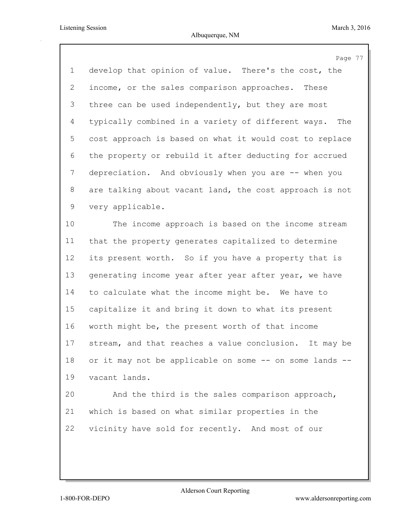|                | Page 77                                                   |
|----------------|-----------------------------------------------------------|
| $\mathbf 1$    | develop that opinion of value. There's the cost, the      |
| $\overline{2}$ | income, or the sales comparison approaches. These         |
| 3              | three can be used independently, but they are most        |
| $\overline{4}$ | typically combined in a variety of different ways.<br>The |
| 5              | cost approach is based on what it would cost to replace   |
| 6              | the property or rebuild it after deducting for accrued    |
| $7\phantom{.}$ | depreciation. And obviously when you are -- when you      |
| 8              | are talking about vacant land, the cost approach is not   |
| 9              | very applicable.                                          |
| 10             | The income approach is based on the income stream         |
| 11             | that the property generates capitalized to determine      |
| 12             | its present worth. So if you have a property that is      |
| 13             | generating income year after year after year, we have     |
| 14             | to calculate what the income might be. We have to         |
| 15             | capitalize it and bring it down to what its present       |
| 16             | worth might be, the present worth of that income          |
| 17             | stream, and that reaches a value conclusion. It may be    |
| 18             | or it may not be applicable on some -- on some lands --   |
| 19             | vacant lands.                                             |
| 20             | And the third is the sales comparison approach,           |
| 21             | which is based on what similar properties in the          |
| 22             | vicinity have sold for recently. And most of our          |
|                |                                                           |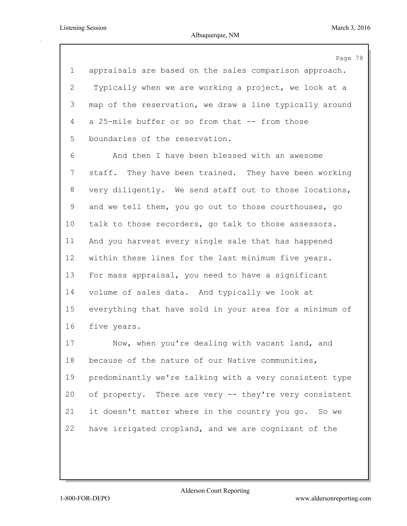Page 78 appraisals are based on the sales comparison approach. Typically when we are working a project, we look at a map of the reservation, we draw a line typically around a 25-mile buffer or so from that -- from those boundaries of the reservation. And then I have been blessed with an awesome staff. They have been trained. They have been working very diligently. We send staff out to those locations, and we tell them, you go out to those courthouses, go talk to those recorders, go talk to those assessors. And you harvest every single sale that has happened within these lines for the last minimum five years. For mass appraisal, you need to have a significant volume of sales data. And typically we look at everything that have sold in your area for a minimum of five years. Now, when you're dealing with vacant land, and because of the nature of our Native communities, predominantly we're talking with a very consistent type of property. There are very -- they're very consistent it doesn't matter where in the country you go. So we have irrigated cropland, and we are cognizant of the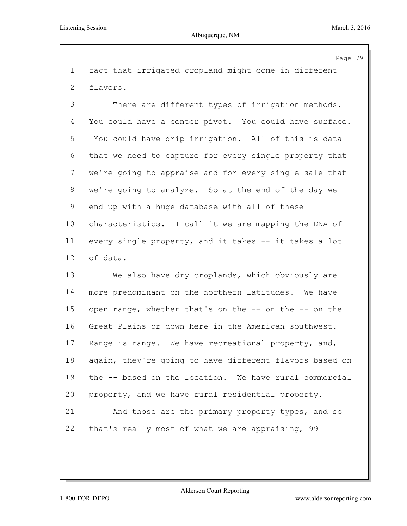Page 79

 fact that irrigated cropland might come in different flavors.

 There are different types of irrigation methods. You could have a center pivot. You could have surface. You could have drip irrigation. All of this is data that we need to capture for every single property that we're going to appraise and for every single sale that we're going to analyze. So at the end of the day we end up with a huge database with all of these characteristics. I call it we are mapping the DNA of every single property, and it takes -- it takes a lot of data.

 We also have dry croplands, which obviously are more predominant on the northern latitudes. We have open range, whether that's on the -- on the -- on the Great Plains or down here in the American southwest. Range is range. We have recreational property, and, again, they're going to have different flavors based on the -- based on the location. We have rural commercial property, and we have rural residential property.

 And those are the primary property types, and so that's really most of what we are appraising, 99

Alderson Court Reporting

1-800-FOR-DEPO www.aldersonreporting.com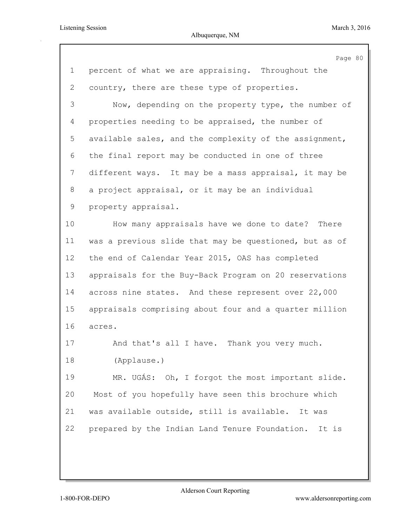|             | Page 80                                                |
|-------------|--------------------------------------------------------|
| $\mathbf 1$ | percent of what we are appraising. Throughout the      |
| 2           | country, there are these type of properties.           |
| 3           | Now, depending on the property type, the number of     |
| 4           | properties needing to be appraised, the number of      |
| 5           | available sales, and the complexity of the assignment, |
| 6           | the final report may be conducted in one of three      |
| 7           | different ways. It may be a mass appraisal, it may be  |
| 8           | a project appraisal, or it may be an individual        |
| 9           | property appraisal.                                    |
| 10          | How many appraisals have we done to date? There        |
| 11          | was a previous slide that may be questioned, but as of |
| 12          | the end of Calendar Year 2015, OAS has completed       |
| 13          | appraisals for the Buy-Back Program on 20 reservations |
| 14          | across nine states. And these represent over 22,000    |
| 15          | appraisals comprising about four and a quarter million |
| 16          | acres.                                                 |
| 17          | And that's all I have. Thank you very much.            |
| 18          | (Applause.)                                            |
| 19          | MR. UGÁS: Oh, I forgot the most important slide.       |
| 20          | Most of you hopefully have seen this brochure which    |
| 21          | was available outside, still is available. It was      |
| 22          | prepared by the Indian Land Tenure Foundation. It is   |
|             |                                                        |
|             |                                                        |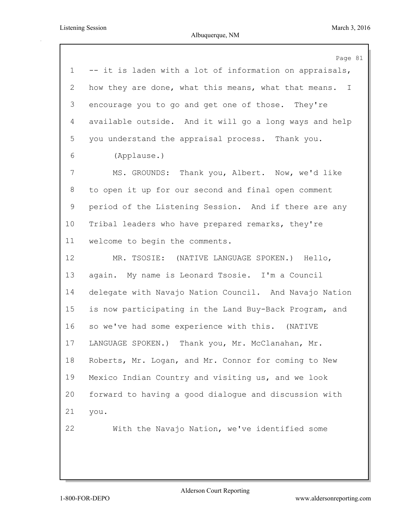|              | Page 81                                                 |
|--------------|---------------------------------------------------------|
| $\mathbf 1$  | -- it is laden with a lot of information on appraisals, |
| $\mathbf{2}$ | how they are done, what this means, what that means. I  |
| 3            | encourage you to go and get one of those. They're       |
| 4            | available outside. And it will go a long ways and help  |
| 5            | you understand the appraisal process. Thank you.        |
| 6            | (Applause.)                                             |
| 7            | MS. GROUNDS: Thank you, Albert. Now, we'd like          |
| 8            | to open it up for our second and final open comment     |
| 9            | period of the Listening Session. And if there are any   |
| 10           | Tribal leaders who have prepared remarks, they're       |
| 11           | welcome to begin the comments.                          |
| 12           | MR. TSOSIE: (NATIVE LANGUAGE SPOKEN.) Hello,            |
| 13           | again. My name is Leonard Tsosie. I'm a Council         |
| 14           | delegate with Navajo Nation Council. And Navajo Nation  |
| 15           | is now participating in the Land Buy-Back Program, and  |
| 16           | so we've had some experience with this. (NATIVE         |
| 17           | Thank you, Mr. McClanahan, Mr.<br>LANGUAGE SPOKEN.)     |
| 18           | Roberts, Mr. Logan, and Mr. Connor for coming to New    |
| 19           | Mexico Indian Country and visiting us, and we look      |
| 20           | forward to having a good dialogue and discussion with   |
| 21           | you.                                                    |
| 22           | With the Navajo Nation, we've identified some           |
|              |                                                         |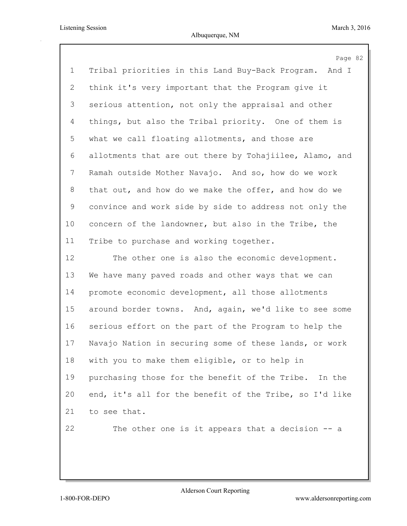|             | Page 82                                                 |
|-------------|---------------------------------------------------------|
| $\mathbf 1$ | Tribal priorities in this Land Buy-Back Program. And I  |
| 2           | think it's very important that the Program give it      |
| 3           | serious attention, not only the appraisal and other     |
| 4           | things, but also the Tribal priority. One of them is    |
| 5           | what we call floating allotments, and those are         |
| 6           | allotments that are out there by Tohajiilee, Alamo, and |
| 7           | Ramah outside Mother Navajo. And so, how do we work     |
| 8           | that out, and how do we make the offer, and how do we   |
| 9           | convince and work side by side to address not only the  |
| 10          | concern of the landowner, but also in the Tribe, the    |
| 11          | Tribe to purchase and working together.                 |
| 12          | The other one is also the economic development.         |
| 13          | We have many paved roads and other ways that we can     |
| 14          | promote economic development, all those allotments      |
| 15          | around border towns. And, again, we'd like to see some  |
| 16          | serious effort on the part of the Program to help the   |
| 17          | Navajo Nation in securing some of these lands, or work  |
| 18          | with you to make them eligible, or to help in           |
| 19          | purchasing those for the benefit of the Tribe. In the   |
| 20          | end, it's all for the benefit of the Tribe, so I'd like |
| 21          | to see that.                                            |
| 22          | The other one is it appears that a decision $-$ a       |
|             |                                                         |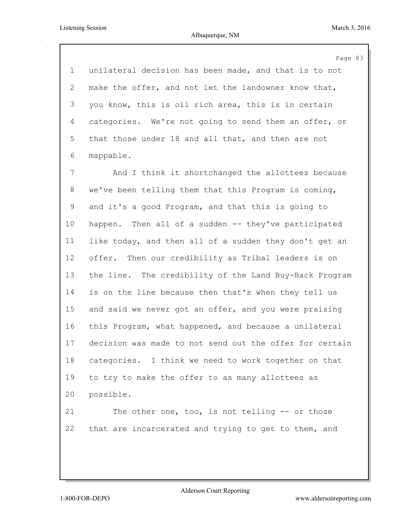## Albuquerque, NM

Page 83 unilateral decision has been made, and that is to not make the offer, and not let the landowner know that, you know, this is oil rich area, this is in certain categories. We're not going to send them an offer, or that those under 18 and all that, and then are not mappable. And I think it shortchanged the allottees because

 we've been telling them that this Program is coming, and it's a good Program, and that this is going to happen. Then all of a sudden -- they've participated like today, and then all of a sudden they don't get an offer. Then our credibility as Tribal leaders is on the line. The credibility of the Land Buy-Back Program is on the line because then that's when they tell us and said we never got an offer, and you were praising this Program, what happened, and because a unilateral decision was made to not send out the offer for certain categories. I think we need to work together on that to try to make the offer to as many allottees as possible.

 The other one, too, is not telling -- or those that are incarcerated and trying to get to them, and

Alderson Court Reporting

1-800-FOR-DEPO www.aldersonreporting.com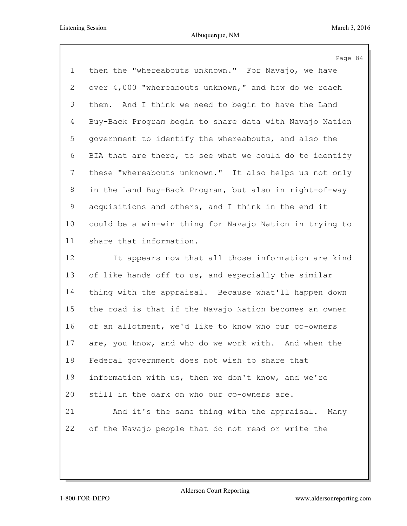|             | Page 84                                                 |
|-------------|---------------------------------------------------------|
| $\mathbf 1$ | then the "whereabouts unknown." For Navajo, we have     |
| 2           | over 4,000 "whereabouts unknown," and how do we reach   |
| 3           | them. And I think we need to begin to have the Land     |
| 4           | Buy-Back Program begin to share data with Navajo Nation |
| 5           | government to identify the whereabouts, and also the    |
| 6           | BIA that are there, to see what we could do to identify |
| 7           | these "whereabouts unknown." It also helps us not only  |
| $8\,$       | in the Land Buy-Back Program, but also in right-of-way  |
| 9           | acquisitions and others, and I think in the end it      |
| 10          | could be a win-win thing for Navajo Nation in trying to |
| 11          | share that information.                                 |
| 12          | It appears now that all those information are kind      |
| 13          | of like hands off to us, and especially the similar     |
| 14          | thing with the appraisal. Because what'll happen down   |
| 15          | the road is that if the Navajo Nation becomes an owner  |
| 16          | of an allotment, we'd like to know who our co-owners    |
| 17          | are, you know, and who do we work with. And when the    |
| 18          | Federal government does not wish to share that          |
| 19          | information with us, then we don't know, and we're      |
| 20          | still in the dark on who our co-owners are.             |
| 21          | And it's the same thing with the appraisal. Many        |
| 22          | of the Navajo people that do not read or write the      |
|             |                                                         |
|             |                                                         |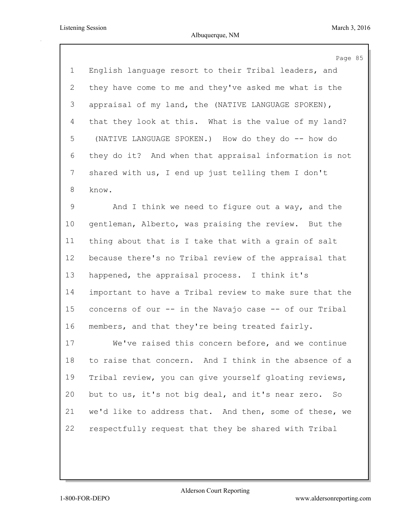|                | Page 85                                                 |
|----------------|---------------------------------------------------------|
| $\mathbf 1$    | English language resort to their Tribal leaders, and    |
| $\overline{2}$ | they have come to me and they've asked me what is the   |
| 3              | appraisal of my land, the (NATIVE LANGUAGE SPOKEN),     |
| 4              | that they look at this. What is the value of my land?   |
| 5              | (NATIVE LANGUAGE SPOKEN.) How do they do -- how do      |
| 6              | they do it? And when that appraisal information is not  |
| 7              | shared with us, I end up just telling them I don't      |
| 8              | know.                                                   |
| $\mathsf 9$    | And I think we need to figure out a way, and the        |
| 10             | gentleman, Alberto, was praising the review. But the    |
| 11             | thing about that is I take that with a grain of salt    |
| 12             | because there's no Tribal review of the appraisal that  |
| 13             | happened, the appraisal process. I think it's           |
| 14             | important to have a Tribal review to make sure that the |
| 15             | concerns of our -- in the Navajo case -- of our Tribal  |
| 16             | members, and that they're being treated fairly.         |
| 17             | We've raised this concern before, and we continue       |
| 18             | to raise that concern. And I think in the absence of a  |
| 19             | Tribal review, you can give yourself gloating reviews,  |
| 20             | but to us, it's not big deal, and it's near zero. So    |
| 21             | we'd like to address that. And then, some of these, we  |
| 22             | respectfully request that they be shared with Tribal    |
|                |                                                         |
|                |                                                         |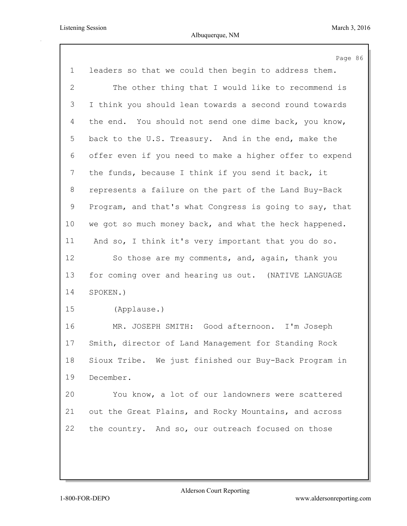|                | Page 86                                                 |
|----------------|---------------------------------------------------------|
| $\mathbf 1$    | leaders so that we could then begin to address them.    |
| $\overline{2}$ | The other thing that I would like to recommend is       |
| 3              | I think you should lean towards a second round towards  |
| 4              | the end. You should not send one dime back, you know,   |
| 5              | back to the U.S. Treasury. And in the end, make the     |
| 6              | offer even if you need to make a higher offer to expend |
| 7              | the funds, because I think if you send it back, it      |
| 8              | represents a failure on the part of the Land Buy-Back   |
| 9              | Program, and that's what Congress is going to say, that |
| 10             | we got so much money back, and what the heck happened.  |
| 11             | And so, I think it's very important that you do so.     |
| 12             | So those are my comments, and, again, thank you         |
| 13             | for coming over and hearing us out. (NATIVE LANGUAGE    |
| 14             | SPOKEN.)                                                |
| 15             | (Applause.)                                             |
| 16             | MR. JOSEPH SMITH: Good afternoon. I'm Joseph            |
| 17             | Smith, director of Land Management for Standing Rock    |
| 18             | Sioux Tribe. We just finished our Buy-Back Program in   |
| 19             | December.                                               |
| 20             | You know, a lot of our landowners were scattered        |
| 21             | out the Great Plains, and Rocky Mountains, and across   |
| 22             | the country. And so, our outreach focused on those      |
|                |                                                         |
|                |                                                         |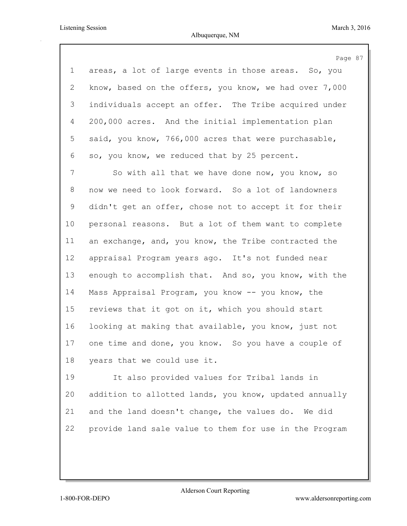|                 | Page 87                                                |
|-----------------|--------------------------------------------------------|
| $\mathbf 1$     | areas, a lot of large events in those areas. So, you   |
| 2               | know, based on the offers, you know, we had over 7,000 |
| 3               | individuals accept an offer. The Tribe acquired under  |
| $\overline{4}$  | 200,000 acres. And the initial implementation plan     |
| 5               | said, you know, 766,000 acres that were purchasable,   |
| 6               | so, you know, we reduced that by 25 percent.           |
| 7               | So with all that we have done now, you know, so        |
| 8               | now we need to look forward. So a lot of landowners    |
| 9               | didn't get an offer, chose not to accept it for their  |
| 10 <sub>o</sub> | personal reasons. But a lot of them want to complete   |
| 11              | an exchange, and, you know, the Tribe contracted the   |
| 12              | appraisal Program years ago. It's not funded near      |
| 13              | enough to accomplish that. And so, you know, with the  |
| 14              | Mass Appraisal Program, you know -- you know, the      |
| 15              | reviews that it got on it, which you should start      |
| 16              | looking at making that available, you know, just not   |
| 17              | one time and done, you know. So you have a couple of   |
| 18              | years that we could use it.                            |
| 19              | It also provided values for Tribal lands in            |
| 20              | addition to allotted lands, you know, updated annually |
| 21              | and the land doesn't change, the values do. We did     |

provide land sale value to them for use in the Program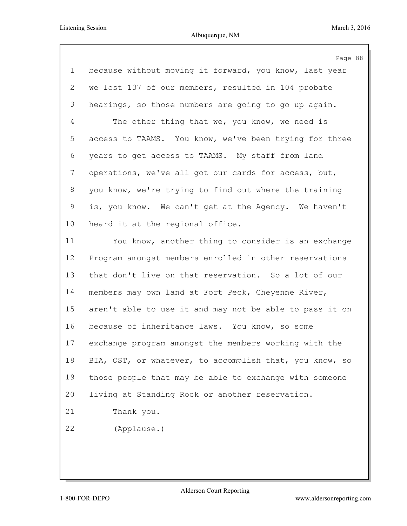| Page 88                                                 |
|---------------------------------------------------------|
| because without moving it forward, you know, last year  |
| we lost 137 of our members, resulted in 104 probate     |
| hearings, so those numbers are going to go up again.    |
| The other thing that we, you know, we need is           |
| access to TAAMS. You know, we've been trying for three  |
| years to get access to TAAMS. My staff from land        |
| operations, we've all got our cards for access, but,    |
| you know, we're trying to find out where the training   |
| is, you know. We can't get at the Agency. We haven't    |
| heard it at the regional office.                        |
| You know, another thing to consider is an exchange      |
| Program amongst members enrolled in other reservations  |
| that don't live on that reservation. So a lot of our    |
| members may own land at Fort Peck, Cheyenne River,      |
| aren't able to use it and may not be able to pass it on |
| because of inheritance laws. You know, so some          |
| exchange program amongst the members working with the   |
| BIA, OST, or whatever, to accomplish that, you know, so |
| those people that may be able to exchange with someone  |
| living at Standing Rock or another reservation.         |
| Thank you.                                              |
| (Applause.)                                             |
|                                                         |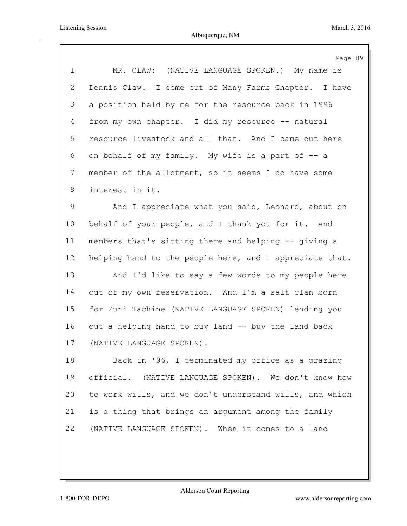|             | Page 89                                                 |
|-------------|---------------------------------------------------------|
| $\mathbf 1$ | MR. CLAW: (NATIVE LANGUAGE SPOKEN.) My name is          |
| 2           | Dennis Claw. I come out of Many Farms Chapter. I have   |
| 3           | a position held by me for the resource back in 1996     |
| 4           | from my own chapter. I did my resource -- natural       |
| 5           | resource livestock and all that. And I came out here    |
| 6           | on behalf of my family. My wife is a part of -- a       |
| 7           | member of the allotment, so it seems I do have some     |
| 8           | interest in it.                                         |
| 9           | And I appreciate what you said, Leonard, about on       |
| 10          | behalf of your people, and I thank you for it. And      |
| 11          | members that's sitting there and helping -- giving a    |
| 12          | helping hand to the people here, and I appreciate that. |
| 13          | And I'd like to say a few words to my people here       |
| 14          | out of my own reservation. And I'm a salt clan born     |
| 15          | for Zuni Tachine (NATIVE LANGUAGE SPOKEN) lending you   |
| 16          | out a helping hand to buy land -- buy the land back     |
| 17          | (NATIVE LANGUAGE SPOKEN).                               |
| 18          | Back in '96, I terminated my office as a grazing        |
| 19          | official. (NATIVE LANGUAGE SPOKEN). We don't know how   |
| 20          | to work wills, and we don't understand wills, and which |
| 21          | is a thing that brings an argument among the family     |
| 22          | (NATIVE LANGUAGE SPOKEN). When it comes to a land       |
|             |                                                         |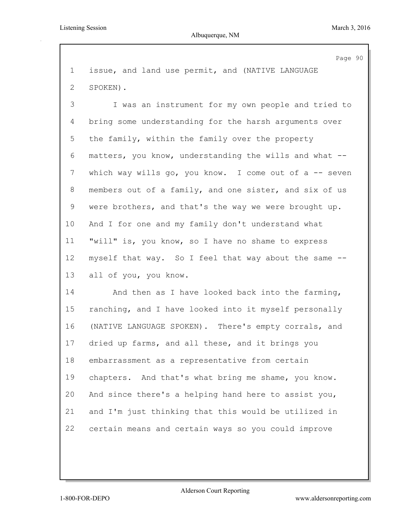Page 90 issue, and land use permit, and (NATIVE LANGUAGE SPOKEN). I was an instrument for my own people and tried to bring some understanding for the harsh arguments over the family, within the family over the property matters, you know, understanding the wills and what -- which way wills go, you know. I come out of a -- seven members out of a family, and one sister, and six of us were brothers, and that's the way we were brought up. And I for one and my family don't understand what "will" is, you know, so I have no shame to express myself that way. So I feel that way about the same -- all of you, you know. And then as I have looked back into the farming, ranching, and I have looked into it myself personally (NATIVE LANGUAGE SPOKEN). There's empty corrals, and dried up farms, and all these, and it brings you embarrassment as a representative from certain chapters. And that's what bring me shame, you know. And since there's a helping hand here to assist you, and I'm just thinking that this would be utilized in

certain means and certain ways so you could improve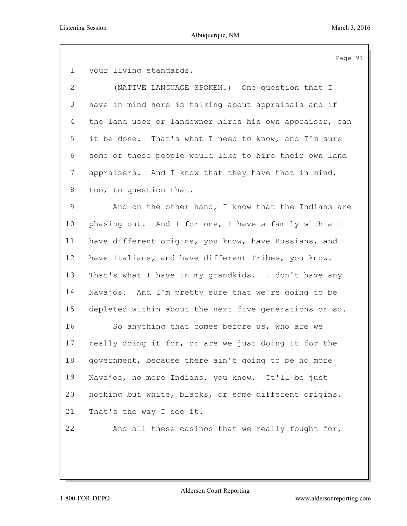Page 91

your living standards.

 (NATIVE LANGUAGE SPOKEN.) One question that I have in mind here is talking about appraisals and if the land user or landowner hires his own appraiser, can it be done. That's what I need to know, and I'm sure some of these people would like to hire their own land appraisers. And I know that they have that in mind, too, to question that.

 And on the other hand, I know that the Indians are 10 phasing out. And I for one, I have a family with a -- have different origins, you know, have Russians, and have Italians, and have different Tribes, you know. That's what I have in my grandkids. I don't have any Navajos. And I'm pretty sure that we're going to be depleted within about the next five generations or so. So anything that comes before us, who are we really doing it for, or are we just doing it for the government, because there ain't going to be no more Navajos, no more Indians, you know. It'll be just nothing but white, blacks, or some different origins. That's the way I see it.

And all these casinos that we really fought for,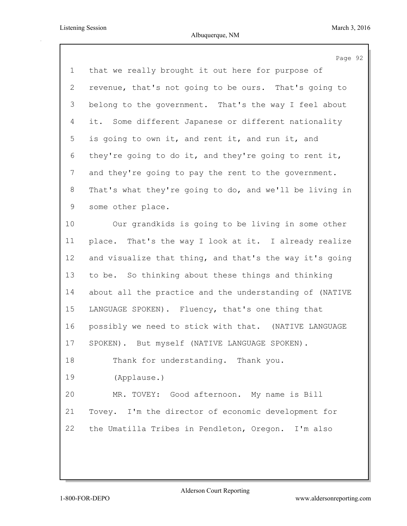|                | Page 92                                                 |
|----------------|---------------------------------------------------------|
| $\mathbf 1$    | that we really brought it out here for purpose of       |
| $\overline{2}$ | revenue, that's not going to be ours. That's going to   |
| 3              | belong to the government. That's the way I feel about   |
| $\overline{4}$ | it. Some different Japanese or different nationality    |
| 5              | is going to own it, and rent it, and run it, and        |
| 6              | they're going to do it, and they're going to rent it,   |
| 7              | and they're going to pay the rent to the government.    |
| 8              | That's what they're going to do, and we'll be living in |
| 9              | some other place.                                       |
| 10             | Our grandkids is going to be living in some other       |
| 11             | place. That's the way I look at it. I already realize   |
| 12             | and visualize that thing, and that's the way it's going |
| 13             | to be. So thinking about these things and thinking      |
| 14             | about all the practice and the understanding of (NATIVE |
| 15             | LANGUAGE SPOKEN). Fluency, that's one thing that        |
| 16             | possibly we need to stick with that. (NATIVE LANGUAGE   |
| 17             | SPOKEN). But myself (NATIVE LANGUAGE SPOKEN).           |
| 18             | Thank for understanding. Thank you.                     |
| 19             | (Applause.)                                             |
| 20             | MR. TOVEY: Good afternoon. My name is Bill              |
| 21             | Tovey. I'm the director of economic development for     |
| 22             | the Umatilla Tribes in Pendleton, Oregon. I'm also      |
|                |                                                         |
|                |                                                         |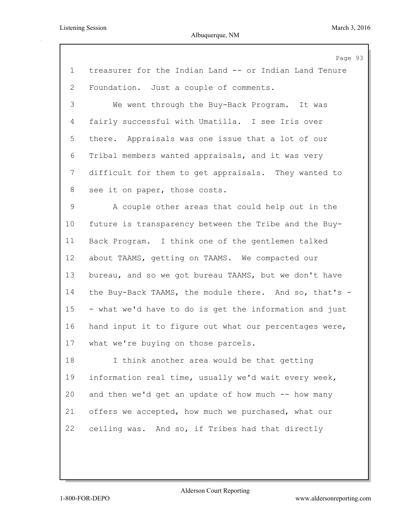|                | Page 93                                                |
|----------------|--------------------------------------------------------|
| $\mathbf 1$    | treasurer for the Indian Land -- or Indian Land Tenure |
| 2              | Foundation. Just a couple of comments.                 |
| 3              | We went through the Buy-Back Program. It was           |
| $\overline{4}$ | fairly successful with Umatilla. I see Iris over       |
| 5              | there. Appraisals was one issue that a lot of our      |
| 6              | Tribal members wanted appraisals, and it was very      |
| 7              | difficult for them to get appraisals. They wanted to   |
| 8              | see it on paper, those costs.                          |
| 9              | A couple other areas that could help out in the        |
| 10             | future is transparency between the Tribe and the Buy-  |
| 11             | Back Program. I think one of the gentlemen talked      |
| 12             | about TAAMS, getting on TAAMS. We compacted our        |
| 13             | bureau, and so we got bureau TAAMS, but we don't have  |
| 14             | the Buy-Back TAAMS, the module there. And so, that's - |
| 15             | - what we'd have to do is get the information and just |
| 16             | hand input it to figure out what our percentages were, |
| 17             | what we're buying on those parcels.                    |
| 18             | I think another area would be that getting             |
| 19             | information real time, usually we'd wait every week,   |
| 20             | and then we'd get an update of how much -- how many    |
| 21             | offers we accepted, how much we purchased, what our    |
| 22             | ceiling was. And so, if Tribes had that directly       |
|                |                                                        |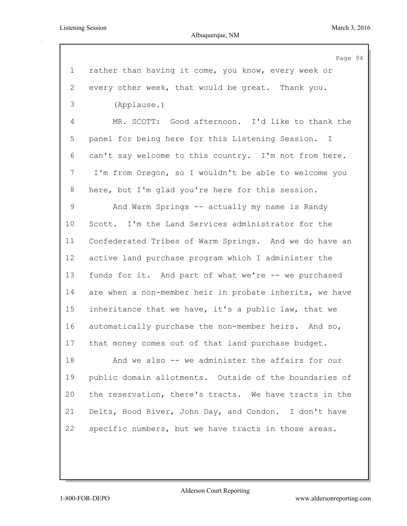Albuquerque, NM

|                | Page 94                                                 |
|----------------|---------------------------------------------------------|
| $\mathbf 1$    | rather than having it come, you know, every week or     |
| $\mathbf{2}$   | every other week, that would be great. Thank you.       |
| 3              | (Applause.)                                             |
| 4              | MR. SCOTT: Good afternoon. I'd like to thank the        |
| 5              | panel for being here for this Listening Session. I      |
| 6              | can't say welcome to this country. I'm not from here.   |
| $7\phantom{.}$ | I'm from Oregon, so I wouldn't be able to welcome you   |
| 8              | here, but I'm glad you're here for this session.        |
| 9              | And Warm Springs -- actually my name is Randy           |
| $10 \,$        | Scott. I'm the Land Services administrator for the      |
| 11             | Confederated Tribes of Warm Springs. And we do have an  |
| 12             | active land purchase program which I administer the     |
| 13             | funds for it. And part of what we're -- we purchased    |
| 14             | are when a non-member heir in probate inherits, we have |
| 15             | inheritance that we have, it's a public law, that we    |
| 16             | automatically purchase the non-member heirs. And so,    |
| 17             | that money comes out of that land purchase budget.      |
| 18             | And we also -- we administer the affairs for our        |
| 19             | public domain allotments. Outside of the boundaries of  |
| 20             | the reservation, there's tracts. We have tracts in the  |
| 21             | Delts, Hood River, John Day, and Condon. I don't have   |
| 22             | specific numbers, but we have tracts in those areas.    |
|                |                                                         |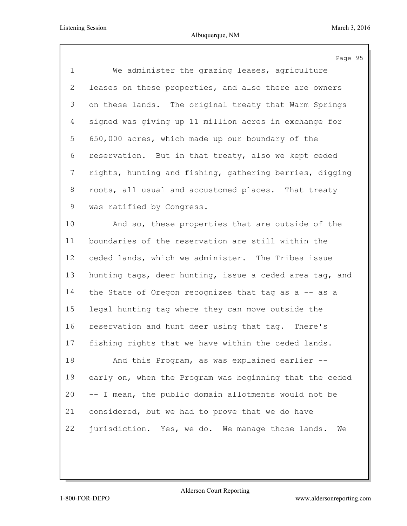|                | Page 95                                                 |
|----------------|---------------------------------------------------------|
| $\mathbf 1$    | We administer the grazing leases, agriculture           |
| $\overline{2}$ | leases on these properties, and also there are owners   |
| 3              | on these lands. The original treaty that Warm Springs   |
| $\overline{4}$ | signed was giving up 11 million acres in exchange for   |
| 5              | 650,000 acres, which made up our boundary of the        |
| 6              | reservation. But in that treaty, also we kept ceded     |
| 7              | rights, hunting and fishing, gathering berries, digging |
| 8              | roots, all usual and accustomed places. That treaty     |
| 9              | was ratified by Congress.                               |
| 10             | And so, these properties that are outside of the        |
| 11             | boundaries of the reservation are still within the      |
| 12             | ceded lands, which we administer. The Tribes issue      |
| 13             | hunting tags, deer hunting, issue a ceded area tag, and |
| 14             | the State of Oregon recognizes that tag as a -- as a    |
| 15             | legal hunting tag where they can move outside the       |
| 16             | reservation and hunt deer using that tag. There's       |
| 17             | fishing rights that we have within the ceded lands.     |
| 18             | And this Program, as was explained earlier --           |
| 19             | early on, when the Program was beginning that the ceded |
| 20             | -- I mean, the public domain allotments would not be    |
| 21             | considered, but we had to prove that we do have         |
| 22             | jurisdiction. Yes, we do. We manage those lands.<br>We  |
|                |                                                         |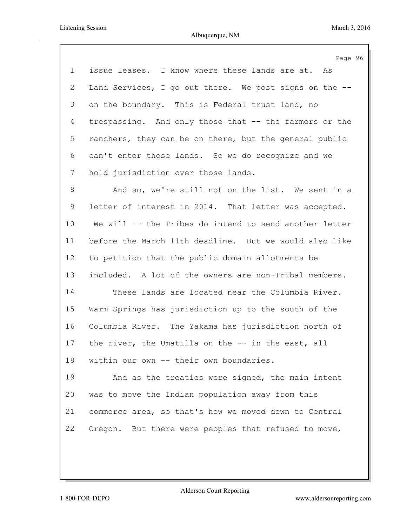|             | Page 96                                                |
|-------------|--------------------------------------------------------|
| $\mathbf 1$ | issue leases. I know where these lands are at. As      |
| 2           | Land Services, I go out there. We post signs on the -- |
| 3           | on the boundary. This is Federal trust land, no        |
| 4           | trespassing. And only those that -- the farmers or the |
| 5           | ranchers, they can be on there, but the general public |
| 6           | can't enter those lands. So we do recognize and we     |
| 7           | hold jurisdiction over those lands.                    |
| 8           | And so, we're still not on the list. We sent in a      |
| 9           | letter of interest in 2014. That letter was accepted.  |
| 10          | We will -- the Tribes do intend to send another letter |
| 11          | before the March 11th deadline. But we would also like |
| 12          | to petition that the public domain allotments be       |
| 13          | included. A lot of the owners are non-Tribal members.  |
| 14          | These lands are located near the Columbia River.       |
| 15          | Warm Springs has jurisdiction up to the south of the   |
| 16          | Columbia River. The Yakama has jurisdiction north of   |
| 17          | the river, the Umatilla on the -- in the east, all     |
| 18          | within our own -- their own boundaries.                |
| 19          | And as the treaties were signed, the main intent       |
| 20          | was to move the Indian population away from this       |
| 21          | commerce area, so that's how we moved down to Central  |
| 22          | Oregon. But there were peoples that refused to move,   |
|             |                                                        |
|             |                                                        |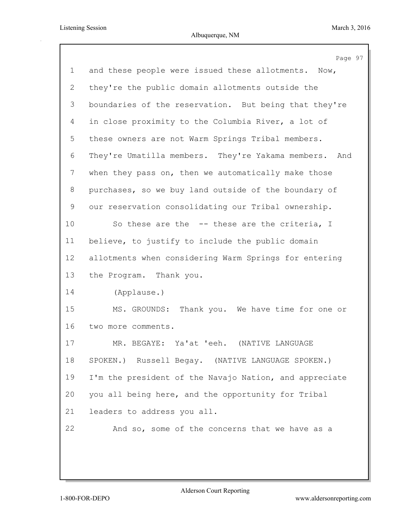|              | Page 97                                                |
|--------------|--------------------------------------------------------|
| $\mathbf{1}$ | and these people were issued these allotments. Now,    |
| $\mathbf{2}$ | they're the public domain allotments outside the       |
| 3            | boundaries of the reservation. But being that they're  |
| 4            | in close proximity to the Columbia River, a lot of     |
| 5            | these owners are not Warm Springs Tribal members.      |
| 6            | They're Umatilla members. They're Yakama members. And  |
| 7            | when they pass on, then we automatically make those    |
| 8            | purchases, so we buy land outside of the boundary of   |
| 9            | our reservation consolidating our Tribal ownership.    |
| 10           | So these are the -- these are the criteria, I          |
| 11           | believe, to justify to include the public domain       |
| 12           | allotments when considering Warm Springs for entering  |
| 13           | the Program. Thank you.                                |
| 14           | (Applause.)                                            |
| 15           | MS. GROUNDS: Thank you. We have time for one or        |
| 16           | two more comments.                                     |
| 17           | MR. BEGAYE: Ya'at 'eeh.<br>(NATIVE LANGUAGE            |
| 18           | SPOKEN.) Russell Begay. (NATIVE LANGUAGE SPOKEN.)      |
| 19           | I'm the president of the Navajo Nation, and appreciate |
| 20           | you all being here, and the opportunity for Tribal     |
| 21           | leaders to address you all.                            |
| 22           | And so, some of the concerns that we have as a         |
|              |                                                        |
|              |                                                        |
|              |                                                        |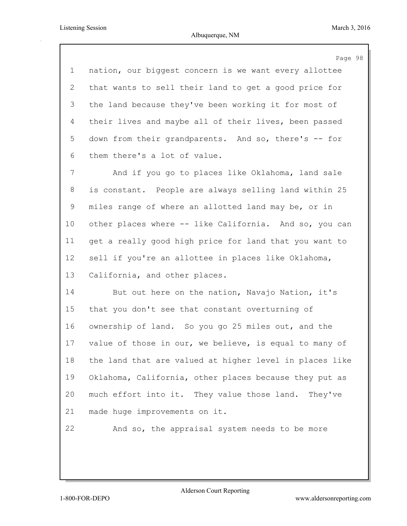Page 98 nation, our biggest concern is we want every allottee that wants to sell their land to get a good price for the land because they've been working it for most of their lives and maybe all of their lives, been passed down from their grandparents. And so, there's -- for them there's a lot of value. And if you go to places like Oklahoma, land sale is constant. People are always selling land within 25 miles range of where an allotted land may be, or in other places where -- like California. And so, you can get a really good high price for land that you want to sell if you're an allottee in places like Oklahoma, California, and other places. But out here on the nation, Navajo Nation, it's that you don't see that constant overturning of ownership of land. So you go 25 miles out, and the value of those in our, we believe, is equal to many of the land that are valued at higher level in places like Oklahoma, California, other places because they put as much effort into it. They value those land. They've made huge improvements on it. And so, the appraisal system needs to be more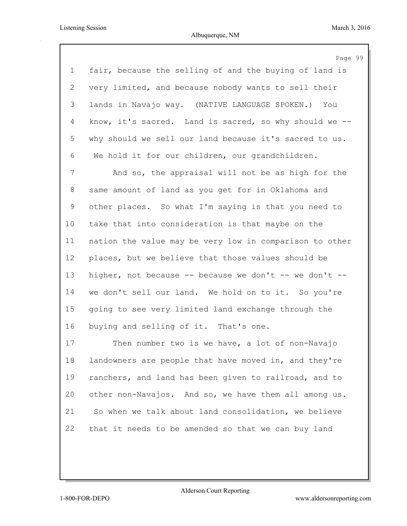Page 99 fair, because the selling of and the buying of land is very limited, and because nobody wants to sell their lands in Navajo way. (NATIVE LANGUAGE SPOKEN.) You know, it's sacred. Land is sacred, so why should we -- why should we sell our land because it's sacred to us. We hold it for our children, our grandchildren.

 And so, the appraisal will not be as high for the same amount of land as you get for in Oklahoma and other places. So what I'm saying is that you need to take that into consideration is that maybe on the nation the value may be very low in comparison to other places, but we believe that those values should be higher, not because -- because we don't -- we don't -- we don't sell our land. We hold on to it. So you're going to see very limited land exchange through the buying and selling of it. That's one.

 Then number two is we have, a lot of non-Navajo landowners are people that have moved in, and they're ranchers, and land has been given to railroad, and to other non-Navajos. And so, we have them all among us. So when we talk about land consolidation, we believe that it needs to be amended so that we can buy land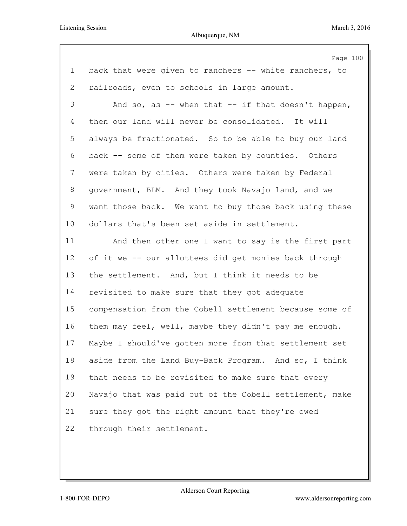|                | Page 100                                                |
|----------------|---------------------------------------------------------|
| $\mathbf 1$    | back that were given to ranchers -- white ranchers, to  |
| $\overline{2}$ | railroads, even to schools in large amount.             |
| 3              | And so, as $-$ when that $-$ if that doesn't happen,    |
| 4              | then our land will never be consolidated. It will       |
| 5              | always be fractionated. So to be able to buy our land   |
| 6              | back -- some of them were taken by counties. Others     |
| 7              | were taken by cities. Others were taken by Federal      |
| 8              | government, BLM. And they took Navajo land, and we      |
| 9              | want those back. We want to buy those back using these  |
| 10             | dollars that's been set aside in settlement.            |
| 11             | And then other one I want to say is the first part      |
| 12             | of it we -- our allottees did get monies back through   |
| 13             | the settlement. And, but I think it needs to be         |
| 14             | revisited to make sure that they got adequate           |
| 15             | compensation from the Cobell settlement because some of |
| 16             | them may feel, well, maybe they didn't pay me enough.   |
| 17             | Maybe I should've gotten more from that settlement set  |
| 18             | aside from the Land Buy-Back Program. And so, I think   |
| 19             | that needs to be revisited to make sure that every      |
| 20             | Navajo that was paid out of the Cobell settlement, make |
| 21             | sure they got the right amount that they're owed        |
| 22             | through their settlement.                               |
|                |                                                         |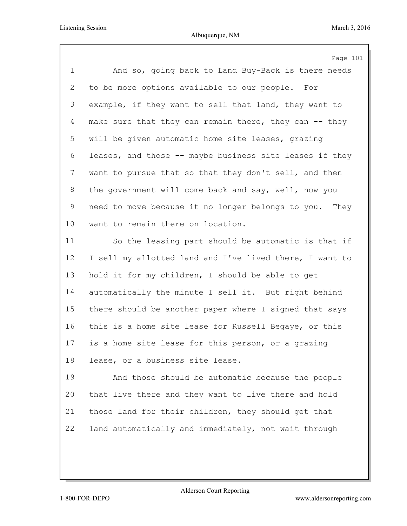|                | Page 101                                                |
|----------------|---------------------------------------------------------|
| $\mathbf 1$    | And so, going back to Land Buy-Back is there needs      |
| $\overline{2}$ | to be more options available to our people. For         |
| 3              | example, if they want to sell that land, they want to   |
| $\overline{4}$ | make sure that they can remain there, they can -- they  |
| 5              | will be given automatic home site leases, grazing       |
| 6              | leases, and those -- maybe business site leases if they |
| $7\phantom{.}$ | want to pursue that so that they don't sell, and then   |
| 8              | the government will come back and say, well, now you    |
| 9              | need to move because it no longer belongs to you. They  |
| 10             | want to remain there on location.                       |
| 11             | So the leasing part should be automatic is that if      |
| 12             | I sell my allotted land and I've lived there, I want to |
| 13             | hold it for my children, I should be able to get        |
| 14             | automatically the minute I sell it. But right behind    |
| 15             | there should be another paper where I signed that says  |
| 16             | this is a home site lease for Russell Begaye, or this   |
| 17             | is a home site lease for this person, or a grazing      |
| 18             | lease, or a business site lease.                        |
| 19             | And those should be automatic because the people        |
| 20             | that live there and they want to live there and hold    |
| 21             | those land for their children, they should get that     |
| 22             | land automatically and immediately, not wait through    |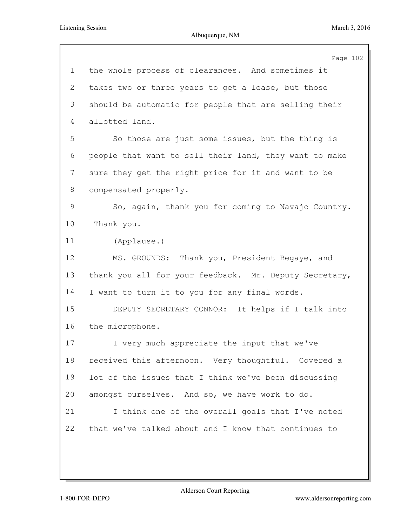|             | Page 102                                               |
|-------------|--------------------------------------------------------|
| $\mathbf 1$ | the whole process of clearances. And sometimes it      |
| 2           | takes two or three years to get a lease, but those     |
| 3           | should be automatic for people that are selling their  |
| 4           | allotted land.                                         |
| 5           | So those are just some issues, but the thing is        |
| 6           | people that want to sell their land, they want to make |
| 7           | sure they get the right price for it and want to be    |
| 8           | compensated properly.                                  |
| 9           | So, again, thank you for coming to Navajo Country.     |
| 10          | Thank you.                                             |
| 11          | (Applause.)                                            |
| 12          | MS. GROUNDS: Thank you, President Begaye, and          |
| 13          | thank you all for your feedback. Mr. Deputy Secretary, |
| 14          | I want to turn it to you for any final words.          |
| 15          | DEPUTY SECRETARY CONNOR: It helps if I talk into       |
| 16          | the microphone.                                        |
| 17          | I very much appreciate the input that we've            |
| 18          | received this afternoon. Very thoughtful. Covered a    |
| 19          | lot of the issues that I think we've been discussing   |
| 20          | amongst ourselves. And so, we have work to do.         |
| 21          | I think one of the overall goals that I've noted       |
| 22          | that we've talked about and I know that continues to   |
|             |                                                        |
|             |                                                        |
|             |                                                        |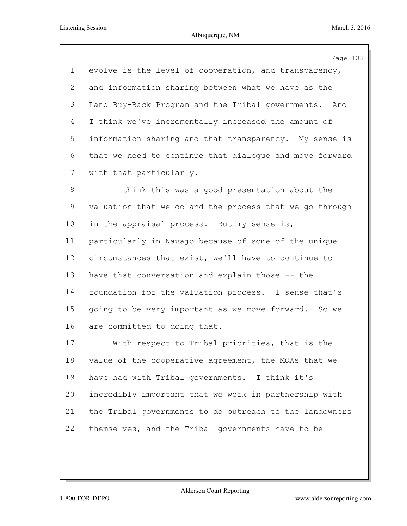Page 103 evolve is the level of cooperation, and transparency, and information sharing between what we have as the Land Buy-Back Program and the Tribal governments. And I think we've incrementally increased the amount of information sharing and that transparency. My sense is that we need to continue that dialogue and move forward with that particularly. I think this was a good presentation about the valuation that we do and the process that we go through in the appraisal process. But my sense is, particularly in Navajo because of some of the unique circumstances that exist, we'll have to continue to have that conversation and explain those -- the foundation for the valuation process. I sense that's going to be very important as we move forward. So we are committed to doing that. With respect to Tribal priorities, that is the value of the cooperative agreement, the MOAs that we have had with Tribal governments. I think it's incredibly important that we work in partnership with the Tribal governments to do outreach to the landowners themselves, and the Tribal governments have to be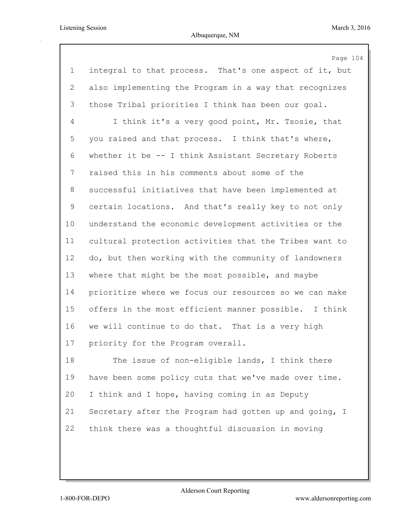|                | Page 104                                               |
|----------------|--------------------------------------------------------|
| $\mathbf 1$    | integral to that process. That's one aspect of it, but |
| $\overline{2}$ | also implementing the Program in a way that recognizes |
| 3              | those Tribal priorities I think has been our goal.     |
| 4              | I think it's a very good point, Mr. Tsosie, that       |
| 5              | you raised and that process. I think that's where,     |
| 6              | whether it be -- I think Assistant Secretary Roberts   |
| 7              | raised this in his comments about some of the          |
| 8              | successful initiatives that have been implemented at   |
| 9              | certain locations. And that's really key to not only   |
| 10             | understand the economic development activities or the  |
| 11             | cultural protection activities that the Tribes want to |
| 12             | do, but then working with the community of landowners  |
| 13             | where that might be the most possible, and maybe       |
| 14             | prioritize where we focus our resources so we can make |
| 15             | offers in the most efficient manner possible. I think  |
| 16             | we will continue to do that. That is a very high       |
| 17             | priority for the Program overall.                      |
| 18             | The issue of non-eligible lands, I think there         |
| 19             | have been some policy cuts that we've made over time.  |
| 20             | I think and I hope, having coming in as Deputy         |
| 21             | Secretary after the Program had gotten up and going, I |
| 22             | think there was a thoughtful discussion in moving      |
|                |                                                        |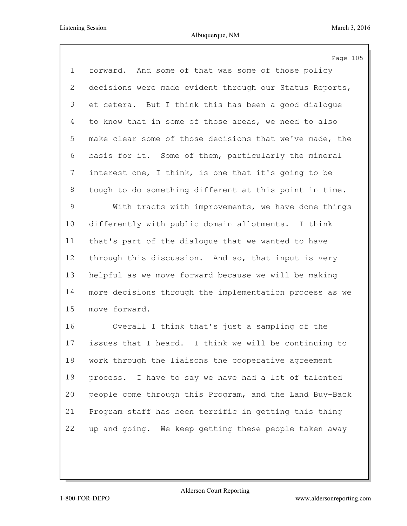|                | Page 105                                                |
|----------------|---------------------------------------------------------|
| $\mathbf 1$    | forward. And some of that was some of those policy      |
| $\overline{2}$ | decisions were made evident through our Status Reports, |
| 3              | et cetera. But I think this has been a good dialogue    |
| 4              | to know that in some of those areas, we need to also    |
| 5              | make clear some of those decisions that we've made, the |
| 6              | basis for it. Some of them, particularly the mineral    |
| 7              | interest one, I think, is one that it's going to be     |
| 8              | tough to do something different at this point in time.  |
| 9              | With tracts with improvements, we have done things      |
| 10             | differently with public domain allotments. I think      |
| 11             | that's part of the dialogue that we wanted to have      |
| 12             | through this discussion. And so, that input is very     |
| 13             | helpful as we move forward because we will be making    |
| 14             | more decisions through the implementation process as we |
| 15             | move forward.                                           |
| 16             | Overall I think that's just a sampling of the           |
| 17             | issues that I heard. I think we will be continuing to   |
| 18             | work through the liaisons the cooperative agreement     |
| 19             | process. I have to say we have had a lot of talented    |
| 20             | people come through this Program, and the Land Buy-Back |
| 21             | Program staff has been terrific in getting this thing   |
| 22             | up and going. We keep getting these people taken away   |
|                |                                                         |
|                |                                                         |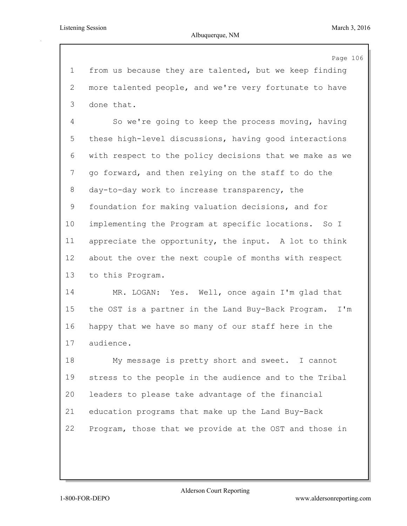Page 106 from us because they are talented, but we keep finding more talented people, and we're very fortunate to have done that. So we're going to keep the process moving, having these high-level discussions, having good interactions with respect to the policy decisions that we make as we go forward, and then relying on the staff to do the day-to-day work to increase transparency, the foundation for making valuation decisions, and for implementing the Program at specific locations. So I appreciate the opportunity, the input. A lot to think about the over the next couple of months with respect to this Program. MR. LOGAN: Yes. Well, once again I'm glad that the OST is a partner in the Land Buy-Back Program. I'm happy that we have so many of our staff here in the audience. My message is pretty short and sweet. I cannot stress to the people in the audience and to the Tribal leaders to please take advantage of the financial education programs that make up the Land Buy-Back Program, those that we provide at the OST and those in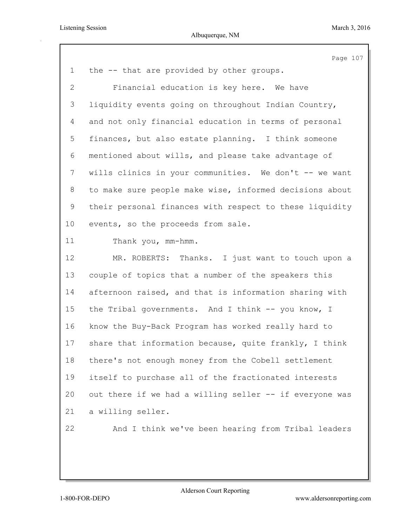|                 | Page 107                                                |
|-----------------|---------------------------------------------------------|
| $\mathbf 1$     | the -- that are provided by other groups.               |
| $\overline{2}$  | Financial education is key here. We have                |
| 3               | liquidity events going on throughout Indian Country,    |
| 4               | and not only financial education in terms of personal   |
| 5               | finances, but also estate planning. I think someone     |
| 6               | mentioned about wills, and please take advantage of     |
| 7               | wills clinics in your communities. We don't -- we want  |
| 8               | to make sure people make wise, informed decisions about |
| 9               | their personal finances with respect to these liquidity |
| 10 <sub>o</sub> | events, so the proceeds from sale.                      |
| 11              | Thank you, mm-hmm.                                      |
| 12              | MR. ROBERTS: Thanks. I just want to touch upon a        |
| 13              | couple of topics that a number of the speakers this     |
| 14              | afternoon raised, and that is information sharing with  |
| 15              | the Tribal governments. And I think -- you know, I      |
| 16              | know the Buy-Back Program has worked really hard to     |
| 17              | share that information because, quite frankly, I think  |
| 18              | there's not enough money from the Cobell settlement     |
| 19              | itself to purchase all of the fractionated interests    |
| 20              | out there if we had a willing seller -- if everyone was |
| 21              | a willing seller.                                       |
| 22              | And I think we've been hearing from Tribal leaders      |
|                 |                                                         |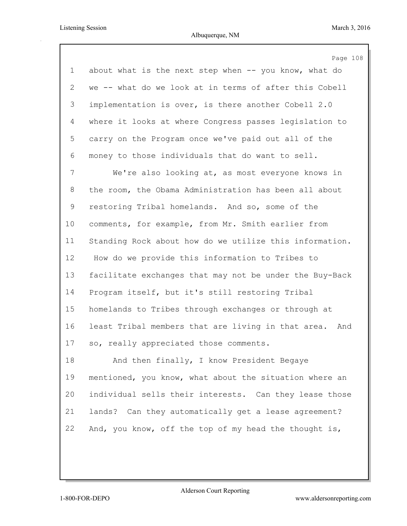Page 108 about what is the next step when -- you know, what do we -- what do we look at in terms of after this Cobell implementation is over, is there another Cobell 2.0 where it looks at where Congress passes legislation to carry on the Program once we've paid out all of the money to those individuals that do want to sell. We're also looking at, as most everyone knows in the room, the Obama Administration has been all about restoring Tribal homelands. And so, some of the comments, for example, from Mr. Smith earlier from Standing Rock about how do we utilize this information. How do we provide this information to Tribes to facilitate exchanges that may not be under the Buy-Back Program itself, but it's still restoring Tribal homelands to Tribes through exchanges or through at least Tribal members that are living in that area. And so, really appreciated those comments. And then finally, I know President Begaye mentioned, you know, what about the situation where an individual sells their interests. Can they lease those lands? Can they automatically get a lease agreement?

22 And, you know, off the top of my head the thought is,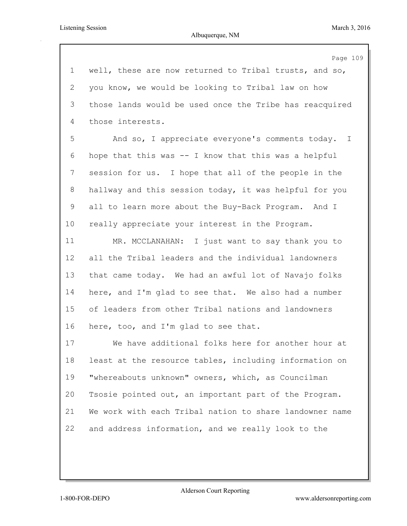Listening Session March 3, 2016

Page 109 well, these are now returned to Tribal trusts, and so, you know, we would be looking to Tribal law on how those lands would be used once the Tribe has reacquired those interests. And so, I appreciate everyone's comments today. I hope that this was -- I know that this was a helpful session for us. I hope that all of the people in the hallway and this session today, it was helpful for you all to learn more about the Buy-Back Program. And I really appreciate your interest in the Program. MR. MCCLANAHAN: I just want to say thank you to all the Tribal leaders and the individual landowners that came today. We had an awful lot of Navajo folks here, and I'm glad to see that. We also had a number of leaders from other Tribal nations and landowners here, too, and I'm glad to see that. We have additional folks here for another hour at least at the resource tables, including information on "whereabouts unknown" owners, which, as Councilman Tsosie pointed out, an important part of the Program. We work with each Tribal nation to share landowner name and address information, and we really look to the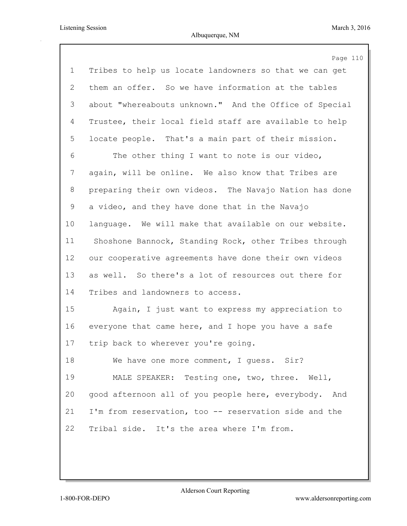|                | Page 110                                               |
|----------------|--------------------------------------------------------|
| $\mathbf 1$    | Tribes to help us locate landowners so that we can get |
| $\overline{2}$ | them an offer. So we have information at the tables    |
| 3              | about "whereabouts unknown." And the Office of Special |
| 4              | Trustee, their local field staff are available to help |
| 5              | locate people. That's a main part of their mission.    |
| 6              | The other thing I want to note is our video,           |
| 7              | again, will be online. We also know that Tribes are    |
| 8              | preparing their own videos. The Navajo Nation has done |
| 9              | a video, and they have done that in the Navajo         |
| 10             | language. We will make that available on our website.  |
| 11             | Shoshone Bannock, Standing Rock, other Tribes through  |
| 12             | our cooperative agreements have done their own videos  |
| 13             | as well. So there's a lot of resources out there for   |
| 14             | Tribes and landowners to access.                       |
| 15             | Again, I just want to express my appreciation to       |
| 16             | everyone that came here, and I hope you have a safe    |
| 17             | trip back to wherever you're going.                    |
| 18             | We have one more comment, I quess. Sir?                |
| 19             | MALE SPEAKER: Testing one, two, three. Well,           |
| 20             | good afternoon all of you people here, everybody. And  |
| 21             | I'm from reservation, too -- reservation side and the  |
| 22             | Tribal side. It's the area where I'm from.             |
|                |                                                        |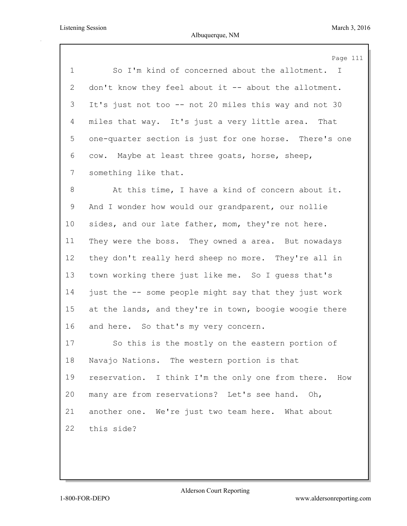|             | Page 111                                               |
|-------------|--------------------------------------------------------|
| $\mathbf 1$ | So I'm kind of concerned about the allotment. I        |
| 2           | don't know they feel about it -- about the allotment.  |
| 3           | It's just not too -- not 20 miles this way and not 30  |
| 4           | miles that way. It's just a very little area. That     |
| 5           | one-quarter section is just for one horse. There's one |
| 6           | cow. Maybe at least three goats, horse, sheep,         |
| 7           | something like that.                                   |
| 8           | At this time, I have a kind of concern about it.       |
| 9           | And I wonder how would our grandparent, our nollie     |
| 10          | sides, and our late father, mom, they're not here.     |
| 11          | They were the boss. They owned a area. But nowadays    |
| 12          | they don't really herd sheep no more. They're all in   |
| 13          | town working there just like me. So I quess that's     |
| 14          | just the -- some people might say that they just work  |
| 15          | at the lands, and they're in town, boogie woogie there |
| 16          | and here. So that's my very concern.                   |
| 17          | So this is the mostly on the eastern portion of        |
| 18          | Navajo Nations. The western portion is that            |
| 19          | reservation. I think I'm the only one from there. How  |
| 20          | many are from reservations? Let's see hand. Oh,        |
| 21          | another one. We're just two team here. What about      |
| 22          | this side?                                             |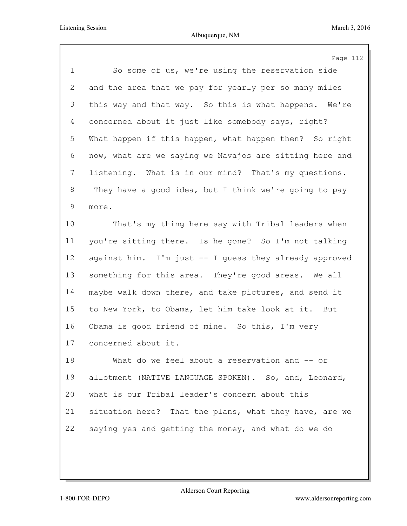| $\mathbf 1$<br>So some of us, we're using the reservation side<br>2<br>and the area that we pay for yearly per so many miles<br>3<br>this way and that way. So this is what happens. We're<br>concerned about it just like somebody says, right?<br>4<br>5<br>What happen if this happen, what happen then? So right<br>6<br>now, what are we saying we Navajos are sitting here and<br>7<br>listening. What is in our mind? That's my questions.<br>8<br>They have a good idea, but I think we're going to pay<br>9<br>more.<br>10<br>That's my thing here say with Tribal leaders when<br>11<br>you're sitting there. Is he gone? So I'm not talking<br>12<br>against him. I'm just -- I guess they already approved | Page 112 |
|------------------------------------------------------------------------------------------------------------------------------------------------------------------------------------------------------------------------------------------------------------------------------------------------------------------------------------------------------------------------------------------------------------------------------------------------------------------------------------------------------------------------------------------------------------------------------------------------------------------------------------------------------------------------------------------------------------------------|----------|
|                                                                                                                                                                                                                                                                                                                                                                                                                                                                                                                                                                                                                                                                                                                        |          |
|                                                                                                                                                                                                                                                                                                                                                                                                                                                                                                                                                                                                                                                                                                                        |          |
|                                                                                                                                                                                                                                                                                                                                                                                                                                                                                                                                                                                                                                                                                                                        |          |
|                                                                                                                                                                                                                                                                                                                                                                                                                                                                                                                                                                                                                                                                                                                        |          |
|                                                                                                                                                                                                                                                                                                                                                                                                                                                                                                                                                                                                                                                                                                                        |          |
|                                                                                                                                                                                                                                                                                                                                                                                                                                                                                                                                                                                                                                                                                                                        |          |
|                                                                                                                                                                                                                                                                                                                                                                                                                                                                                                                                                                                                                                                                                                                        |          |
|                                                                                                                                                                                                                                                                                                                                                                                                                                                                                                                                                                                                                                                                                                                        |          |
|                                                                                                                                                                                                                                                                                                                                                                                                                                                                                                                                                                                                                                                                                                                        |          |
|                                                                                                                                                                                                                                                                                                                                                                                                                                                                                                                                                                                                                                                                                                                        |          |
|                                                                                                                                                                                                                                                                                                                                                                                                                                                                                                                                                                                                                                                                                                                        |          |
|                                                                                                                                                                                                                                                                                                                                                                                                                                                                                                                                                                                                                                                                                                                        |          |
| 13<br>something for this area. They're good areas. We all                                                                                                                                                                                                                                                                                                                                                                                                                                                                                                                                                                                                                                                              |          |
| 14<br>maybe walk down there, and take pictures, and send it                                                                                                                                                                                                                                                                                                                                                                                                                                                                                                                                                                                                                                                            |          |
| 15<br>to New York, to Obama, let him take look at it. But                                                                                                                                                                                                                                                                                                                                                                                                                                                                                                                                                                                                                                                              |          |
| 16<br>Obama is good friend of mine. So this, I'm very                                                                                                                                                                                                                                                                                                                                                                                                                                                                                                                                                                                                                                                                  |          |
| 17<br>concerned about it.                                                                                                                                                                                                                                                                                                                                                                                                                                                                                                                                                                                                                                                                                              |          |
| 18<br>What do we feel about a reservation and -- or                                                                                                                                                                                                                                                                                                                                                                                                                                                                                                                                                                                                                                                                    |          |
| 19<br>allotment (NATIVE LANGUAGE SPOKEN). So, and, Leonard,                                                                                                                                                                                                                                                                                                                                                                                                                                                                                                                                                                                                                                                            |          |
| 20<br>what is our Tribal leader's concern about this                                                                                                                                                                                                                                                                                                                                                                                                                                                                                                                                                                                                                                                                   |          |
| 21<br>situation here? That the plans, what they have, are we                                                                                                                                                                                                                                                                                                                                                                                                                                                                                                                                                                                                                                                           |          |
| 22<br>saying yes and getting the money, and what do we do                                                                                                                                                                                                                                                                                                                                                                                                                                                                                                                                                                                                                                                              |          |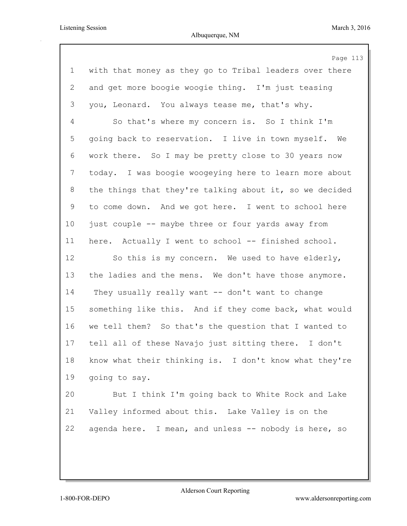Page 113 with that money as they go to Tribal leaders over there and get more boogie woogie thing. I'm just teasing you, Leonard. You always tease me, that's why. So that's where my concern is. So I think I'm going back to reservation. I live in town myself. We work there. So I may be pretty close to 30 years now today. I was boogie woogeying here to learn more about the things that they're talking about it, so we decided to come down. And we got here. I went to school here just couple -- maybe three or four yards away from here. Actually I went to school -- finished school. So this is my concern. We used to have elderly, the ladies and the mens. We don't have those anymore. They usually really want -- don't want to change something like this. And if they come back, what would we tell them? So that's the question that I wanted to tell all of these Navajo just sitting there. I don't know what their thinking is. I don't know what they're going to say. But I think I'm going back to White Rock and Lake Valley informed about this. Lake Valley is on the agenda here. I mean, and unless -- nobody is here, so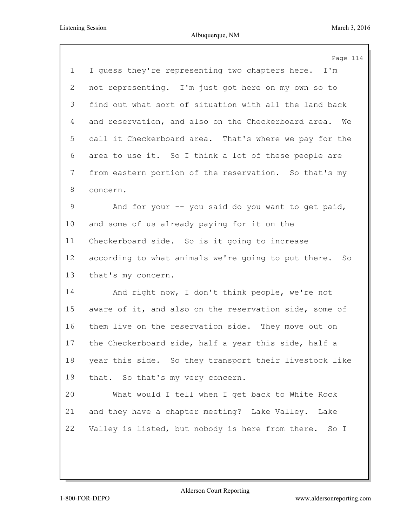|             | Page 114                                                  |
|-------------|-----------------------------------------------------------|
| $\mathbf 1$ | I quess they're representing two chapters here. I'm       |
| 2           | not representing. I'm just got here on my own so to       |
| 3           | find out what sort of situation with all the land back    |
| 4           | and reservation, and also on the Checkerboard area.<br>We |
| 5           | call it Checkerboard area. That's where we pay for the    |
| 6           | area to use it. So I think a lot of these people are      |
| 7           | from eastern portion of the reservation. So that's my     |
| 8           | concern.                                                  |
| 9           | And for your -- you said do you want to get paid,         |
| $10 \,$     | and some of us already paying for it on the               |
| 11          | Checkerboard side. So is it going to increase             |
| 12          | according to what animals we're going to put there. So    |
| 13          | that's my concern.                                        |
| 14          | And right now, I don't think people, we're not            |
| 15          | aware of it, and also on the reservation side, some of    |
| 16          | them live on the reservation side. They move out on       |
| 17          | the Checkerboard side, half a year this side, half a      |
| 18          | year this side. So they transport their livestock like    |
| 19          | that. So that's my very concern.                          |
| 20          | What would I tell when I get back to White Rock           |
| 21          | and they have a chapter meeting? Lake Valley. Lake        |
| 22          | Valley is listed, but nobody is here from there. So I     |
|             |                                                           |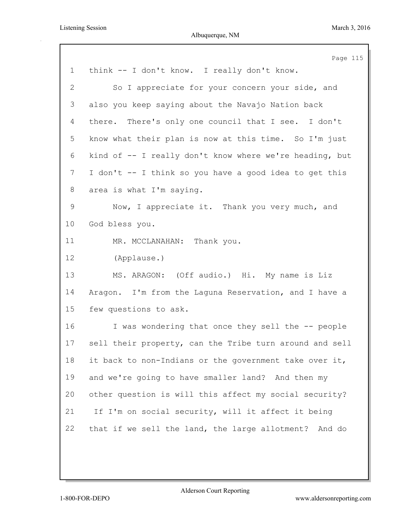|                | Page 115                                                |
|----------------|---------------------------------------------------------|
| $\mathbf 1$    | think -- I don't know. I really don't know.             |
| 2              | So I appreciate for your concern your side, and         |
| 3              | also you keep saying about the Navajo Nation back       |
| 4              | there. There's only one council that I see. I don't     |
| 5              | know what their plan is now at this time. So I'm just   |
| 6              | kind of -- I really don't know where we're heading, but |
| $7\phantom{.}$ | I don't -- I think so you have a good idea to get this  |
| 8              | area is what I'm saying.                                |
| 9              | Now, I appreciate it. Thank you very much, and          |
| 10             | God bless you.                                          |
| 11             | MR. MCCLANAHAN: Thank you.                              |
| 12             | (Applause.)                                             |
| 13             | MS. ARAGON: (Off audio.) Hi. My name is Liz             |
| 14             | Aragon. I'm from the Laguna Reservation, and I have a   |
| 15             | few questions to ask.                                   |
| 16             | I was wondering that once they sell the -- people       |
| 17             | sell their property, can the Tribe turn around and sell |
| 18             | it back to non-Indians or the government take over it,  |
| 19             | and we're going to have smaller land? And then my       |
| 20             | other question is will this affect my social security?  |
| 21             | If I'm on social security, will it affect it being      |
| 22             | that if we sell the land, the large allotment? And do   |
|                |                                                         |
|                |                                                         |
|                |                                                         |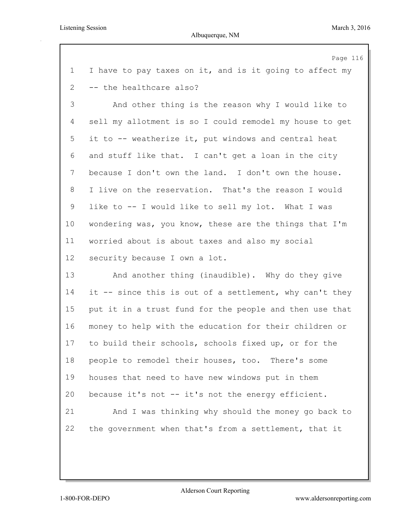|              | Page 116                                                |
|--------------|---------------------------------------------------------|
| $\mathbf 1$  | I have to pay taxes on it, and is it going to affect my |
| $\mathbf{2}$ | -- the healthcare also?                                 |
| 3            | And other thing is the reason why I would like to       |
| 4            | sell my allotment is so I could remodel my house to get |
| 5            | it to -- weatherize it, put windows and central heat    |
| 6            | and stuff like that. I can't get a loan in the city     |
| 7            | because I don't own the land. I don't own the house.    |
| 8            | I live on the reservation. That's the reason I would    |
| 9            | like to -- I would like to sell my lot. What I was      |
| $10 \,$      | wondering was, you know, these are the things that I'm  |
| 11           | worried about is about taxes and also my social         |
| 12           | security because I own a lot.                           |
| 13           | And another thing (inaudible). Why do they give         |
| 14           | it -- since this is out of a settlement, why can't they |
| 15           | put it in a trust fund for the people and then use that |
| 16           | money to help with the education for their children or  |
| 17           | to build their schools, schools fixed up, or for the    |
| 18           | people to remodel their houses, too. There's some       |
| 19           | houses that need to have new windows put in them        |
| 20           | because it's not -- it's not the energy efficient.      |
| 21           | And I was thinking why should the money go back to      |
| 22           | the government when that's from a settlement, that it   |
|              |                                                         |
|              |                                                         |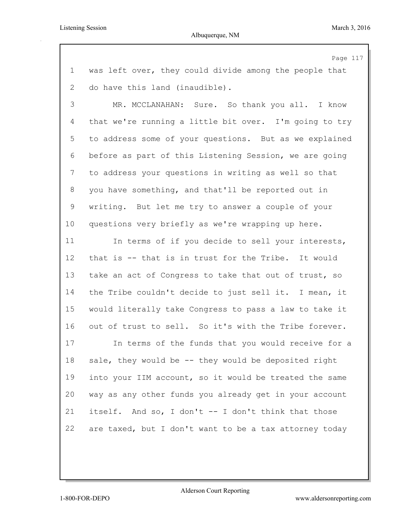Page 117 was left over, they could divide among the people that do have this land (inaudible). MR. MCCLANAHAN: Sure. So thank you all. I know that we're running a little bit over. I'm going to try to address some of your questions. But as we explained before as part of this Listening Session, we are going to address your questions in writing as well so that you have something, and that'll be reported out in writing. But let me try to answer a couple of your questions very briefly as we're wrapping up here. 11 In terms of if you decide to sell your interests, that is -- that is in trust for the Tribe. It would take an act of Congress to take that out of trust, so the Tribe couldn't decide to just sell it. I mean, it would literally take Congress to pass a law to take it out of trust to sell. So it's with the Tribe forever. In terms of the funds that you would receive for a sale, they would be -- they would be deposited right into your IIM account, so it would be treated the same way as any other funds you already get in your account itself. And so, I don't -- I don't think that those are taxed, but I don't want to be a tax attorney today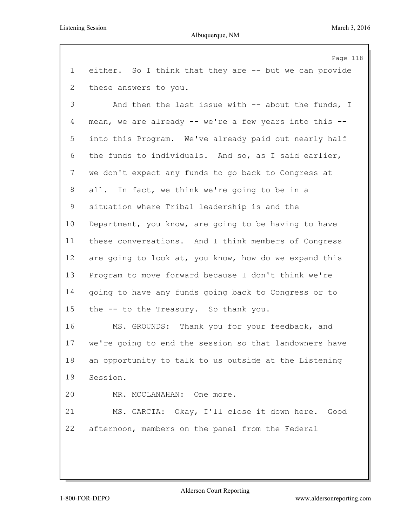Listening Session March 3, 2016

## Albuquerque, NM

Page 118 either. So I think that they are -- but we can provide these answers to you. And then the last issue with -- about the funds, I mean, we are already -- we're a few years into this -- into this Program. We've already paid out nearly half the funds to individuals. And so, as I said earlier, we don't expect any funds to go back to Congress at all. In fact, we think we're going to be in a situation where Tribal leadership is and the Department, you know, are going to be having to have these conversations. And I think members of Congress are going to look at, you know, how do we expand this Program to move forward because I don't think we're going to have any funds going back to Congress or to the -- to the Treasury. So thank you. MS. GROUNDS: Thank you for your feedback, and we're going to end the session so that landowners have an opportunity to talk to us outside at the Listening Session. MR. MCCLANAHAN: One more. MS. GARCIA: Okay, I'll close it down here. Good afternoon, members on the panel from the Federal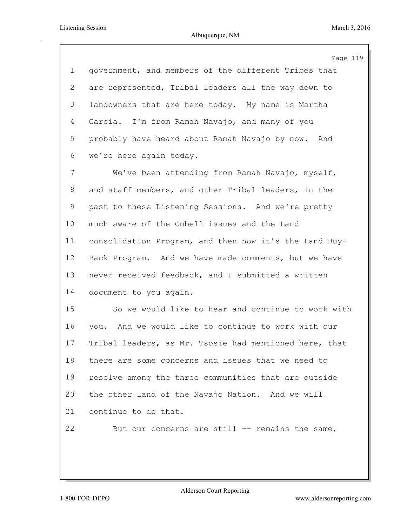|         | Page 119                                               |
|---------|--------------------------------------------------------|
| 1       | government, and members of the different Tribes that   |
| 2       | are represented, Tribal leaders all the way down to    |
| 3       | landowners that are here today. My name is Martha      |
| 4       | Garcia. I'm from Ramah Navajo, and many of you         |
| 5       | probably have heard about Ramah Navajo by now. And     |
| 6       | we're here again today.                                |
| 7       | We've been attending from Ramah Navajo, myself,        |
| 8       | and staff members, and other Tribal leaders, in the    |
| 9       | past to these Listening Sessions. And we're pretty     |
| $10 \,$ | much aware of the Cobell issues and the Land           |
| 11      | consolidation Program, and then now it's the Land Buy- |
| 12      | Back Program. And we have made comments, but we have   |
| 13      | never received feedback, and I submitted a written     |
| 14      | document to you again.                                 |
| 15      | So we would like to hear and continue to work with     |
| 16      | you. And we would like to continue to work with our    |
| 17      | Tribal leaders, as Mr. Tsosie had mentioned here, that |
| 18      | there are some concerns and issues that we need to     |
| 19      | resolve among the three communities that are outside   |
| 20      | the other land of the Navajo Nation. And we will       |
| 21      | continue to do that.                                   |
| 22      | But our concerns are still -- remains the same,        |
|         |                                                        |
|         |                                                        |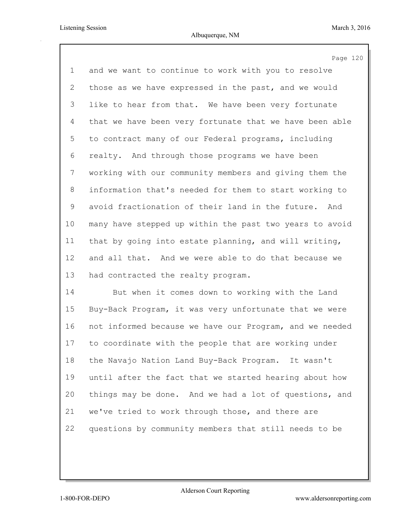Page 120 and we want to continue to work with you to resolve those as we have expressed in the past, and we would like to hear from that. We have been very fortunate that we have been very fortunate that we have been able to contract many of our Federal programs, including realty. And through those programs we have been working with our community members and giving them the information that's needed for them to start working to avoid fractionation of their land in the future. And many have stepped up within the past two years to avoid that by going into estate planning, and will writing, and all that. And we were able to do that because we had contracted the realty program. But when it comes down to working with the Land

 Buy-Back Program, it was very unfortunate that we were not informed because we have our Program, and we needed to coordinate with the people that are working under the Navajo Nation Land Buy-Back Program. It wasn't until after the fact that we started hearing about how things may be done. And we had a lot of questions, and we've tried to work through those, and there are questions by community members that still needs to be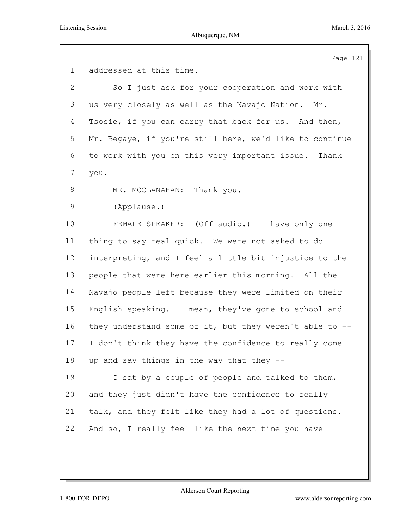|              | Page 121                                                |
|--------------|---------------------------------------------------------|
| $\mathbf 1$  | addressed at this time.                                 |
| $\mathbf{2}$ | So I just ask for your cooperation and work with        |
| 3            | us very closely as well as the Navajo Nation.<br>Mr.    |
| 4            | Tsosie, if you can carry that back for us. And then,    |
| 5            | Mr. Begaye, if you're still here, we'd like to continue |
| 6            | to work with you on this very important issue. Thank    |
| 7            | you.                                                    |
| 8            | MR. MCCLANAHAN: Thank you.                              |
| 9            | (Applause.)                                             |
| 10           | FEMALE SPEAKER: (Off audio.) I have only one            |
| 11           | thing to say real quick. We were not asked to do        |
| 12           | interpreting, and I feel a little bit injustice to the  |
| 13           | people that were here earlier this morning. All the     |
| 14           | Navajo people left because they were limited on their   |
| 15           | English speaking. I mean, they've gone to school and    |
| 16           | they understand some of it, but they weren't able to -- |
| 17           | I don't think they have the confidence to really come   |
| 18           | up and say things in the way that they --               |
| 19           | I sat by a couple of people and talked to them,         |
| 20           | and they just didn't have the confidence to really      |
| 21           | talk, and they felt like they had a lot of questions.   |
| 22           | And so, I really feel like the next time you have       |
|              |                                                         |
|              |                                                         |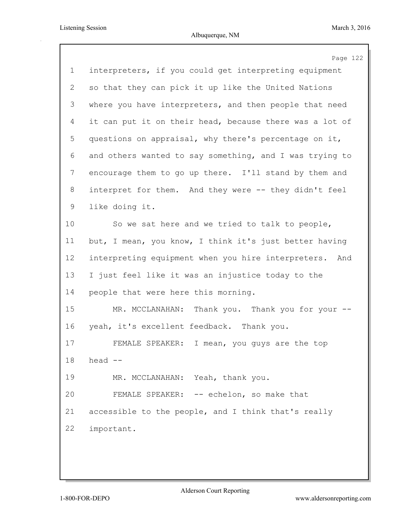|             | Page 122                                                |
|-------------|---------------------------------------------------------|
| $\mathbf 1$ | interpreters, if you could get interpreting equipment   |
| 2           | so that they can pick it up like the United Nations     |
| 3           | where you have interpreters, and then people that need  |
| 4           | it can put it on their head, because there was a lot of |
| 5           | questions on appraisal, why there's percentage on it,   |
| 6           | and others wanted to say something, and I was trying to |
| 7           | encourage them to go up there. I'll stand by them and   |
| 8           | interpret for them. And they were -- they didn't feel   |
| 9           | like doing it.                                          |
| 10          | So we sat here and we tried to talk to people,          |
| 11          | but, I mean, you know, I think it's just better having  |
| 12          | interpreting equipment when you hire interpreters. And  |
| 13          | I just feel like it was an injustice today to the       |
| 14          | people that were here this morning.                     |
| 15          | MR. MCCLANAHAN: Thank you. Thank you for your --        |
| 16          | yeah, it's excellent feedback. Thank you.               |
| 17          | FEMALE SPEAKER:<br>I mean, you quys are the top         |
| 18          | head $--$                                               |
| 19          | MR. MCCLANAHAN: Yeah, thank you.                        |
| 20          | FEMALE SPEAKER: -- echelon, so make that                |
| 21          | accessible to the people, and I think that's really     |
| 22          | important.                                              |
|             |                                                         |
|             |                                                         |